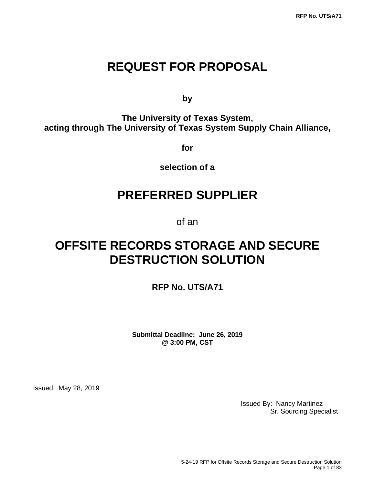# **REQUEST FOR PROPOSAL**

**by**

**The University of Texas System, acting through The University of Texas System Supply Chain Alliance,**

**for**

**selection of a**

# **PREFERRED SUPPLIER**

of an

# **OFFSITE RECORDS STORAGE AND SECURE DESTRUCTION SOLUTION**

**RFP No. UTS/A71**

**Submittal Deadline: June 26, 2019 @ 3:00 PM, CST**

Issued: May 28, 2019

Issued By: Nancy Martinez Sr. Sourcing Specialist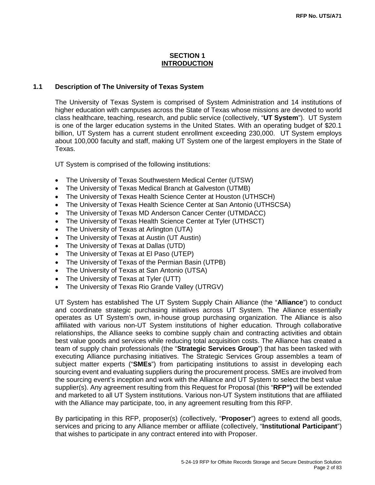## **SECTION 1 INTRODUCTION**

#### **1.1 Description of The University of Texas System**

The University of Texas System is comprised of System Administration and 14 institutions of higher education with campuses across the State of Texas whose missions are devoted to world class healthcare, teaching, research, and public service (collectively, "**UT System**"). UT System is one of the larger education systems in the United States. With an operating budget of \$20.1 billion, UT System has a current student enrollment exceeding 230,000. UT System employs about 100,000 faculty and staff, making UT System one of the largest employers in the State of Texas.

UT System is comprised of the following institutions:

- The University of Texas Southwestern Medical Center (UTSW)
- The University of Texas Medical Branch at Galveston (UTMB)
- The University of Texas Health Science Center at Houston (UTHSCH)
- The University of Texas Health Science Center at San Antonio (UTHSCSA)
- The University of Texas MD Anderson Cancer Center (UTMDACC)
- The University of Texas Health Science Center at Tyler (UTHSCT)
- The University of Texas at Arlington (UTA)
- The University of Texas at Austin (UT Austin)
- The University of Texas at Dallas (UTD)
- The University of Texas at El Paso (UTEP)
- The University of Texas of the Permian Basin (UTPB)
- The University of Texas at San Antonio (UTSA)
- The University of Texas at Tyler (UTT)
- The University of Texas Rio Grande Valley (UTRGV)

UT System has established The UT System Supply Chain Alliance (the "**Alliance**") to conduct and coordinate strategic purchasing initiatives across UT System. The Alliance essentially operates as UT System's own, in-house group purchasing organization. The Alliance is also affiliated with various non-UT System institutions of higher education. Through collaborative relationships, the Alliance seeks to combine supply chain and contracting activities and obtain best value goods and services while reducing total acquisition costs. The Alliance has created a team of supply chain professionals (the "**Strategic Services Group**") that has been tasked with executing Alliance purchasing initiatives. The Strategic Services Group assembles a team of subject matter experts ("**SMEs**") from participating institutions to assist in developing each sourcing event and evaluating suppliers during the procurement process. SMEs are involved from the sourcing event's inception and work with the Alliance and UT System to select the best value supplier(s). Any agreement resulting from this Request for Proposal (this "**RFP")** will be extended and marketed to all UT System institutions. Various non-UT System institutions that are affiliated with the Alliance may participate, too, in any agreement resulting from this RFP.

By participating in this RFP, proposer(s) (collectively, "**Proposer**") agrees to extend all goods, services and pricing to any Alliance member or affiliate (collectively, "**Institutional Participant**") that wishes to participate in any contract entered into with Proposer.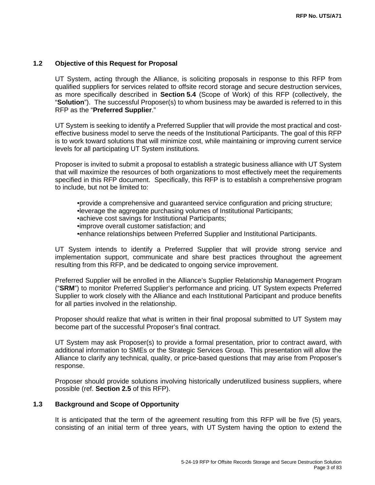#### **1.2 Objective of this Request for Proposal**

UT System, acting through the Alliance, is soliciting proposals in response to this RFP from qualified suppliers for services related to offsite record storage and secure destruction services, as more specifically described in **Section 5.4** (Scope of Work) of this RFP (collectively, the "**Solution**"). The successful Proposer(s) to whom business may be awarded is referred to in this RFP as the "**Preferred Supplier**."

UT System is seeking to identify a Preferred Supplier that will provide the most practical and costeffective business model to serve the needs of the Institutional Participants. The goal of this RFP is to work toward solutions that will minimize cost, while maintaining or improving current service levels for all participating UT System institutions.

Proposer is invited to submit a proposal to establish a strategic business alliance with UT System that will maximize the resources of both organizations to most effectively meet the requirements specified in this RFP document. Specifically, this RFP is to establish a comprehensive program to include, but not be limited to:

•provide a comprehensive and guaranteed service configuration and pricing structure; •leverage the aggregate purchasing volumes of Institutional Participants; •achieve cost savings for Institutional Participants; •improve overall customer satisfaction; and •enhance relationships between Preferred Supplier and Institutional Participants.

UT System intends to identify a Preferred Supplier that will provide strong service and implementation support, communicate and share best practices throughout the agreement resulting from this RFP, and be dedicated to ongoing service improvement.

Preferred Supplier will be enrolled in the Alliance's Supplier Relationship Management Program ("**SRM**") to monitor Preferred Supplier's performance and pricing. UT System expects Preferred Supplier to work closely with the Alliance and each Institutional Participant and produce benefits for all parties involved in the relationship.

Proposer should realize that what is written in their final proposal submitted to UT System may become part of the successful Proposer's final contract.

UT System may ask Proposer(s) to provide a formal presentation, prior to contract award, with additional information to SMEs or the Strategic Services Group. This presentation will allow the Alliance to clarify any technical, quality, or price-based questions that may arise from Proposer's response.

Proposer should provide solutions involving historically underutilized business suppliers, where possible (ref. **Section 2.5** of this RFP).

#### **1.3 Background and Scope of Opportunity**

It is anticipated that the term of the agreement resulting from this RFP will be five (5) years, consisting of an initial term of three years, with UT System having the option to extend the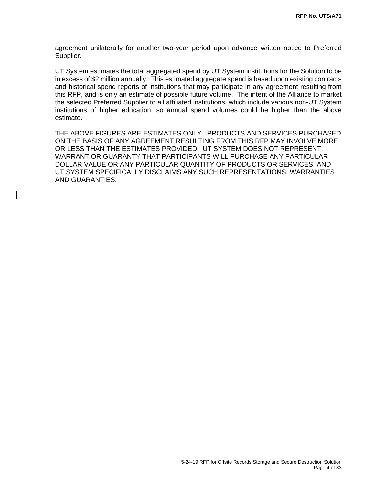agreement unilaterally for another two-year period upon advance written notice to Preferred Supplier.

UT System estimates the total aggregated spend by UT System institutions for the Solution to be in excess of \$2 million annually. This estimated aggregate spend is based upon existing contracts and historical spend reports of institutions that may participate in any agreement resulting from this RFP, and is only an estimate of possible future volume. The intent of the Alliance to market the selected Preferred Supplier to all affiliated institutions, which include various non-UT System institutions of higher education, so annual spend volumes could be higher than the above estimate.

THE ABOVE FIGURES ARE ESTIMATES ONLY. PRODUCTS AND SERVICES PURCHASED ON THE BASIS OF ANY AGREEMENT RESULTING FROM THIS RFP MAY INVOLVE MORE OR LESS THAN THE ESTIMATES PROVIDED. UT SYSTEM DOES NOT REPRESENT, WARRANT OR GUARANTY THAT PARTICIPANTS WILL PURCHASE ANY PARTICULAR DOLLAR VALUE OR ANY PARTICULAR QUANTITY OF PRODUCTS OR SERVICES, AND UT SYSTEM SPECIFICALLY DISCLAIMS ANY SUCH REPRESENTATIONS, WARRANTIES AND GUARANTIES.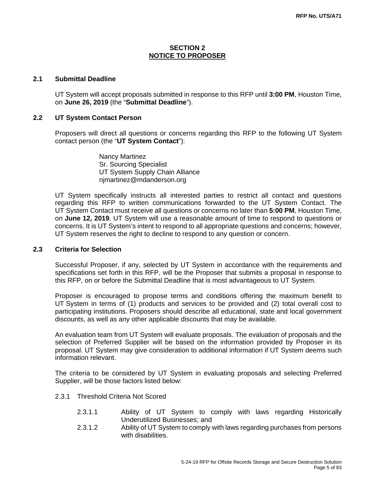## **SECTION 2 NOTICE TO PROPOSER**

## **2.1 Submittal Deadline**

UT System will accept proposals submitted in response to this RFP until **3:00 PM**, Houston Time, on **June 26, 2019** (the "**Submittal Deadline**").

#### **2.2 UT System Contact Person**

Proposers will direct all questions or concerns regarding this RFP to the following UT System contact person (the "**UT System Contact**"):

> Nancy Martinez Sr. Sourcing Specialist UT System Supply Chain Alliance njmartinez@mdanderson.org

UT System specifically instructs all interested parties to restrict all contact and questions regarding this RFP to written communications forwarded to the UT System Contact. The UT System Contact must receive all questions or concerns no later than **5:00 PM**, Houston Time, on **June 12, 2019**. UT System will use a reasonable amount of time to respond to questions or concerns. It is UT System's intent to respond to all appropriate questions and concerns; however, UT System reserves the right to decline to respond to any question or concern.

#### **2.3 Criteria for Selection**

Successful Proposer, if any, selected by UT System in accordance with the requirements and specifications set forth in this RFP, will be the Proposer that submits a proposal in response to this RFP, on or before the Submittal Deadline that is most advantageous to UT System.

Proposer is encouraged to propose terms and conditions offering the maximum benefit to UT System in terms of (1) products and services to be provided and (2) total overall cost to participating institutions. Proposers should describe all educational, state and local government discounts, as well as any other applicable discounts that may be available.

An evaluation team from UT System will evaluate proposals. The evaluation of proposals and the selection of Preferred Supplier will be based on the information provided by Proposer in its proposal. UT System may give consideration to additional information if UT System deems such information relevant.

The criteria to be considered by UT System in evaluating proposals and selecting Preferred Supplier, will be those factors listed below:

- 2.3.1 Threshold Criteria Not Scored
	- 2.3.1.1 Ability of UT System to comply with laws regarding Historically Underutilized Businesses; and
	- 2.3.1.2 Ability of UT System to comply with laws regarding purchases from persons with disabilities.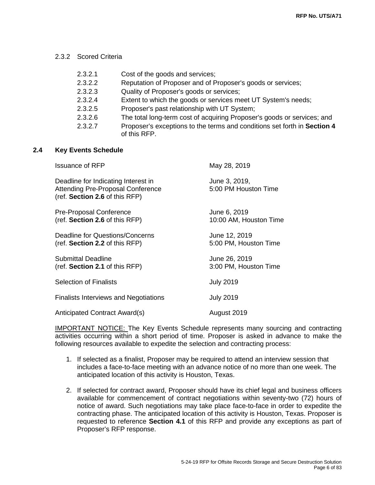#### 2.3.2 Scored Criteria

| 2.3.2.1 | Cost of the goods and services;                                                          |
|---------|------------------------------------------------------------------------------------------|
| 2.3.2.2 | Reputation of Proposer and of Proposer's goods or services;                              |
| 2.3.2.3 | Quality of Proposer's goods or services;                                                 |
| 2.3.2.4 | Extent to which the goods or services meet UT System's needs;                            |
| 2.3.2.5 | Proposer's past relationship with UT System;                                             |
| 2.3.2.6 | The total long-term cost of acquiring Proposer's goods or services; and                  |
| 2.3.2.7 | Proposer's exceptions to the terms and conditions set forth in Section 4<br>of this RFP. |

#### **2.4 Key Events Schedule**

| <b>Issuance of RFP</b>                                                                                            | May 28, 2019                           |
|-------------------------------------------------------------------------------------------------------------------|----------------------------------------|
| Deadline for Indicating Interest in<br><b>Attending Pre-Proposal Conference</b><br>(ref. Section 2.6 of this RFP) | June 3, 2019,<br>5:00 PM Houston Time  |
| Pre-Proposal Conference<br>(ref. Section 2.6 of this RFP)                                                         | June 6, 2019<br>10:00 AM, Houston Time |
| Deadline for Questions/Concerns<br>(ref. Section 2.2 of this RFP)                                                 | June 12, 2019<br>5:00 PM, Houston Time |
| <b>Submittal Deadline</b><br>(ref. Section 2.1 of this RFP)                                                       | June 26, 2019<br>3:00 PM, Houston Time |
| <b>Selection of Finalists</b>                                                                                     | <b>July 2019</b>                       |
| <b>Finalists Interviews and Negotiations</b>                                                                      | <b>July 2019</b>                       |
| Anticipated Contract Award(s)                                                                                     | August 2019                            |

IMPORTANT NOTICE: The Key Events Schedule represents many sourcing and contracting activities occurring within a short period of time. Proposer is asked in advance to make the following resources available to expedite the selection and contracting process:

- 1. If selected as a finalist, Proposer may be required to attend an interview session that includes a face-to-face meeting with an advance notice of no more than one week. The anticipated location of this activity is Houston, Texas.
- 2. If selected for contract award, Proposer should have its chief legal and business officers available for commencement of contract negotiations within seventy-two (72) hours of notice of award. Such negotiations may take place face-to-face in order to expedite the contracting phase. The anticipated location of this activity is Houston, Texas. Proposer is requested to reference **Section 4.1** of this RFP and provide any exceptions as part of Proposer's RFP response.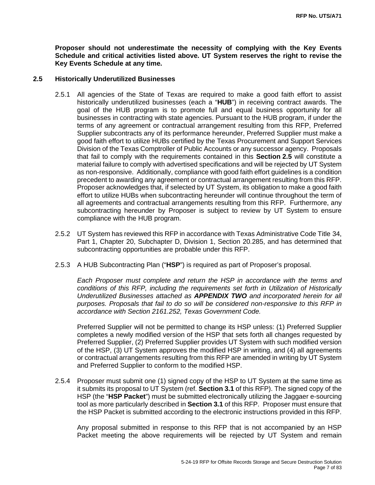**Proposer should not underestimate the necessity of complying with the Key Events Schedule and critical activities listed above. UT System reserves the right to revise the Key Events Schedule at any time.**

#### **2.5 Historically Underutilized Businesses**

- 2.5.1 All agencies of the State of Texas are required to make a good faith effort to assist historically underutilized businesses (each a "**HUB**") in receiving contract awards. The goal of the HUB program is to promote full and equal business opportunity for all businesses in contracting with state agencies. Pursuant to the HUB program, if under the terms of any agreement or contractual arrangement resulting from this RFP, Preferred Supplier subcontracts any of its performance hereunder, Preferred Supplier must make a good faith effort to utilize HUBs certified by the Texas Procurement and Support Services Division of the Texas Comptroller of Public Accounts or any successor agency. Proposals that fail to comply with the requirements contained in this **Section 2.5** will constitute a material failure to comply with advertised specifications and will be rejected by UT System as non-responsive. Additionally, compliance with good faith effort guidelines is a condition precedent to awarding any agreement or contractual arrangement resulting from this RFP. Proposer acknowledges that, if selected by UT System, its obligation to make a good faith effort to utilize HUBs when subcontracting hereunder will continue throughout the term of all agreements and contractual arrangements resulting from this RFP. Furthermore, any subcontracting hereunder by Proposer is subject to review by UT System to ensure compliance with the HUB program.
- 2.5.2 UT System has reviewed this RFP in accordance with Texas Administrative Code Title 34, Part 1, Chapter 20, Subchapter D, Division 1, Section 20.285, and has determined that subcontracting opportunities are probable under this RFP.
- 2.5.3 A HUB Subcontracting Plan ("**HSP**") is required as part of Proposer's proposal.

*Each Proposer must complete and return the HSP in accordance with the terms and conditions of this RFP, including the requirements set forth in Utilization of Historically Underutilized Businesses attached as APPENDIX TWO and incorporated herein for all purposes. Proposals that fail to do so will be considered non-responsive to this RFP in accordance with Section 2161.252, Texas Government Code.*

Preferred Supplier will not be permitted to change its HSP unless: (1) Preferred Supplier completes a newly modified version of the HSP that sets forth all changes requested by Preferred Supplier, (2) Preferred Supplier provides UT System with such modified version of the HSP, (3) UT System approves the modified HSP in writing, and (4) all agreements or contractual arrangements resulting from this RFP are amended in writing by UT System and Preferred Supplier to conform to the modified HSP.

2.5.4 Proposer must submit one (1) signed copy of the HSP to UT System at the same time as it submits its proposal to UT System (ref. **Section 3.1** of this RFP). The signed copy of the HSP (the "**HSP Packet**") must be submitted electronically utilizing the Jaggaer e-sourcing tool as more particularly described in **Section 3.1** of this RFP. Proposer must ensure that the HSP Packet is submitted according to the electronic instructions provided in this RFP.

Any proposal submitted in response to this RFP that is not accompanied by an HSP Packet meeting the above requirements will be rejected by UT System and remain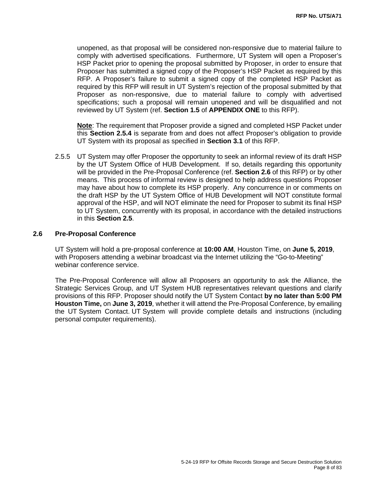unopened, as that proposal will be considered non-responsive due to material failure to comply with advertised specifications. Furthermore, UT System will open a Proposer's HSP Packet prior to opening the proposal submitted by Proposer, in order to ensure that Proposer has submitted a signed copy of the Proposer's HSP Packet as required by this RFP. A Proposer's failure to submit a signed copy of the completed HSP Packet as required by this RFP will result in UT System's rejection of the proposal submitted by that Proposer as non-responsive, due to material failure to comply with advertised specifications; such a proposal will remain unopened and will be disqualified and not reviewed by UT System (ref. **Section 1.5** of **APPENDIX ONE** to this RFP).

**Note**: The requirement that Proposer provide a signed and completed HSP Packet under this **Section 2.5.4** is separate from and does not affect Proposer's obligation to provide UT System with its proposal as specified in **Section 3.1** of this RFP.

2.5.5 UT System may offer Proposer the opportunity to seek an informal review of its draft HSP by the UT System Office of HUB Development. If so, details regarding this opportunity will be provided in the Pre-Proposal Conference (ref. **Section 2.6** of this RFP) or by other means. This process of informal review is designed to help address questions Proposer may have about how to complete its HSP properly. Any concurrence in or comments on the draft HSP by the UT System Office of HUB Development will NOT constitute formal approval of the HSP, and will NOT eliminate the need for Proposer to submit its final HSP to UT System, concurrently with its proposal, in accordance with the detailed instructions in this **Section 2.5**.

#### **2.6 Pre-Proposal Conference**

UT System will hold a pre-proposal conference at **10:00 AM**, Houston Time, on **June 5, 2019**, with Proposers attending a webinar broadcast via the Internet utilizing the "Go-to-Meeting" webinar conference service.

The Pre-Proposal Conference will allow all Proposers an opportunity to ask the Alliance, the Strategic Services Group, and UT System HUB representatives relevant questions and clarify provisions of this RFP. Proposer should notify the UT System Contact **by no later than 5:00 PM Houston Time,** on **June 3, 2019**, whether it will attend the Pre-Proposal Conference, by emailing the UT System Contact. UT System will provide complete details and instructions (including personal computer requirements).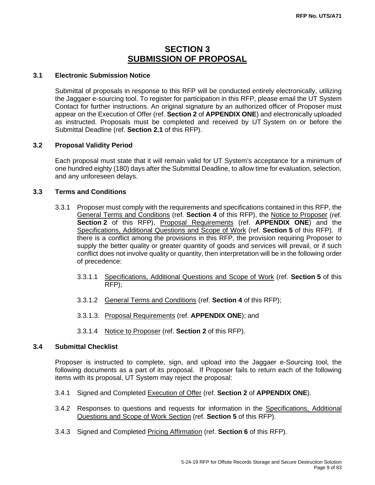# **SECTION 3 SUBMISSION OF PROPOSAL**

# **3.1 Electronic Submission Notice**

Submittal of proposals in response to this RFP will be conducted entirely electronically, utilizing the Jaggaer e-sourcing tool. To register for participation in this RFP, please email the UT System Contact for further instructions. An original signature by an authorized officer of Proposer must appear on the Execution of Offer (ref. **Section 2** of **APPENDIX ONE**) and electronically uploaded as instructed. Proposals must be completed and received by UT System on or before the Submittal Deadline (ref. **Section 2.1** of this RFP).

# **3.2 Proposal Validity Period**

Each proposal must state that it will remain valid for UT System's acceptance for a minimum of one hundred eighty (180) days after the Submittal Deadline, to allow time for evaluation, selection, and any unforeseen delays.

# **3.3 Terms and Conditions**

- 3.3.1 Proposer must comply with the requirements and specifications contained in this RFP, the General Terms and Conditions (ref. **Section 4** of this RFP), the Notice to Proposer (ref. **Section 2** of this RFP), Proposal Requirements (ref. **APPENDIX ONE**) and the Specifications, Additional Questions and Scope of Work (ref. **Section 5** of this RFP). If there is a conflict among the provisions in this RFP, the provision requiring Proposer to supply the better quality or greater quantity of goods and services will prevail, or if such conflict does not involve quality or quantity, then interpretation will be in the following order of precedence:
	- 3.3.1.1 Specifications, Additional Questions and Scope of Work (ref. **Section 5** of this RFP);
	- 3.3.1.2 General Terms and Conditions (ref. **Section 4** of this RFP);
	- 3.3.1.3. Proposal Requirements (ref. **APPENDIX ONE**); and
	- 3.3.1.4 Notice to Proposer (ref. **Section 2** of this RFP).

### **3.4 Submittal Checklist**

Proposer is instructed to complete, sign, and upload into the Jaggaer e-Sourcing tool, the following documents as a part of its proposal. If Proposer fails to return each of the following items with its proposal, UT System may reject the proposal:

- 3.4.1 Signed and Completed Execution of Offer (ref. **Section 2** of **APPENDIX ONE**).
- 3.4.2 Responses to questions and requests for information in the Specifications, Additional Questions and Scope of Work Section (ref. **Section 5** of this RFP).
- 3.4.3 Signed and Completed Pricing Affirmation (ref. **Section 6** of this RFP).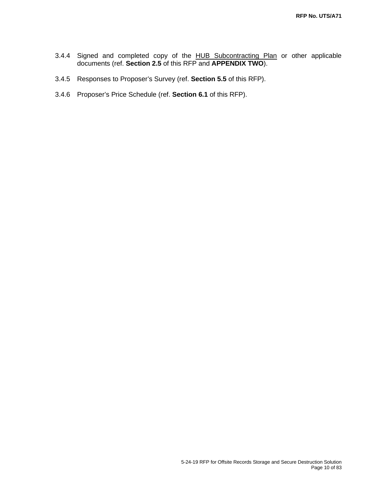- 3.4.4 Signed and completed copy of the HUB Subcontracting Plan or other applicable documents (ref. **Section 2.5** of this RFP and **APPENDIX TWO**).
- 3.4.5 Responses to Proposer's Survey (ref. **Section 5.5** of this RFP).
- 3.4.6 Proposer's Price Schedule (ref. **Section 6.1** of this RFP).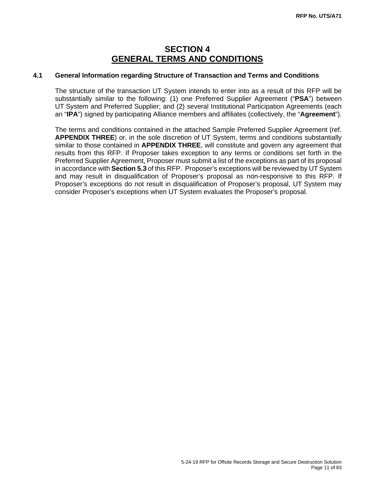# **SECTION 4 GENERAL TERMS AND CONDITIONS**

# **4.1 General Information regarding Structure of Transaction and Terms and Conditions**

The structure of the transaction UT System intends to enter into as a result of this RFP will be substantially similar to the following: (1) one Preferred Supplier Agreement ("**PSA**") between UT System and Preferred Supplier; and (2) several Institutional Participation Agreements (each an "**IPA**") signed by participating Alliance members and affiliates (collectively, the "**Agreement**").

The terms and conditions contained in the attached Sample Preferred Supplier Agreement (ref. **APPENDIX THREE**) or, in the sole discretion of UT System, terms and conditions substantially similar to those contained in **APPENDIX THREE**, will constitute and govern any agreement that results from this RFP. If Proposer takes exception to any terms or conditions set forth in the Preferred Supplier Agreement, Proposer must submit a list of the exceptions as part of its proposal in accordance with **Section 5.3** of this RFP. Proposer's exceptions will be reviewed by UT System and may result in disqualification of Proposer's proposal as non-responsive to this RFP. If Proposer's exceptions do not result in disqualification of Proposer's proposal, UT System may consider Proposer's exceptions when UT System evaluates the Proposer's proposal.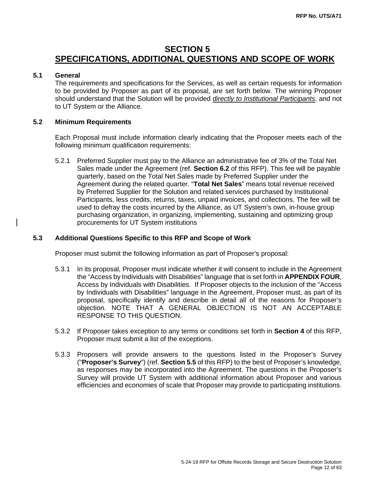# **SECTION 5 SPECIFICATIONS, ADDITIONAL QUESTIONS AND SCOPE OF WORK**

# **5.1 General**

The requirements and specifications for the Services, as well as certain requests for information to be provided by Proposer as part of its proposal, are set forth below. The winning Proposer should understand that the Solution will be provided *directly to Institutional Participants*, and not to UT System or the Alliance.

# **5.2 Minimum Requirements**

Each Proposal must include information clearly indicating that the Proposer meets each of the following minimum qualification requirements:

5.2.1 Preferred Supplier must pay to the Alliance an administrative fee of 3% of the Total Net Sales made under the Agreement (ref. **Section 6.2** of this RFP). This fee will be payable quarterly, based on the Total Net Sales made by Preferred Supplier under the Agreement during the related quarter. "**Total Net Sales**" means total revenue received by Preferred Supplier for the Solution and related services purchased by Institutional Participants, less credits, returns, taxes, unpaid invoices, and collections. The fee will be used to defray the costs incurred by the Alliance, as UT System's own, in-house group purchasing organization, in organizing, implementing, sustaining and optimizing group procurements for UT System institutions

#### **5.3 Additional Questions Specific to this RFP and Scope of Work**

Proposer must submit the following information as part of Proposer's proposal:

- 5.3.1 In its proposal, Proposer must indicate whether it will consent to include in the Agreement the "Access by Individuals with Disabilities" language that is set forth in **APPENDIX FOUR**, Access by Individuals with Disabilities. If Proposer objects to the inclusion of the "Access by Individuals with Disabilities" language in the Agreement, Proposer must, as part of its proposal, specifically identify and describe in detail all of the reasons for Proposer's objection. NOTE THAT A GENERAL OBJECTION IS NOT AN ACCEPTABLE RESPONSE TO THIS QUESTION.
- 5.3.2 If Proposer takes exception to any terms or conditions set forth in **Section 4** of this RFP, Proposer must submit a list of the exceptions.
- 5.3.3 Proposers will provide answers to the questions listed in the Proposer's Survey ("**Proposer's Survey**") (ref. **Section 5.5** of this RFP) to the best of Proposer's knowledge, as responses may be incorporated into the Agreement. The questions in the Proposer's Survey will provide UT System with additional information about Proposer and various efficiencies and economies of scale that Proposer may provide to participating institutions.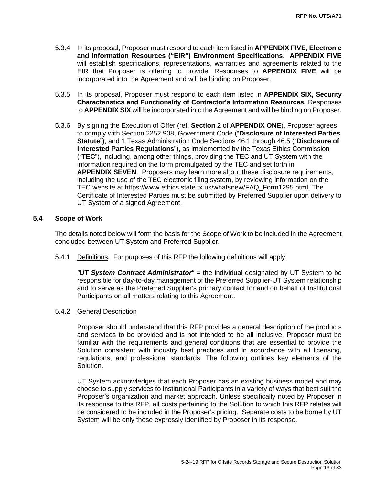- 5.3.4 In its proposal, Proposer must respond to each item listed in **APPENDIX FIVE, Electronic and Information Resources ("EIR") Environment Specifications**. **APPENDIX FIVE** will establish specifications, representations, warranties and agreements related to the EIR that Proposer is offering to provide. Responses to **APPENDIX FIVE** will be incorporated into the Agreement and will be binding on Proposer.
- 5.3.5 In its proposal, Proposer must respond to each item listed in **APPENDIX SIX, Security Characteristics and Functionality of Contractor's Information Resources.** Responses to **APPENDIX SIX** will be incorporated into the Agreement and will be binding on Proposer.
- 5.3.6 By signing the Execution of Offer (ref. **Section 2** of **APPENDIX ONE**), Proposer agrees to comply with [Section 2252.908, Government Code](http://www.statutes.legis.state.tx.us/Docs/GV/htm/GV.2252.htm#2252.908) ("**Disclosure of Interested Parties Statute**"), and [1 Texas Administration Code Sections 46.1 through 46.5](https://www.ethics.state.tx.us/rules/adopted_Nov_2015.html#Ch46.1) ("**Disclosure of Interested Parties Regulations**"), as implemented by the Texas Ethics Commission ("**TEC**"), including, among other things, providing the TEC and UT System with the information required on the form promulgated by the TEC and set forth in **APPENDIX SEVEN**. Proposers may learn more about these disclosure requirements, including the use of the TEC electronic filing system, by reviewing information on the TEC website at [https://www.ethics.state.tx.us/whatsnew/FAQ\\_Form1295.html.](https://www.ethics.state.tx.us/whatsnew/FAQ_Form1295.html) The Certificate of Interested Parties must be submitted by Preferred Supplier upon delivery to UT System of a signed Agreement.

#### **5.4 Scope of Work**

The details noted below will form the basis for the Scope of Work to be included in the Agreement concluded between UT System and Preferred Supplier.

5.4.1 Definitions. For purposes of this RFP the following definitions will apply:

*"UT System Contract Administrator" =* the individual designated by UT System to be responsible for day-to-day management of the Preferred Supplier-UT System relationship and to serve as the Preferred Supplier's primary contact for and on behalf of Institutional Participants on all matters relating to this Agreement.

#### 5.4.2 General Description

 Proposer should understand that this RFP provides a general description of the products and services to be provided and is not intended to be all inclusive. Proposer must be familiar with the requirements and general conditions that are essential to provide the Solution consistent with industry best practices and in accordance with all licensing, regulations, and professional standards. The following outlines key elements of the Solution.

UT System acknowledges that each Proposer has an existing business model and may choose to supply services to Institutional Participants in a variety of ways that best suit the Proposer's organization and market approach. Unless specifically noted by Proposer in its response to this RFP, all costs pertaining to the Solution to which this RFP relates will be considered to be included in the Proposer's pricing. Separate costs to be borne by UT System will be only those expressly identified by Proposer in its response.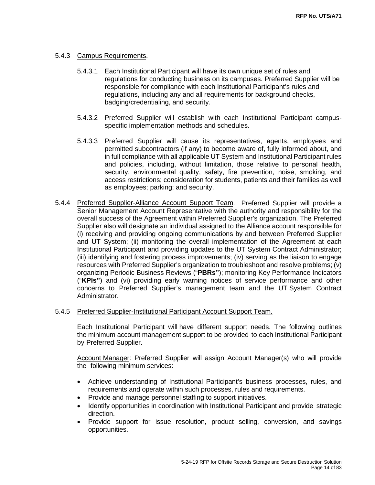# 5.4.3 Campus Requirements.

- 5.4.3.1 Each Institutional Participant will have its own unique set of rules and regulations for conducting business on its campuses. Preferred Supplier will be responsible for compliance with each Institutional Participant's rules and regulations, including any and all requirements for background checks, badging/credentialing, and security.
- 5.4.3.2 Preferred Supplier will establish with each Institutional Participant campusspecific implementation methods and schedules.
- 5.4.3.3 Preferred Supplier will cause its representatives, agents, employees and permitted subcontractors (if any) to become aware of, fully informed about, and in full compliance with all applicable UT System and Institutional Participant rules and policies, including, without limitation, those relative to personal health, security, environmental quality, safety, fire prevention, noise, smoking, and access restrictions; consideration for students, patients and their families as well as employees; parking; and security.
- 5.4.4 Preferred Supplier-Alliance Account Support Team. Preferred Supplier will provide a Senior Management Account Representative with the authority and responsibility for the overall success of the Agreement within Preferred Supplier's organization. The Preferred Supplier also will designate an individual assigned to the Alliance account responsible for (i) receiving and providing ongoing communications by and between Preferred Supplier and UT System; (ii) monitoring the overall implementation of the Agreement at each Institutional Participant and providing updates to the UT System Contract Administrator; (iii) identifying and fostering process improvements; (iv) serving as the liaison to engage resources with Preferred Supplier's organization to troubleshoot and resolve problems; (v) organizing Periodic Business Reviews ("**PBRs"**); monitoring Key Performance Indicators ("**KPIs"**) and (vi) providing early warning notices of service performance and other concerns to Preferred Supplier's management team and the UT System Contract Administrator.
- 5.4.5 Preferred Supplier-Institutional Participant Account Support Team.

Each Institutional Participant will have different support needs. The following outlines the minimum account management support to be provided to each Institutional Participant by Preferred Supplier.

Account Manager: Preferred Supplier will assign Account Manager(s) who will provide the following minimum services:

- Achieve understanding of Institutional Participant's business processes, rules, and requirements and operate within such processes, rules and requirements.
- Provide and manage personnel staffing to support initiatives.
- Identify opportunities in coordination with Institutional Participant and provide strategic direction.
- Provide support for issue resolution, product selling, conversion, and savings opportunities.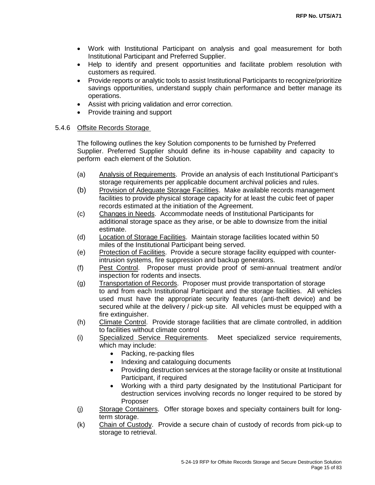- Work with Institutional Participant on analysis and goal measurement for both Institutional Participant and Preferred Supplier.
- Help to identify and present opportunities and facilitate problem resolution with customers as required.
- Provide reports or analytic tools to assist Institutional Participants to recognize/prioritize savings opportunities, understand supply chain performance and better manage its operations.
- Assist with pricing validation and error correction.
- Provide training and support

# 5.4.6 Offsite Records Storage

The following outlines the key Solution components to be furnished by Preferred Supplier. Preferred Supplier should define its in-house capability and capacity to perform each element of the Solution.

- (a) Analysis of Requirements. Provide an analysis of each Institutional Participant's storage requirements per applicable document archival policies and rules.
- (b) Provision of Adequate Storage Facilities. Make available records management facilities to provide physical storage capacity for at least the cubic feet of paper records estimated at the initiation of the Agreement.
- (c) Changes in Needs. Accommodate needs of Institutional Participants for additional storage space as they arise, or be able to downsize from the initial estimate.
- (d) Location of Storage Facilities. Maintain storage facilities located within 50 miles of the Institutional Participant being served.
- (e) Protection of Facilities. Provide a secure storage facility equipped with counterintrusion systems, fire suppression and backup generators.
- (f) Pest Control. Proposer must provide proof of semi-annual treatment and/or inspection for rodents and insects.
- (g) Transportation of Records. Proposer must provide transportation of storage to and from each Institutional Participant and the storage facilities. All vehicles used must have the appropriate security features (anti-theft device) and be secured while at the delivery / pick-up site. All vehicles must be equipped with a fire extinguisher.
- (h) Climate Control. Provide storage facilities that are climate controlled, in addition to facilities without climate control
- (i) Specialized Service Requirements. Meet specialized service requirements, which may include:
	- Packing, re-packing files
	- Indexing and cataloguing documents
	- Providing destruction services at the storage facility or onsite at Institutional Participant, if required
	- Working with a third party designated by the Institutional Participant for destruction services involving records no longer required to be stored by Proposer
- (j) Storage Containers. Offer storage boxes and specialty containers built for longterm storage.
- (k) Chain of Custody. Provide a secure chain of custody of records from pick-up to storage to retrieval.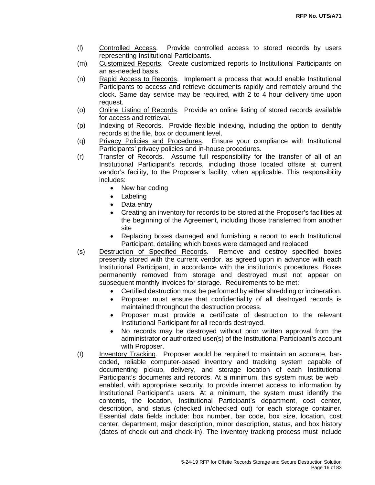- (l) Controlled Access. Provide controlled access to stored records by users representing Institutional Participants.
- (m) Customized Reports. Create customized reports to Institutional Participants on an as-needed basis.
- (n) Rapid Access to Records. Implement a process that would enable Institutional Participants to access and retrieve documents rapidly and remotely around the clock. Same day service may be required, with 2 to 4 hour delivery time upon request.
- (o) Online Listing of Records. Provide an online listing of stored records available for access and retrieval.
- (p) Indexing of Records. Provide flexible indexing, including the option to identify records at the file, box or document level.
- (q) Privacy Policies and Procedures. Ensure your compliance with Institutional Participants' privacy policies and in-house procedures.
- (r) Transfer of Records. Assume full responsibility for the transfer of all of an Institutional Participant's records, including those located offsite at current vendor's facility, to the Proposer's facility, when applicable. This responsibility includes:
	- New bar coding
	- Labeling
	- Data entry
	- Creating an inventory for records to be stored at the Proposer's facilities at the beginning of the Agreement, including those transferred from another site
	- Replacing boxes damaged and furnishing a report to each Institutional Participant, detailing which boxes were damaged and replaced
- (s) Destruction of Specified Records. Remove and destroy specified boxes presently stored with the current vendor, as agreed upon in advance with each Institutional Participant, in accordance with the institution's procedures. Boxes permanently removed from storage and destroyed must not appear on subsequent monthly invoices for storage. Requirements to be met:
	- Certified destruction must be performed by either shredding or incineration.
	- Proposer must ensure that confidentiality of all destroyed records is maintained throughout the destruction process.
	- Proposer must provide a certificate of destruction to the relevant Institutional Participant for all records destroyed.
	- No records may be destroyed without prior written approval from the administrator or authorized user(s) of the Institutional Participant's account with Proposer.
- (t) Inventory Tracking. Proposer would be required to maintain an accurate, barcoded, reliable computer-based inventory and tracking system capable of documenting pickup, delivery, and storage location of each Institutional Participant's documents and records. At a minimum, this system must be web– enabled, with appropriate security, to provide internet access to information by Institutional Participant's users. At a minimum, the system must identify the contents, the location, Institutional Participant's department, cost center, description, and status (checked in/checked out) for each storage container. Essential data fields include: box number, bar code, box size, location, cost center, department, major description, minor description, status, and box history (dates of check out and check-in). The inventory tracking process must include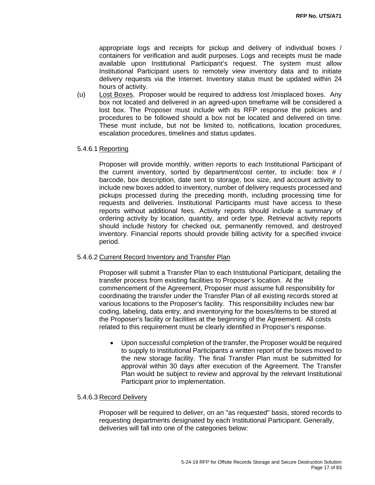appropriate logs and receipts for pickup and delivery of individual boxes / containers for verification and audit purposes. Logs and receipts must be made available upon Institutional Participant's request. The system must allow Institutional Participant users to remotely view inventory data and to initiate delivery requests via the Internet. Inventory status must be updated within 24 hours of activity.

(u) Lost Boxes. Proposer would be required to address lost /misplaced boxes. Any box not located and delivered in an agreed-upon timeframe will be considered a lost box. The Proposer must include with its RFP response the policies and procedures to be followed should a box not be located and delivered on time. These must include, but not be limited to, notifications, location procedures, escalation procedures, timelines and status updates.

#### 5.4.6.1 Reporting

Proposer will provide monthly, written reports to each Institutional Participant of the current inventory, sorted by department/cost center, to include: box # / barcode, box description, date sent to storage, box size, and account activity to include new boxes added to inventory, number of delivery requests processed and pickups processed during the preceding month, including processing time for requests and deliveries. Institutional Participants must have access to these reports without additional fees. Activity reports should include a summary of ordering activity by location, quantity, and order type. Retrieval activity reports should include history for checked out, permanently removed, and destroyed inventory. Financial reports should provide billing activity for a specified invoice period.

#### 5.4.6.2 Current Record Inventory and Transfer Plan

Proposer will submit a Transfer Plan to each Institutional Participant, detailing the transfer process from existing facilities to Proposer's location. At the commencement of the Agreement, Proposer must assume full responsibility for coordinating the transfer under the Transfer Plan of all existing records stored at various locations to the Proposer's facility. This responsibility includes new bar coding, labeling, data entry, and inventorying for the boxes/items to be stored at the Proposer's facility or facilities at the beginning of the Agreement. All costs related to this requirement must be clearly identified in Proposer's response.

• Upon successful completion of the transfer, the Proposer would be required to supply to Institutional Participants a written report of the boxes moved to the new storage facility. The final Transfer Plan must be submitted for approval within 30 days after execution of the Agreement. The Transfer Plan would be subject to review and approval by the relevant Institutional Participant prior to implementation.

#### 5.4.6.3 Record Delivery

Proposer will be required to deliver, on an "as requested" basis, stored records to requesting departments designated by each Institutional Participant. Generally, deliveries will fall into one of the categories below: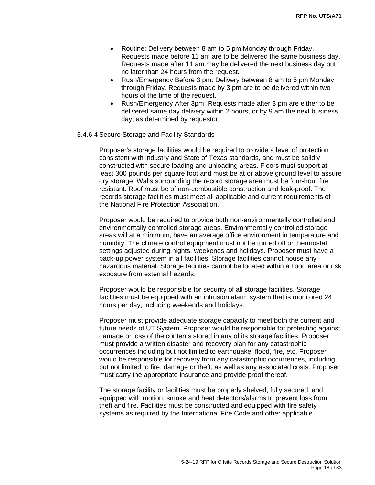- Routine: Delivery between 8 am to 5 pm Monday through Friday. Requests made before 11 am are to be delivered the same business day. Requests made after 11 am may be delivered the next business day but no later than 24 hours from the request.
- Rush/Emergency Before 3 pm: Delivery between 8 am to 5 pm Monday through Friday. Requests made by 3 pm are to be delivered within two hours of the time of the request.
- Rush/Emergency After 3pm: Requests made after 3 pm are either to be delivered same day delivery within 2 hours, or by 9 am the next business day, as determined by requestor.

#### 5.4.6.4 Secure Storage and Facility Standards

Proposer's storage facilities would be required to provide a level of protection consistent with industry and State of Texas standards, and must be solidly constructed with secure loading and unloading areas. Floors must support at least 300 pounds per square foot and must be at or above ground level to assure dry storage. Walls surrounding the record storage area must be four-hour fire resistant. Roof must be of non-combustible construction and leak-proof. The records storage facilities must meet all applicable and current requirements of the National Fire Protection Association.

Proposer would be required to provide both non-environmentally controlled and environmentally controlled storage areas. Environmentally controlled storage areas will at a minimum, have an average office environment in temperature and humidity. The climate control equipment must not be turned off or thermostat settings adjusted during nights, weekends and holidays. Proposer must have a back-up power system in all facilities. Storage facilities cannot house any hazardous material. Storage facilities cannot be located within a flood area or risk exposure from external hazards.

Proposer would be responsible for security of all storage facilities. Storage facilities must be equipped with an intrusion alarm system that is monitored 24 hours per day, including weekends and holidays.

Proposer must provide adequate storage capacity to meet both the current and future needs of UT System. Proposer would be responsible for protecting against damage or loss of the contents stored in any of its storage facilities. Proposer must provide a written disaster and recovery plan for any catastrophic occurrences including but not limited to earthquake, flood, fire, etc. Proposer would be responsible for recovery from any catastrophic occurrences, including but not limited to fire, damage or theft, as well as any associated costs. Proposer must carry the appropriate insurance and provide proof thereof.

The storage facility or facilities must be properly shelved, fully secured, and equipped with motion, smoke and heat detectors/alarms to prevent loss from theft and fire. Facilities must be constructed and equipped with fire safety systems as required by the International Fire Code and other applicable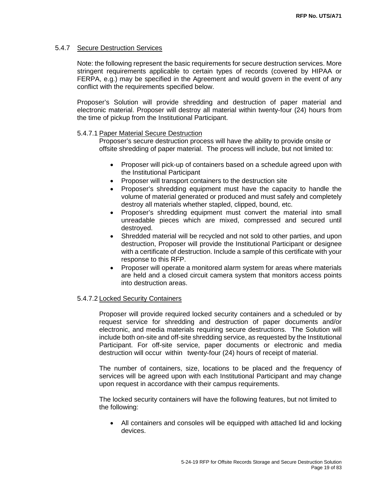#### 5.4.7 Secure Destruction Services

Note: the following represent the basic requirements for secure destruction services. More stringent requirements applicable to certain types of records (covered by HIPAA or FERPA, e.g.) may be specified in the Agreement and would govern in the event of any conflict with the requirements specified below.

Proposer's Solution will provide shredding and destruction of paper material and electronic material. Proposer will destroy all material within twenty-four (24) hours from the time of pickup from the Institutional Participant.

#### 5.4.7.1 Paper Material Secure Destruction

Proposer's secure destruction process will have the ability to provide onsite or offsite shredding of paper material. The process will include, but not limited to:

- Proposer will pick-up of containers based on a schedule agreed upon with the Institutional Participant
- Proposer will transport containers to the destruction site
- Proposer's shredding equipment must have the capacity to handle the volume of material generated or produced and must safely and completely destroy all materials whether stapled, clipped, bound, etc.
- Proposer's shredding equipment must convert the material into small unreadable pieces which are mixed, compressed and secured until destroyed.
- Shredded material will be recycled and not sold to other parties, and upon destruction, Proposer will provide the Institutional Participant or designee with a certificate of destruction. Include a sample of this certificate with your response to this RFP.
- Proposer will operate a monitored alarm system for areas where materials are held and a closed circuit camera system that monitors access points into destruction areas.

#### 5.4.7.2 Locked Security Containers

Proposer will provide required locked security containers and a scheduled or by request service for shredding and destruction of paper documents and/or electronic, and media materials requiring secure destructions. The Solution will include both on-site and off-site shredding service, as requested by the Institutional Participant. For off-site service, paper documents or electronic and media destruction will occur within twenty-four (24) hours of receipt of material.

The number of containers, size, locations to be placed and the frequency of services will be agreed upon with each Institutional Participant and may change upon request in accordance with their campus requirements.

The locked security containers will have the following features, but not limited to the following:

• All containers and consoles will be equipped with attached lid and locking devices.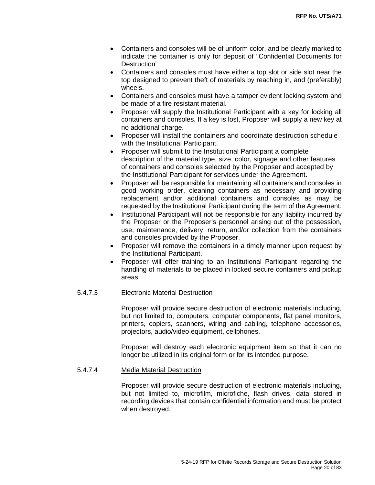- Containers and consoles will be of uniform color, and be clearly marked to indicate the container is only for deposit of "Confidential Documents for Destruction"
- Containers and consoles must have either a top slot or side slot near the top designed to prevent theft of materials by reaching in, and (preferably) wheels.
- Containers and consoles must have a tamper evident locking system and be made of a fire resistant material.
- Proposer will supply the Institutional Participant with a key for locking all containers and consoles. If a key is lost, Proposer will supply a new key at no additional charge.
- Proposer will install the containers and coordinate destruction schedule with the Institutional Participant.
- Proposer will submit to the Institutional Participant a complete description of the material type, size, color, signage and other features of containers and consoles selected by the Proposer and accepted by the Institutional Participant for services under the Agreement.
- Proposer will be responsible for maintaining all containers and consoles in good working order, cleaning containers as necessary and providing replacement and/or additional containers and consoles as may be requested by the Institutional Participant during the term of the Agreement.
- Institutional Participant will not be responsible for any liability incurred by the Proposer or the Proposer's personnel arising out of the possession, use, maintenance, delivery, return, and/or collection from the containers and consoles provided by the Proposer.
- Proposer will remove the containers in a timely manner upon request by the Institutional Participant.
- Proposer will offer training to an Institutional Participant regarding the handling of materials to be placed in locked secure containers and pickup areas.

# 5.4.7.3 Electronic Material Destruction

Proposer will provide secure destruction of electronic materials including, but not limited to, computers, computer components, flat panel monitors, printers, copiers, scanners, wiring and cabling, telephone accessories, projectors, audio/video equipment, cellphones.

Proposer will destroy each electronic equipment item so that it can no longer be utilized in its original form or for its intended purpose.

#### 5.4.7.4 Media Material Destruction

Proposer will provide secure destruction of electronic materials including, but not limited to, microfilm, microfiche, flash drives, data stored in recording devices that contain confidential information and must be protect when destroyed.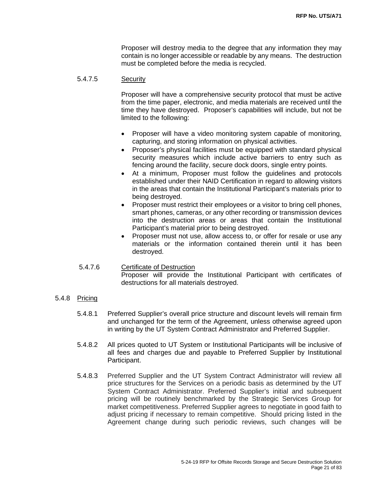Proposer will destroy media to the degree that any information they may contain is no longer accessible or readable by any means. The destruction must be completed before the media is recycled.

#### 5.4.7.5 Security

Proposer will have a comprehensive security protocol that must be active from the time paper, electronic, and media materials are received until the time they have destroyed. Proposer's capabilities will include, but not be limited to the following:

- Proposer will have a video monitoring system capable of monitoring, capturing, and storing information on physical activities.
- Proposer's physical facilities must be equipped with standard physical security measures which include active barriers to entry such as fencing around the facility, secure dock doors, single entry points.
- At a minimum, Proposer must follow the guidelines and protocols established under their NAID Certification in regard to allowing visitors in the areas that contain the Institutional Participant's materials prior to being destroyed.
- Proposer must restrict their employees or a visitor to bring cell phones, smart phones, cameras, or any other recording or transmission devices into the destruction areas or areas that contain the Institutional Participant's material prior to being destroyed.
- Proposer must not use, allow access to, or offer for resale or use any materials or the information contained therein until it has been destroyed.

# 5.4.7.6 Certificate of Destruction

Proposer will provide the Institutional Participant with certificates of destructions for all materials destroyed.

- 5.4.8 Pricing
	- 5.4.8.1 Preferred Supplier's overall price structure and discount levels will remain firm and unchanged for the term of the Agreement, unless otherwise agreed upon in writing by the UT System Contract Administrator and Preferred Supplier.
	- 5.4.8.2 All prices quoted to UT System or Institutional Participants will be inclusive of all fees and charges due and payable to Preferred Supplier by Institutional Participant.
	- 5.4.8.3 Preferred Supplier and the UT System Contract Administrator will review all price structures for the Services on a periodic basis as determined by the UT System Contract Administrator. Preferred Supplier's initial and subsequent pricing will be routinely benchmarked by the Strategic Services Group for market competitiveness. Preferred Supplier agrees to negotiate in good faith to adjust pricing if necessary to remain competitive. Should pricing listed in the Agreement change during such periodic reviews, such changes will be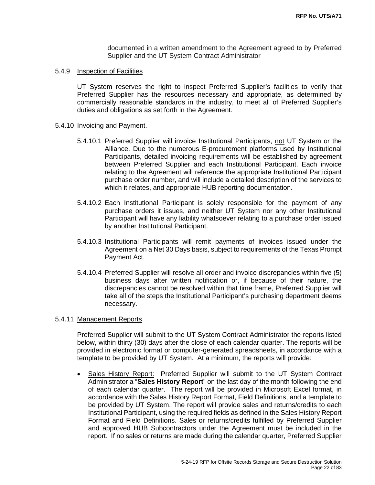documented in a written amendment to the Agreement agreed to by Preferred Supplier and the UT System Contract Administrator

#### 5.4.9 Inspection of Facilities

UT System reserves the right to inspect Preferred Supplier's facilities to verify that Preferred Supplier has the resources necessary and appropriate, as determined by commercially reasonable standards in the industry, to meet all of Preferred Supplier's duties and obligations as set forth in the Agreement.

#### 5.4.10 Invoicing and Payment.

- 5.4.10.1 Preferred Supplier will invoice Institutional Participants, not UT System or the Alliance. Due to the numerous E-procurement platforms used by Institutional Participants, detailed invoicing requirements will be established by agreement between Preferred Supplier and each Institutional Participant. Each invoice relating to the Agreement will reference the appropriate Institutional Participant purchase order number, and will include a detailed description of the services to which it relates, and appropriate HUB reporting documentation.
- 5.4.10.2 Each Institutional Participant is solely responsible for the payment of any purchase orders it issues, and neither UT System nor any other Institutional Participant will have any liability whatsoever relating to a purchase order issued by another Institutional Participant.
- 5.4.10.3 Institutional Participants will remit payments of invoices issued under the Agreement on a Net 30 Days basis, subject to requirements of the Texas Prompt Payment Act.
- 5.4.10.4 Preferred Supplier will resolve all order and invoice discrepancies within five (5) business days after written notification or, if because of their nature, the discrepancies cannot be resolved within that time frame, Preferred Supplier will take all of the steps the Institutional Participant's purchasing department deems necessary.

#### 5.4.11 Management Reports

Preferred Supplier will submit to the UT System Contract Administrator the reports listed below, within thirty (30) days after the close of each calendar quarter. The reports will be provided in electronic format or computer-generated spreadsheets, in accordance with a template to be provided by UT System. At a minimum, the reports will provide:

• Sales History Report: Preferred Supplier will submit to the UT System Contract Administrator a "**Sales History Report**" on the last day of the month following the end of each calendar quarter. The report will be provided in Microsoft Excel format, in accordance with the Sales History Report Format, Field Definitions, and a template to be provided by UT System. The report will provide sales and returns/credits to each Institutional Participant, using the required fields as defined in the Sales History Report Format and Field Definitions. Sales or returns/credits fulfilled by Preferred Supplier and approved HUB Subcontractors under the Agreement must be included in the report. If no sales or returns are made during the calendar quarter, Preferred Supplier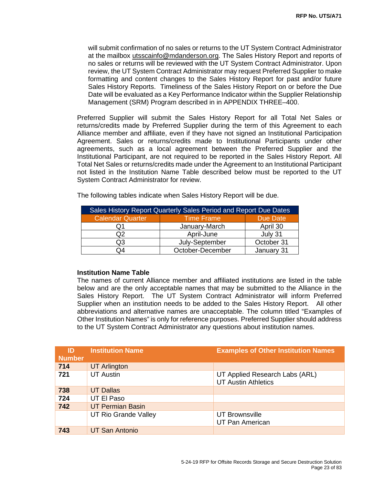will submit confirmation of no sales or returns to the UT System Contract Administrator at the mailbox utsscainfo@mdanderson.org. The Sales History Report and reports of no sales or returns will be reviewed with the UT System Contract Administrator. Upon review, the UT System Contract Administrator may request Preferred Supplier to make formatting and content changes to the Sales History Report for past and/or future Sales History Reports. Timeliness of the Sales History Report on or before the Due Date will be evaluated as a Key Performance Indicator within the Supplier Relationship Management (SRM) Program described in in APPENDIX THREE–400.

Preferred Supplier will submit the Sales History Report for all Total Net Sales or returns/credits made by Preferred Supplier during the term of this Agreement to each Alliance member and affiliate, even if they have not signed an Institutional Participation Agreement. Sales or returns/credits made to Institutional Participants under other agreements, such as a local agreement between the Preferred Supplier and the Institutional Participant, are not required to be reported in the Sales History Report. All Total Net Sales or returns/credits made under the Agreement to an Institutional Participant not listed in the Institution Name Table described below must be reported to the UT System Contract Administrator for review.

| Sales History Report Quarterly Sales Period and Report Due Dates |                   |            |
|------------------------------------------------------------------|-------------------|------------|
| <b>Calendar Quarter</b>                                          | <b>Time Frame</b> | Due Date   |
|                                                                  | January-March     | April 30   |
| ົງ2                                                              | April-June        | July 31    |
| OЗ                                                               | July-September    | October 31 |
| ۵4                                                               | October-December  | January 31 |

The following tables indicate when Sales History Report will be due.

## **Institution Name Table**

The names of current Alliance member and affiliated institutions are listed in the table below and are the only acceptable names that may be submitted to the Alliance in the Sales History Report. The UT System Contract Administrator will inform Preferred Supplier when an institution needs to be added to the Sales History Report. All other abbreviations and alternative names are unacceptable. The column titled "Examples of Other Institution Names" is only for reference purposes. Preferred Supplier should address to the UT System Contract Administrator any questions about institution names.

| ID<br><b>Number</b> | <b>Institution Name</b> | <b>Examples of Other Institution Names</b>                   |
|---------------------|-------------------------|--------------------------------------------------------------|
| 714                 | <b>UT Arlington</b>     |                                                              |
| 721                 | <b>UT Austin</b>        | UT Applied Research Labs (ARL)<br><b>UT Austin Athletics</b> |
| 738                 | <b>UT Dallas</b>        |                                                              |
| 724                 | UT El Paso              |                                                              |
| 742                 | <b>UT Permian Basin</b> |                                                              |
|                     | UT Rio Grande Valley    | UT Brownsville<br><b>UT Pan American</b>                     |
| 743                 | <b>UT San Antonio</b>   |                                                              |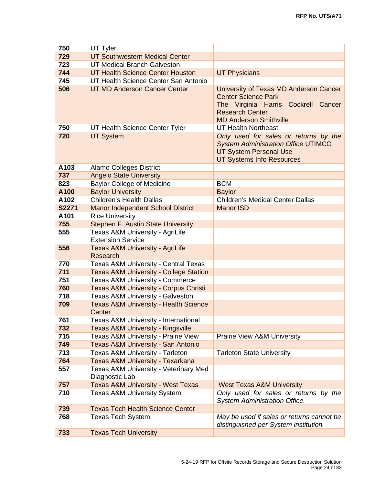| 750          | UT Tyler                                                    |                                                                                                                                                                        |
|--------------|-------------------------------------------------------------|------------------------------------------------------------------------------------------------------------------------------------------------------------------------|
| 729          | <b>UT Southwestern Medical Center</b>                       |                                                                                                                                                                        |
| 723          | <b>UT Medical Branch Galveston</b>                          |                                                                                                                                                                        |
| 744          | <b>UT Health Science Center Houston</b>                     | <b>UT Physicians</b>                                                                                                                                                   |
| 745          | UT Health Science Center San Antonio                        |                                                                                                                                                                        |
| 506          | <b>UT MD Anderson Cancer Center</b>                         | University of Texas MD Anderson Cancer<br><b>Center Science Park</b><br>The Virginia Harris Cockrell Cancer<br><b>Research Center</b><br><b>MD Anderson Smithville</b> |
| 750          | UT Health Science Center Tyler                              | <b>UT Health Northeast</b>                                                                                                                                             |
| 720          | <b>UT System</b>                                            | Only used for sales or returns by the<br><b>System Administration Office UTIMCO</b><br><b>UT System Personal Use</b><br><b>UT Systems Info Resources</b>               |
| A103         | <b>Alamo Colleges District</b>                              |                                                                                                                                                                        |
| 737          | <b>Angelo State University</b>                              |                                                                                                                                                                        |
| 823          | <b>Baylor College of Medicine</b>                           | <b>BCM</b>                                                                                                                                                             |
| A100         | <b>Baylor University</b>                                    | <b>Baylor</b>                                                                                                                                                          |
| A102         | <b>Children's Health Dallas</b>                             | <b>Children's Medical Center Dallas</b>                                                                                                                                |
| <b>S2271</b> | <b>Manor Independent School District</b>                    | <b>Manor ISD</b>                                                                                                                                                       |
| A101         | <b>Rice University</b>                                      |                                                                                                                                                                        |
| 755          | <b>Stephen F. Austin State University</b>                   |                                                                                                                                                                        |
| 555          | Texas A&M University - AgriLife<br><b>Extension Service</b> |                                                                                                                                                                        |
| 556          | <b>Texas A&amp;M University - AgriLife</b><br>Research      |                                                                                                                                                                        |
| 770          | <b>Texas A&amp;M University - Central Texas</b>             |                                                                                                                                                                        |
| 711          | <b>Texas A&amp;M University - College Station</b>           |                                                                                                                                                                        |
| 751          | <b>Texas A&amp;M University - Commerce</b>                  |                                                                                                                                                                        |
| 760          | <b>Texas A&amp;M University - Corpus Christi</b>            |                                                                                                                                                                        |
| 718          | Texas A&M University - Galveston                            |                                                                                                                                                                        |
| 709          | <b>Texas A&amp;M University - Health Science</b><br>Center  |                                                                                                                                                                        |
| 761          | Texas A&M University - International                        |                                                                                                                                                                        |
| 732          | <b>Texas A&amp;M University - Kingsville</b>                |                                                                                                                                                                        |
| 715          | Texas A&M University - Prairie View                         | Prairie View A&M University                                                                                                                                            |
| 749          | <b>Texas A&amp;M University - San Antonio</b>               |                                                                                                                                                                        |
| 713          | Texas A&M University - Tarleton                             | <b>Tarleton State University</b>                                                                                                                                       |
| 764          | <b>Texas A&amp;M University - Texarkana</b>                 |                                                                                                                                                                        |
| 557          | Texas A&M University - Veterinary Med<br>Diagnostic Lab     |                                                                                                                                                                        |
| 757          | <b>Texas A&amp;M University - West Texas</b>                | <b>West Texas A&amp;M University</b>                                                                                                                                   |
| 710          | <b>Texas A&amp;M University System</b>                      | Only used for sales or returns by the<br><b>System Administration Office.</b>                                                                                          |
| 739          | <b>Texas Tech Health Science Center</b>                     |                                                                                                                                                                        |
| 768          | <b>Texas Tech System</b>                                    | May be used if sales or returns cannot be<br>distinguished per System institution.                                                                                     |
| 733          | <b>Texas Tech University</b>                                |                                                                                                                                                                        |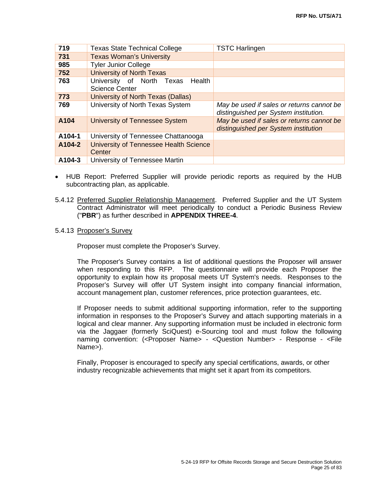| 719    | <b>Texas State Technical College</b>                         | <b>TSTC Harlingen</b>                                                              |
|--------|--------------------------------------------------------------|------------------------------------------------------------------------------------|
| 731    | <b>Texas Woman's University</b>                              |                                                                                    |
| 985    | <b>Tyler Junior College</b>                                  |                                                                                    |
| 752    | <b>University of North Texas</b>                             |                                                                                    |
| 763    | University of North Texas<br>Health<br><b>Science Center</b> |                                                                                    |
| 773    | University of North Texas (Dallas)                           |                                                                                    |
| 769    | University of North Texas System                             | May be used if sales or returns cannot be<br>distinguished per System institution. |
| A104   | University of Tennessee System                               | May be used if sales or returns cannot be<br>distinguished per System institution  |
| A104-1 | University of Tennessee Chattanooga                          |                                                                                    |
| A104-2 | University of Tennessee Health Science                       |                                                                                    |
|        | Center                                                       |                                                                                    |
| A104-3 | University of Tennessee Martin                               |                                                                                    |

- HUB Report: Preferred Supplier will provide periodic reports as required by the HUB subcontracting plan, as applicable.
- 5.4.12 Preferred Supplier Relationship Management. Preferred Supplier and the UT System Contract Administrator will meet periodically to conduct a Periodic Business Review ("**PBR**") as further described in **APPENDIX THREE-4**.
- 5.4.13 Proposer's Survey

Proposer must complete the Proposer's Survey.

The Proposer's Survey contains a list of additional questions the Proposer will answer when responding to this RFP. The questionnaire will provide each Proposer the opportunity to explain how its proposal meets UT System's needs. Responses to the Proposer's Survey will offer UT System insight into company financial information, account management plan, customer references, price protection guarantees, etc.

If Proposer needs to submit additional supporting information, refer to the supporting information in responses to the Proposer's Survey and attach supporting materials in a logical and clear manner. Any supporting information must be included in electronic form via the Jaggaer (formerly SciQuest) e-Sourcing tool and must follow the following naming convention: (<Proposer Name> - <Question Number> - Response - <File Name>).

Finally, Proposer is encouraged to specify any special certifications, awards, or other industry recognizable achievements that might set it apart from its competitors.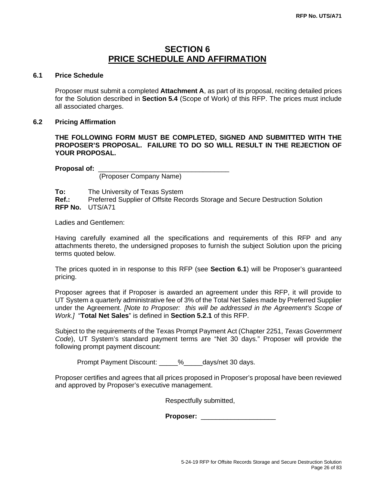# **SECTION 6 PRICE SCHEDULE AND AFFIRMATION**

### **6.1 Price Schedule**

Proposer must submit a completed **Attachment A**, as part of its proposal, reciting detailed prices for the Solution described in **Section 5.4** (Scope of Work) of this RFP. The prices must include all associated charges.

#### **6.2 Pricing Affirmation**

**THE FOLLOWING FORM MUST BE COMPLETED, SIGNED AND SUBMITTED WITH THE PROPOSER'S PROPOSAL. FAILURE TO DO SO WILL RESULT IN THE REJECTION OF YOUR PROPOSAL.**

**Proposal of:** \_\_\_\_\_\_\_\_\_\_\_\_\_\_\_\_\_\_\_\_\_\_\_\_\_\_\_\_\_\_\_\_\_\_\_

(Proposer Company Name)

**To:** The University of Texas System<br> **Ref.:** Preferred Supplier of Offsite Rec **Ref.:** Preferred Supplier of Offsite Records Storage and Secure Destruction Solution **RFP No.** UTS/A71

Ladies and Gentlemen:

Having carefully examined all the specifications and requirements of this RFP and any attachments thereto, the undersigned proposes to furnish the subject Solution upon the pricing terms quoted below.

The prices quoted in in response to this RFP (see **Section 6.1**) will be Proposer's guaranteed pricing.

Proposer agrees that if Proposer is awarded an agreement under this RFP, it will provide to UT System a quarterly administrative fee of 3% of the Total Net Sales made by Preferred Supplier under the Agreement. *[Note to Proposer: this will be addressed in the Agreement's Scope of Work.]* "**Total Net Sales**" is defined in **Section 5.2.1** of this RFP.

Subject to the requirements of the Texas Prompt Payment Act (Chapter 2251, *Texas Government Code*), UT System's standard payment terms are "Net 30 days." Proposer will provide the following prompt payment discount:

Prompt Payment Discount:  $\frac{1}{2}$  % days/net 30 days.

Proposer certifies and agrees that all prices proposed in Proposer's proposal have been reviewed and approved by Proposer's executive management.

Respectfully submitted,

**Proposer:** \_\_\_\_\_\_\_\_\_\_\_\_\_\_\_\_\_\_\_\_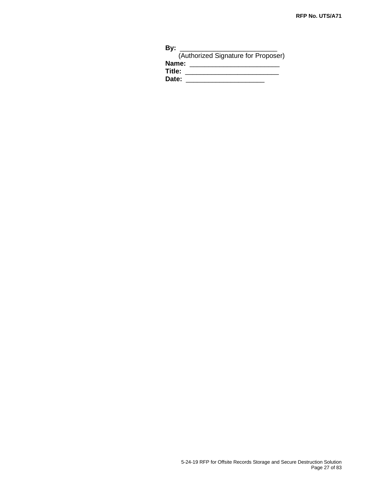| By:    |                                     |
|--------|-------------------------------------|
|        | (Authorized Signature for Proposer) |
| Name:  |                                     |
| Title: |                                     |
| Date:  |                                     |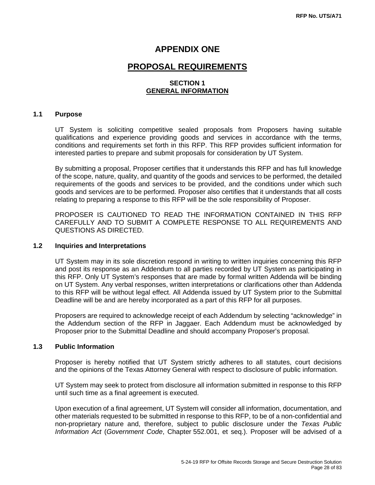# **APPENDIX ONE**

# **PROPOSAL REQUIREMENTS**

# **SECTION 1 GENERAL INFORMATION**

#### **1.1 Purpose**

UT System is soliciting competitive sealed proposals from Proposers having suitable qualifications and experience providing goods and services in accordance with the terms, conditions and requirements set forth in this RFP. This RFP provides sufficient information for interested parties to prepare and submit proposals for consideration by UT System.

By submitting a proposal, Proposer certifies that it understands this RFP and has full knowledge of the scope, nature, quality, and quantity of the goods and services to be performed, the detailed requirements of the goods and services to be provided, and the conditions under which such goods and services are to be performed. Proposer also certifies that it understands that all costs relating to preparing a response to this RFP will be the sole responsibility of Proposer.

PROPOSER IS CAUTIONED TO READ THE INFORMATION CONTAINED IN THIS RFP CAREFULLY AND TO SUBMIT A COMPLETE RESPONSE TO ALL REQUIREMENTS AND QUESTIONS AS DIRECTED.

#### **1.2 Inquiries and Interpretations**

UT System may in its sole discretion respond in writing to written inquiries concerning this RFP and post its response as an Addendum to all parties recorded by UT System as participating in this RFP. Only UT System's responses that are made by formal written Addenda will be binding on UT System. Any verbal responses, written interpretations or clarifications other than Addenda to this RFP will be without legal effect. All Addenda issued by UT System prior to the Submittal Deadline will be and are hereby incorporated as a part of this RFP for all purposes.

Proposers are required to acknowledge receipt of each Addendum by selecting "acknowledge" in the Addendum section of the RFP in Jaggaer. Each Addendum must be acknowledged by Proposer prior to the Submittal Deadline and should accompany Proposer's proposal.

### **1.3 Public Information**

Proposer is hereby notified that UT System strictly adheres to all statutes, court decisions and the opinions of the Texas Attorney General with respect to disclosure of public information.

UT System may seek to protect from disclosure all information submitted in response to this RFP until such time as a final agreement is executed.

Upon execution of a final agreement, UT System will consider all information, documentation, and other materials requested to be submitted in response to this RFP, to be of a non-confidential and non-proprietary nature and, therefore, subject to public disclosure under the *Texas Public Information Act* (*Government Code*, Chapter 552.001, et seq.). Proposer will be advised of a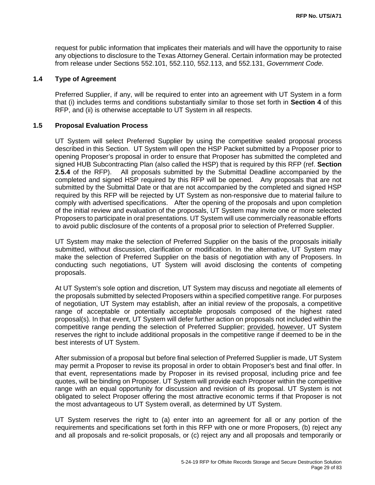request for public information that implicates their materials and will have the opportunity to raise any objections to disclosure to the Texas Attorney General. Certain information may be protected from release under Sections 552.101, 552.110, 552.113, and 552.131, *Government Code*.

#### **1.4 Type of Agreement**

Preferred Supplier, if any, will be required to enter into an agreement with UT System in a form that (i) includes terms and conditions substantially similar to those set forth in **Section 4** of this RFP, and (ii) is otherwise acceptable to UT System in all respects.

#### **1.5 Proposal Evaluation Process**

UT System will select Preferred Supplier by using the competitive sealed proposal process described in this Section. UT System will open the HSP Packet submitted by a Proposer prior to opening Proposer's proposal in order to ensure that Proposer has submitted the completed and signed HUB Subcontracting Plan (also called the HSP) that is required by this RFP (ref. **Section 2.5.4** of the RFP). All proposals submitted by the Submittal Deadline accompanied by the completed and signed HSP required by this RFP will be opened. Any proposals that are not submitted by the Submittal Date or that are not accompanied by the completed and signed HSP required by this RFP will be rejected by UT System as non-responsive due to material failure to comply with advertised specifications. After the opening of the proposals and upon completion of the initial review and evaluation of the proposals, UT System may invite one or more selected Proposers to participate in oral presentations. UT System will use commercially reasonable efforts to avoid public disclosure of the contents of a proposal prior to selection of Preferred Supplier.

UT System may make the selection of Preferred Supplier on the basis of the proposals initially submitted, without discussion, clarification or modification. In the alternative, UT System may make the selection of Preferred Supplier on the basis of negotiation with any of Proposers. In conducting such negotiations, UT System will avoid disclosing the contents of competing proposals.

At UT System's sole option and discretion, UT System may discuss and negotiate all elements of the proposals submitted by selected Proposers within a specified competitive range. For purposes of negotiation, UT System may establish, after an initial review of the proposals, a competitive range of acceptable or potentially acceptable proposals composed of the highest rated proposal(s). In that event, UT System will defer further action on proposals not included within the competitive range pending the selection of Preferred Supplier; provided, however, UT System reserves the right to include additional proposals in the competitive range if deemed to be in the best interests of UT System.

After submission of a proposal but before final selection of Preferred Supplier is made, UT System may permit a Proposer to revise its proposal in order to obtain Proposer's best and final offer. In that event, representations made by Proposer in its revised proposal, including price and fee quotes, will be binding on Proposer. UT System will provide each Proposer within the competitive range with an equal opportunity for discussion and revision of its proposal. UT System is not obligated to select Proposer offering the most attractive economic terms if that Proposer is not the most advantageous to UT System overall, as determined by UT System.

UT System reserves the right to (a) enter into an agreement for all or any portion of the requirements and specifications set forth in this RFP with one or more Proposers, (b) reject any and all proposals and re-solicit proposals, or (c) reject any and all proposals and temporarily or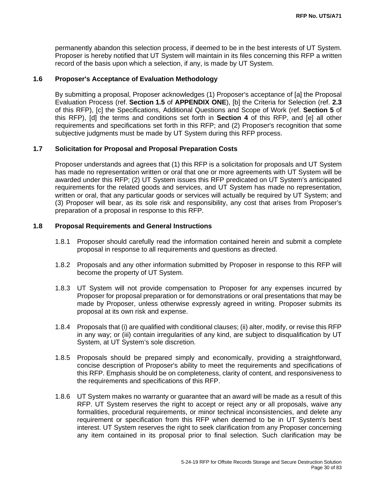permanently abandon this selection process, if deemed to be in the best interests of UT System. Proposer is hereby notified that UT System will maintain in its files concerning this RFP a written record of the basis upon which a selection, if any, is made by UT System.

## **1.6 Proposer's Acceptance of Evaluation Methodology**

By submitting a proposal, Proposer acknowledges (1) Proposer's acceptance of [a] the Proposal Evaluation Process (ref. **Section 1.5** of **APPENDIX ONE**), [b] the Criteria for Selection (ref. **2.3**  of this RFP), [c] the Specifications, Additional Questions and Scope of Work (ref. **Section 5** of this RFP), [d] the terms and conditions set forth in **Section 4** of this RFP, and [e] all other requirements and specifications set forth in this RFP; and (2) Proposer's recognition that some subjective judgments must be made by UT System during this RFP process.

# **1.7 Solicitation for Proposal and Proposal Preparation Costs**

Proposer understands and agrees that (1) this RFP is a solicitation for proposals and UT System has made no representation written or oral that one or more agreements with UT System will be awarded under this RFP; (2) UT System issues this RFP predicated on UT System's anticipated requirements for the related goods and services, and UT System has made no representation, written or oral, that any particular goods or services will actually be required by UT System; and (3) Proposer will bear, as its sole risk and responsibility, any cost that arises from Proposer's preparation of a proposal in response to this RFP.

#### **1.8 Proposal Requirements and General Instructions**

- 1.8.1 Proposer should carefully read the information contained herein and submit a complete proposal in response to all requirements and questions as directed.
- 1.8.2 Proposals and any other information submitted by Proposer in response to this RFP will become the property of UT System.
- 1.8.3 UT System will not provide compensation to Proposer for any expenses incurred by Proposer for proposal preparation or for demonstrations or oral presentations that may be made by Proposer, unless otherwise expressly agreed in writing. Proposer submits its proposal at its own risk and expense.
- 1.8.4 Proposals that (i) are qualified with conditional clauses; (ii) alter, modify, or revise this RFP in any way; or (iii) contain irregularities of any kind, are subject to disqualification by UT System, at UT System's sole discretion.
- 1.8.5 Proposals should be prepared simply and economically, providing a straightforward, concise description of Proposer's ability to meet the requirements and specifications of this RFP. Emphasis should be on completeness, clarity of content, and responsiveness to the requirements and specifications of this RFP.
- 1.8.6 UT System makes no warranty or guarantee that an award will be made as a result of this RFP. UT System reserves the right to accept or reject any or all proposals, waive any formalities, procedural requirements, or minor technical inconsistencies, and delete any requirement or specification from this RFP when deemed to be in UT System's best interest. UT System reserves the right to seek clarification from any Proposer concerning any item contained in its proposal prior to final selection. Such clarification may be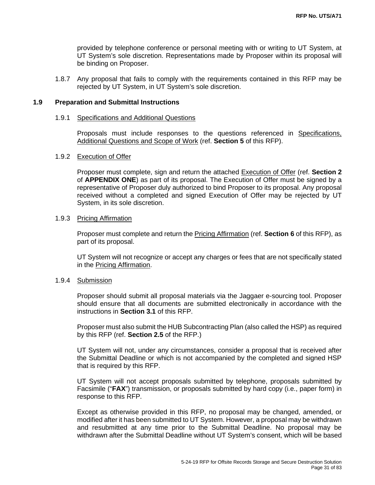provided by telephone conference or personal meeting with or writing to UT System, at UT System's sole discretion. Representations made by Proposer within its proposal will be binding on Proposer.

1.8.7 Any proposal that fails to comply with the requirements contained in this RFP may be rejected by UT System, in UT System's sole discretion.

#### **1.9 Preparation and Submittal Instructions**

#### 1.9.1 Specifications and Additional Questions

Proposals must include responses to the questions referenced in Specifications, Additional Questions and Scope of Work (ref. **Section 5** of this RFP).

#### 1.9.2 Execution of Offer

Proposer must complete, sign and return the attached Execution of Offer (ref. **Section 2**  of **APPENDIX ONE**) as part of its proposal. The Execution of Offer must be signed by a representative of Proposer duly authorized to bind Proposer to its proposal. Any proposal received without a completed and signed Execution of Offer may be rejected by UT System, in its sole discretion.

#### 1.9.3 Pricing Affirmation

Proposer must complete and return the Pricing Affirmation (ref. **Section 6** of this RFP), as part of its proposal.

UT System will not recognize or accept any charges or fees that are not specifically stated in the Pricing Affirmation.

#### 1.9.4 Submission

Proposer should submit all proposal materials via the Jaggaer e-sourcing tool. Proposer should ensure that all documents are submitted electronically in accordance with the instructions in **Section 3.1** of this RFP.

Proposer must also submit the HUB Subcontracting Plan (also called the HSP) as required by this RFP (ref. **Section 2.5** of the RFP.)

UT System will not, under any circumstances, consider a proposal that is received after the Submittal Deadline or which is not accompanied by the completed and signed HSP that is required by this RFP.

UT System will not accept proposals submitted by telephone, proposals submitted by Facsimile ("**FAX**") transmission, or proposals submitted by hard copy (i.e., paper form) in response to this RFP.

Except as otherwise provided in this RFP, no proposal may be changed, amended, or modified after it has been submitted to UT System. However, a proposal may be withdrawn and resubmitted at any time prior to the Submittal Deadline. No proposal may be withdrawn after the Submittal Deadline without UT System's consent, which will be based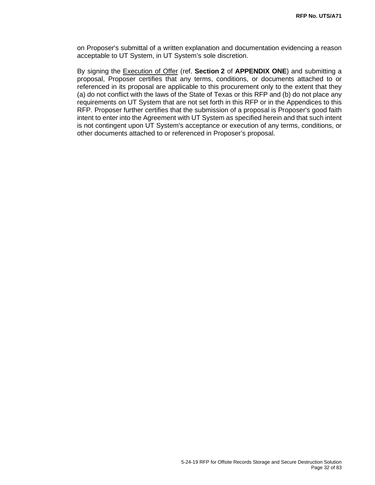on Proposer's submittal of a written explanation and documentation evidencing a reason acceptable to UT System, in UT System's sole discretion.

By signing the Execution of Offer (ref. **Section 2** of **APPENDIX ONE**) and submitting a proposal, Proposer certifies that any terms, conditions, or documents attached to or referenced in its proposal are applicable to this procurement only to the extent that they (a) do not conflict with the laws of the State of Texas or this RFP and (b) do not place any requirements on UT System that are not set forth in this RFP or in the Appendices to this RFP. Proposer further certifies that the submission of a proposal is Proposer's good faith intent to enter into the Agreement with UT System as specified herein and that such intent is not contingent upon UT System's acceptance or execution of any terms, conditions, or other documents attached to or referenced in Proposer's proposal.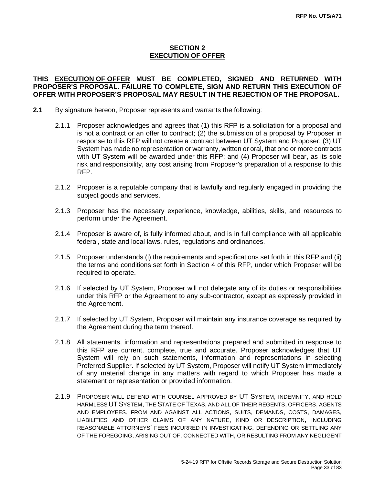# **SECTION 2 EXECUTION OF OFFER**

# **THIS EXECUTION OF OFFER MUST BE COMPLETED, SIGNED AND RETURNED WITH PROPOSER'S PROPOSAL. FAILURE TO COMPLETE, SIGN AND RETURN THIS EXECUTION OF OFFER WITH PROPOSER'S PROPOSAL MAY RESULT IN THE REJECTION OF THE PROPOSAL.**

- **2.1** By signature hereon, Proposer represents and warrants the following:
	- 2.1.1 Proposer acknowledges and agrees that (1) this RFP is a solicitation for a proposal and is not a contract or an offer to contract; (2) the submission of a proposal by Proposer in response to this RFP will not create a contract between UT System and Proposer; (3) UT System has made no representation or warranty, written or oral, that one or more contracts with UT System will be awarded under this RFP; and (4) Proposer will bear, as its sole risk and responsibility, any cost arising from Proposer's preparation of a response to this RFP.
	- 2.1.2 Proposer is a reputable company that is lawfully and regularly engaged in providing the subject goods and services.
	- 2.1.3 Proposer has the necessary experience, knowledge, abilities, skills, and resources to perform under the Agreement.
	- 2.1.4 Proposer is aware of, is fully informed about, and is in full compliance with all applicable federal, state and local laws, rules, regulations and ordinances.
	- 2.1.5 Proposer understands (i) the requirements and specifications set forth in this RFP and (ii) the terms and conditions set forth in Section 4 of this RFP, under which Proposer will be required to operate.
	- 2.1.6 If selected by UT System, Proposer will not delegate any of its duties or responsibilities under this RFP or the Agreement to any sub-contractor, except as expressly provided in the Agreement.
	- 2.1.7 If selected by UT System, Proposer will maintain any insurance coverage as required by the Agreement during the term thereof.
	- 2.1.8 All statements, information and representations prepared and submitted in response to this RFP are current, complete, true and accurate. Proposer acknowledges that UT System will rely on such statements, information and representations in selecting Preferred Supplier. If selected by UT System, Proposer will notify UT System immediately of any material change in any matters with regard to which Proposer has made a statement or representation or provided information.
	- 2.1.9 PROPOSER WILL DEFEND WITH COUNSEL APPROVED BY UT SYSTEM, INDEMNIFY, AND HOLD HARMLESS UT SYSTEM, THE STATE OF TEXAS, AND ALL OF THEIR REGENTS, OFFICERS, AGENTS AND EMPLOYEES, FROM AND AGAINST ALL ACTIONS, SUITS, DEMANDS, COSTS, DAMAGES, LIABILITIES AND OTHER CLAIMS OF ANY NATURE, KIND OR DESCRIPTION, INCLUDING REASONABLE ATTORNEYS' FEES INCURRED IN INVESTIGATING, DEFENDING OR SETTLING ANY OF THE FOREGOING, ARISING OUT OF, CONNECTED WITH, OR RESULTING FROM ANY NEGLIGENT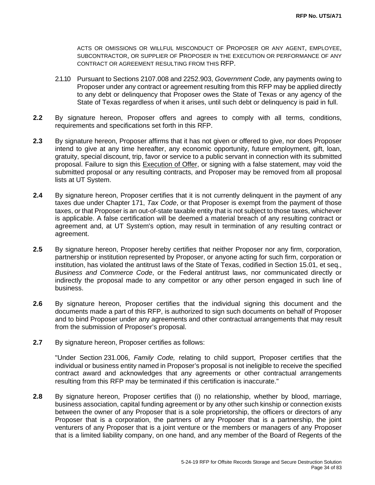ACTS OR OMISSIONS OR WILLFUL MISCONDUCT OF PROPOSER OR ANY AGENT, EMPLOYEE, SUBCONTRACTOR, OR SUPPLIER OF PROPOSER IN THE EXECUTION OR PERFORMANCE OF ANY CONTRACT OR AGREEMENT RESULTING FROM THIS RFP.

- 2.1.10 Pursuant to Sections 2107.008 and 2252.903, *Government Code*, any payments owing to Proposer under any contract or agreement resulting from this RFP may be applied directly to any debt or delinquency that Proposer owes the State of Texas or any agency of the State of Texas regardless of when it arises, until such debt or delinquency is paid in full.
- **2.2** By signature hereon, Proposer offers and agrees to comply with all terms, conditions, requirements and specifications set forth in this RFP.
- **2.3** By signature hereon, Proposer affirms that it has not given or offered to give, nor does Proposer intend to give at any time hereafter, any economic opportunity, future employment, gift, loan, gratuity, special discount, trip, favor or service to a public servant in connection with its submitted proposal. Failure to sign this Execution of Offer, or signing with a false statement, may void the submitted proposal or any resulting contracts, and Proposer may be removed from all proposal lists at UT System.
- **2.4** By signature hereon, Proposer certifies that it is not currently delinquent in the payment of any taxes due under Chapter 171, *Tax Code*, or that Proposer is exempt from the payment of those taxes, or that Proposer is an out-of-state taxable entity that is not subject to those taxes, whichever is applicable. A false certification will be deemed a material breach of any resulting contract or agreement and, at UT System's option, may result in termination of any resulting contract or agreement.
- 2.5 By signature hereon, Proposer hereby certifies that neither Proposer nor any firm, corporation, partnership or institution represented by Proposer, or anyone acting for such firm, corporation or institution, has violated the antitrust laws of the State of Texas, codified in Section 15.01, et seq., *Business and Commerce Code*, or the Federal antitrust laws, nor communicated directly or indirectly the proposal made to any competitor or any other person engaged in such line of business.
- **2.6** By signature hereon, Proposer certifies that the individual signing this document and the documents made a part of this RFP, is authorized to sign such documents on behalf of Proposer and to bind Proposer under any agreements and other contractual arrangements that may result from the submission of Proposer's proposal.
- **2.7** By signature hereon, Proposer certifies as follows:

"Under Section 231.006, *Family Code,* relating to child support, Proposer certifies that the individual or business entity named in Proposer's proposal is not ineligible to receive the specified contract award and acknowledges that any agreements or other contractual arrangements resulting from this RFP may be terminated if this certification is inaccurate."

**2.8** By signature hereon, Proposer certifies that (i) no relationship, whether by blood, marriage, business association, capital funding agreement or by any other such kinship or connection exists between the owner of any Proposer that is a sole proprietorship, the officers or directors of any Proposer that is a corporation, the partners of any Proposer that is a partnership, the joint venturers of any Proposer that is a joint venture or the members or managers of any Proposer that is a limited liability company, on one hand, and any member of the Board of Regents of the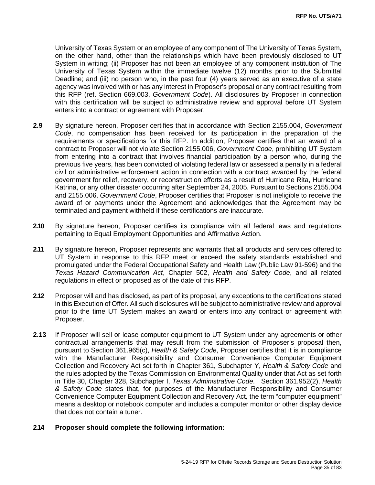University of Texas System or an employee of any component of The University of Texas System, on the other hand, other than the relationships which have been previously disclosed to UT System in writing; (ii) Proposer has not been an employee of any component institution of The University of Texas System within the immediate twelve (12) months prior to the Submittal Deadline; and (iii) no person who, in the past four (4) years served as an executive of a state agency was involved with or has any interest in Proposer's proposal or any contract resulting from this RFP (ref. Section 669.003, *Government Code*). All disclosures by Proposer in connection with this certification will be subject to administrative review and approval before UT System enters into a contract or agreement with Proposer.

- **2.9** By signature hereon, Proposer certifies that in accordance with Section 2155.004, *Government Code*, no compensation has been received for its participation in the preparation of the requirements or specifications for this RFP. In addition, Proposer certifies that an award of a contract to Proposer will not violate Section 2155.006, *Government Code*, prohibiting UT System from entering into a contract that involves financial participation by a person who, during the previous five years, has been convicted of violating federal law or assessed a penalty in a federal civil or administrative enforcement action in connection with a contract awarded by the federal government for relief, recovery, or reconstruction efforts as a result of Hurricane Rita, Hurricane Katrina, or any other disaster occurring after September 24, 2005. Pursuant to Sections 2155.004 and 2155.006, *Government Code*, Proposer certifies that Proposer is not ineligible to receive the award of or payments under the Agreement and acknowledges that the Agreement may be terminated and payment withheld if these certifications are inaccurate.
- **2.10** By signature hereon, Proposer certifies its compliance with all federal laws and regulations pertaining to Equal Employment Opportunities and Affirmative Action.
- **2.11** By signature hereon, Proposer represents and warrants that all products and services offered to UT System in response to this RFP meet or exceed the safety standards established and promulgated under the Federal Occupational Safety and Health Law (Public Law 91-596) and the *Texas Hazard Communication Act*, Chapter 502, *Health and Safety Code*, and all related regulations in effect or proposed as of the date of this RFP.
- **2.12** Proposer will and has disclosed, as part of its proposal, any exceptions to the certifications stated in this Execution of Offer. All such disclosures will be subject to administrative review and approval prior to the time UT System makes an award or enters into any contract or agreement with Proposer.
- **2.13** If Proposer will sell or lease computer equipment to UT System under any agreements or other contractual arrangements that may result from the submission of Proposer's proposal then, pursuant to Section 361.965(c), *Health & Safety Code*, Proposer certifies that it is in compliance with the Manufacturer Responsibility and Consumer Convenience Computer Equipment Collection and Recovery Act set forth in Chapter 361, Subchapter Y, *Health & Safety Code* and the rules adopted by the Texas Commission on Environmental Quality under that Act as set forth in Title 30, Chapter 328, Subchapter I, *Texas Administrative Code*. Section 361.952(2), *Health & Safety Code* states that, for purposes of the Manufacturer Responsibility and Consumer Convenience Computer Equipment Collection and Recovery Act*,* the term "computer equipment" means a desktop or notebook computer and includes a computer monitor or other display device that does not contain a tuner.

#### **2.14 Proposer should complete the following information:**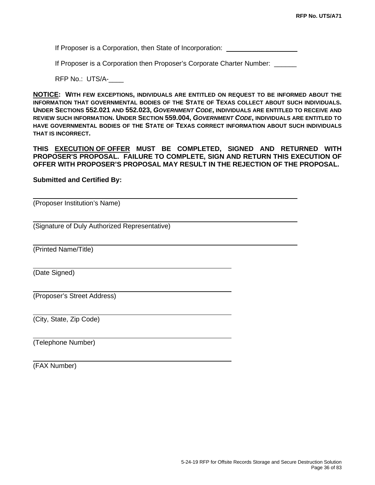If Proposer is a Corporation, then State of Incorporation:

If Proposer is a Corporation then Proposer's Corporate Charter Number: \_\_\_\_\_\_

RFP No.: UTS/A-\_\_\_\_

**NOTICE: WITH FEW EXCEPTIONS, INDIVIDUALS ARE ENTITLED ON REQUEST TO BE INFORMED ABOUT THE INFORMATION THAT GOVERNMENTAL BODIES OF THE STATE OF TEXAS COLLECT ABOUT SUCH INDIVIDUALS. UNDER SECTIONS 552.021 AND 552.023,** *GOVERNMENT CODE***, INDIVIDUALS ARE ENTITLED TO RECEIVE AND REVIEW SUCH INFORMATION. UNDER SECTION 559.004,** *GOVERNMENT CODE***, INDIVIDUALS ARE ENTITLED TO HAVE GOVERNMENTAL BODIES OF THE STATE OF TEXAS CORRECT INFORMATION ABOUT SUCH INDIVIDUALS THAT IS INCORRECT.**

**THIS EXECUTION OF OFFER MUST BE COMPLETED, SIGNED AND RETURNED WITH PROPOSER'S PROPOSAL. FAILURE TO COMPLETE, SIGN AND RETURN THIS EXECUTION OF OFFER WITH PROPOSER'S PROPOSAL MAY RESULT IN THE REJECTION OF THE PROPOSAL.** 

**Submitted and Certified By:** 

(Proposer Institution's Name)

(Signature of Duly Authorized Representative)

(Printed Name/Title)

(Date Signed)

(Proposer's Street Address)

(City, State, Zip Code)

(Telephone Number)

(FAX Number)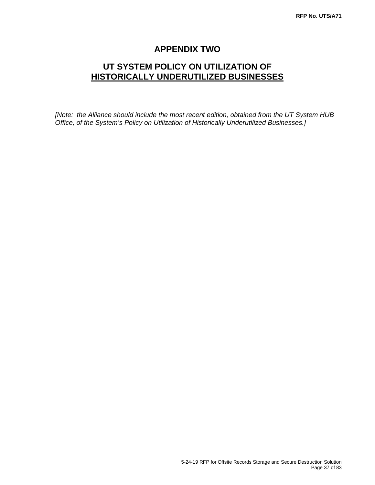# **APPENDIX TWO**

# **UT SYSTEM POLICY ON UTILIZATION OF HISTORICALLY UNDERUTILIZED BUSINESSES**

*[Note: the Alliance should include the most recent edition, obtained from the UT System HUB Office, of the System's Policy on Utilization of Historically Underutilized Businesses.]*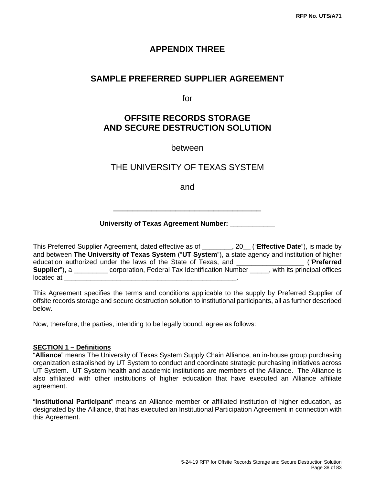## **APPENDIX THREE**

## **SAMPLE PREFERRED SUPPLIER AGREEMENT**

for

# **OFFSITE RECORDS STORAGE AND SECURE DESTRUCTION SOLUTION**

between

## THE UNIVERSITY OF TEXAS SYSTEM

and

## **University of Texas Agreement Number:** \_\_\_\_\_\_\_\_\_\_\_\_

\_\_\_\_\_\_\_\_\_\_\_\_\_\_\_\_\_\_\_\_\_\_\_\_\_\_\_\_\_\_\_

This Preferred Supplier Agreement, dated effective as of \_\_\_\_\_\_\_\_, 20\_\_ ("**Effective Date**"), is made by and between **The University of Texas System** ("**UT System**"), a state agency and institution of higher education authorized under the laws of the State of Texas, and \_\_\_\_\_\_\_\_\_\_\_\_\_\_\_\_\_\_ ("**Preferred Supplier**"), a \_\_\_\_\_\_\_\_\_\_ corporation, Federal Tax Identification Number \_\_\_\_\_, with its principal offices located at

This Agreement specifies the terms and conditions applicable to the supply by Preferred Supplier of offsite records storage and secure destruction solution to institutional participants, all as further described below.

Now, therefore, the parties, intending to be legally bound, agree as follows:

#### **SECTION 1 – Definitions**

"**Alliance**" means The University of Texas System Supply Chain Alliance, an in-house group purchasing organization established by UT System to conduct and coordinate strategic purchasing initiatives across UT System. UT System health and academic institutions are members of the Alliance. The Alliance is also affiliated with other institutions of higher education that have executed an Alliance affiliate agreement.

"**Institutional Participant**" means an Alliance member or affiliated institution of higher education, as designated by the Alliance, that has executed an Institutional Participation Agreement in connection with this Agreement.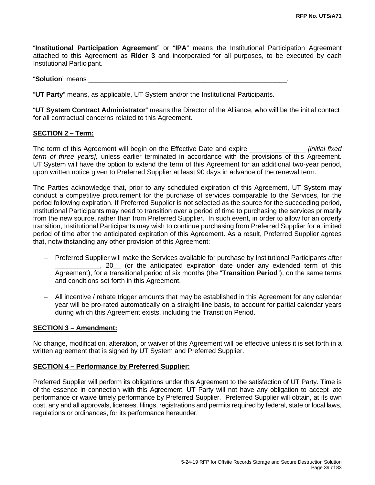"**Institutional Participation Agreement**" or "**IPA**" means the Institutional Participation Agreement attached to this Agreement as **Rider 3** and incorporated for all purposes, to be executed by each Institutional Participant.

#### "**Solution**" means

"**UT Party**" means, as applicable, UT System and/or the Institutional Participants.

"**UT System Contract Administrator**" means the Director of the Alliance, who will be the initial contact for all contractual concerns related to this Agreement.

#### **SECTION 2 – Term:**

The term of this Agreement will begin on the Effective Date and expire \_\_\_\_\_\_\_\_\_\_\_\_\_\_\_ *[initial fixed term of three years],* unless earlier terminated in accordance with the provisions of this Agreement. UT System will have the option to extend the term of this Agreement for an additional two-year period, upon written notice given to Preferred Supplier at least 90 days in advance of the renewal term.

The Parties acknowledge that, prior to any scheduled expiration of this Agreement, UT System may conduct a competitive procurement for the purchase of services comparable to the Services, for the period following expiration. If Preferred Supplier is not selected as the source for the succeeding period, Institutional Participants may need to transition over a period of time to purchasing the services primarily from the new source, rather than from Preferred Supplier. In such event, in order to allow for an orderly transition, Institutional Participants may wish to continue purchasing from Preferred Supplier for a limited period of time after the anticipated expiration of this Agreement. As a result, Preferred Supplier agrees that, notwithstanding any other provision of this Agreement:

- − Preferred Supplier will make the Services available for purchase by Institutional Participants after <sub>\_\_\_\_\_</sub>, 20<sub>\_</sub>\_ (or the anticipated expiration date under any extended term of this Agreement), for a transitional period of six months (the "**Transition Period**"), on the same terms and conditions set forth in this Agreement.
- − All incentive / rebate trigger amounts that may be established in this Agreement for any calendar year will be pro-rated automatically on a straight-line basis, to account for partial calendar years during which this Agreement exists, including the Transition Period.

#### **SECTION 3 – Amendment:**

No change, modification, alteration, or waiver of this Agreement will be effective unless it is set forth in a written agreement that is signed by UT System and Preferred Supplier.

## **SECTION 4 – Performance by Preferred Supplier:**

Preferred Supplier will perform its obligations under this Agreement to the satisfaction of UT Party. Time is of the essence in connection with this Agreement. UT Party will not have any obligation to accept late performance or waive timely performance by Preferred Supplier. Preferred Supplier will obtain, at its own cost, any and all approvals, licenses, filings, registrations and permits required by federal, state or local laws, regulations or ordinances, for its performance hereunder.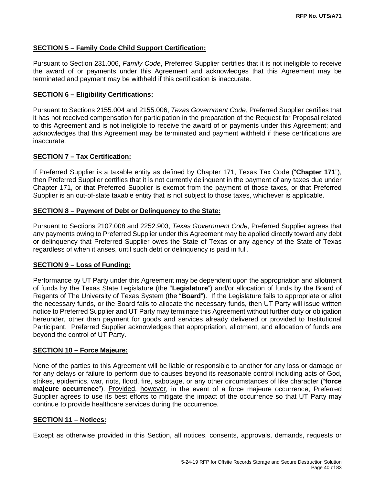## **SECTION 5 – Family Code Child Support Certification:**

Pursuant to Section 231.006, *Family Code*, Preferred Supplier certifies that it is not ineligible to receive the award of or payments under this Agreement and acknowledges that this Agreement may be terminated and payment may be withheld if this certification is inaccurate.

#### **SECTION 6 – Eligibility Certifications:**

Pursuant to Sections 2155.004 and 2155.006, *Texas Government Code*, Preferred Supplier certifies that it has not received compensation for participation in the preparation of the Request for Proposal related to this Agreement and is not ineligible to receive the award of or payments under this Agreement; and acknowledges that this Agreement may be terminated and payment withheld if these certifications are inaccurate.

## **SECTION 7 – Tax Certification:**

If Preferred Supplier is a taxable entity as defined by Chapter 171, Texas Tax Code ("**Chapter 171**"), then Preferred Supplier certifies that it is not currently delinquent in the payment of any taxes due under Chapter 171, or that Preferred Supplier is exempt from the payment of those taxes, or that Preferred Supplier is an out-of-state taxable entity that is not subject to those taxes, whichever is applicable.

## **SECTION 8 – Payment of Debt or Delinquency to the State:**

Pursuant to Sections 2107.008 and 2252.903, *Texas Government Code*, Preferred Supplier agrees that any payments owing to Preferred Supplier under this Agreement may be applied directly toward any debt or delinquency that Preferred Supplier owes the State of Texas or any agency of the State of Texas regardless of when it arises, until such debt or delinquency is paid in full.

## **SECTION 9 – Loss of Funding:**

Performance by UT Party under this Agreement may be dependent upon the appropriation and allotment of funds by the Texas State Legislature (the "**Legislature**") and/or allocation of funds by the Board of Regents of The University of Texas System (the "**Board**"). If the Legislature fails to appropriate or allot the necessary funds, or the Board fails to allocate the necessary funds, then UT Party will issue written notice to Preferred Supplier and UT Party may terminate this Agreement without further duty or obligation hereunder, other than payment for goods and services already delivered or provided to Institutional Participant. Preferred Supplier acknowledges that appropriation, allotment, and allocation of funds are beyond the control of UT Party.

#### **SECTION 10 – Force Majeure:**

None of the parties to this Agreement will be liable or responsible to another for any loss or damage or for any delays or failure to perform due to causes beyond its reasonable control including acts of God, strikes, epidemics, war, riots, flood, fire, sabotage, or any other circumstances of like character ("**force majeure occurrence**"). Provided, however, in the event of a force majeure occurrence, Preferred Supplier agrees to use its best efforts to mitigate the impact of the occurrence so that UT Party may continue to provide healthcare services during the occurrence.

#### **SECTION 11 – Notices:**

Except as otherwise provided in this Section, all notices, consents, approvals, demands, requests or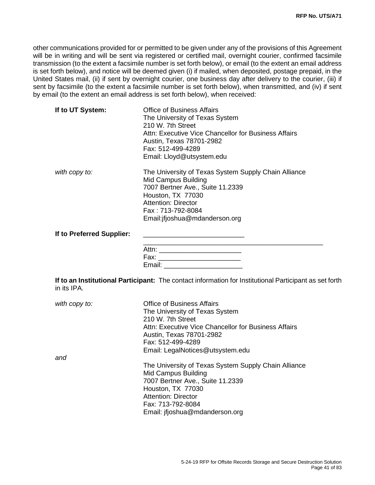other communications provided for or permitted to be given under any of the provisions of this Agreement will be in writing and will be sent via registered or certified mail, overnight courier, confirmed facsimile transmission (to the extent a facsimile number is set forth below), or email (to the extent an email address is set forth below), and notice will be deemed given (i) if mailed, when deposited, postage prepaid, in the United States mail, (ii) if sent by overnight courier, one business day after delivery to the courier, (iii) if sent by facsimile (to the extent a facsimile number is set forth below), when transmitted, and (iv) if sent by email (to the extent an email address is set forth below), when received:

| If to UT System:          | <b>Office of Business Affairs</b>                    |
|---------------------------|------------------------------------------------------|
|                           | The University of Texas System                       |
|                           | 210 W. 7th Street                                    |
|                           | Attn: Executive Vice Chancellor for Business Affairs |
|                           | Austin, Texas 78701-2982                             |
|                           | Fax: 512-499-4289                                    |
|                           | Email: Lloyd@utsystem.edu                            |
| with copy to:             | The University of Texas System Supply Chain Alliance |
|                           | Mid Campus Building                                  |
|                           | 7007 Bertner Ave., Suite 11.2339                     |
|                           | Houston, TX 77030                                    |
|                           | <b>Attention: Director</b>                           |
|                           | Fax: 713-792-8084                                    |
|                           | Email: if joshua@mdanderson.org                      |
| If to Preferred Supplier: |                                                      |
|                           |                                                      |
|                           | Attn:<br>Fax:                                        |
|                           |                                                      |

**If to an Institutional Participant:** The contact information for Institutional Participant as set forth in its IPA.

| with copy to: | <b>Office of Business Affairs</b><br>The University of Texas System<br>210 W. 7th Street<br>Attn: Executive Vice Chancellor for Business Affairs<br>Austin, Texas 78701-2982<br>Fax: 512-499-4289<br>Email: LegalNotices@utsystem.edu |
|---------------|---------------------------------------------------------------------------------------------------------------------------------------------------------------------------------------------------------------------------------------|
| and           |                                                                                                                                                                                                                                       |
|               | The University of Texas System Supply Chain Alliance<br>Mid Campus Building<br>7007 Bertner Ave., Suite 11.2339<br>Houston, TX 77030<br>Attention: Director<br>Fax: 713-792-8084<br>Email: ifjoshua@mdanderson.org                    |

Email: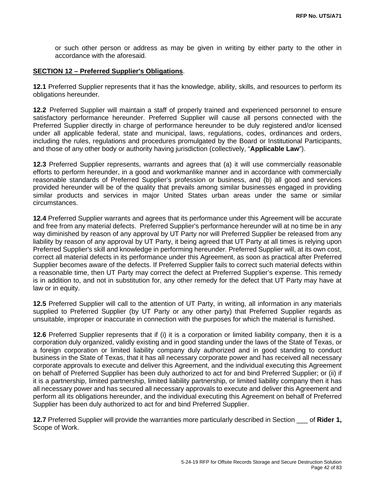or such other person or address as may be given in writing by either party to the other in accordance with the aforesaid.

#### **SECTION 12 – Preferred Supplier's Obligations**.

**12.1** Preferred Supplier represents that it has the knowledge, ability, skills, and resources to perform its obligations hereunder.

**12.2** Preferred Supplier will maintain a staff of properly trained and experienced personnel to ensure satisfactory performance hereunder. Preferred Supplier will cause all persons connected with the Preferred Supplier directly in charge of performance hereunder to be duly registered and/or licensed under all applicable federal, state and municipal, laws, regulations, codes, ordinances and orders, including the rules, regulations and procedures promulgated by the Board or Institutional Participants, and those of any other body or authority having jurisdiction (collectively, "**Applicable Law**").

**12.3** Preferred Supplier represents, warrants and agrees that (a) it will use commercially reasonable efforts to perform hereunder, in a good and workmanlike manner and in accordance with commercially reasonable standards of Preferred Supplier's profession or business, and (b) all good and services provided hereunder will be of the quality that prevails among similar businesses engaged in providing similar products and services in major United States urban areas under the same or similar circumstances.

**12.4** Preferred Supplier warrants and agrees that its performance under this Agreement will be accurate and free from any material defects. Preferred Supplier's performance hereunder will at no time be in any way diminished by reason of any approval by UT Party nor will Preferred Supplier be released from any liability by reason of any approval by UT Party, it being agreed that UT Party at all times is relying upon Preferred Supplier's skill and knowledge in performing hereunder. Preferred Supplier will, at its own cost, correct all material defects in its performance under this Agreement, as soon as practical after Preferred Supplier becomes aware of the defects. If Preferred Supplier fails to correct such material defects within a reasonable time, then UT Party may correct the defect at Preferred Supplier's expense. This remedy is in addition to, and not in substitution for, any other remedy for the defect that UT Party may have at law or in equity.

**12.5** Preferred Supplier will call to the attention of UT Party, in writing, all information in any materials supplied to Preferred Supplier (by UT Party or any other party) that Preferred Supplier regards as unsuitable, improper or inaccurate in connection with the purposes for which the material is furnished.

**12.6** Preferred Supplier represents that if (i) it is a corporation or limited liability company, then it is a corporation duly organized, validly existing and in good standing under the laws of the State of Texas, or a foreign corporation or limited liability company duly authorized and in good standing to conduct business in the State of Texas, that it has all necessary corporate power and has received all necessary corporate approvals to execute and deliver this Agreement, and the individual executing this Agreement on behalf of Preferred Supplier has been duly authorized to act for and bind Preferred Supplier; or (ii) if it is a partnership, limited partnership, limited liability partnership, or limited liability company then it has all necessary power and has secured all necessary approvals to execute and deliver this Agreement and perform all its obligations hereunder, and the individual executing this Agreement on behalf of Preferred Supplier has been duly authorized to act for and bind Preferred Supplier.

**12.7** Preferred Supplier will provide the warranties more particularly described in Section \_\_\_ of **Rider 1,** Scope of Work.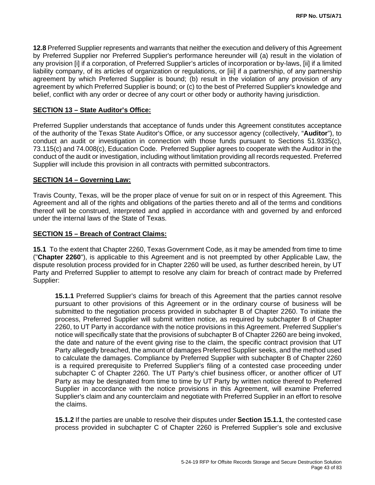**12.8** Preferred Supplier represents and warrants that neither the execution and delivery of this Agreement by Preferred Supplier nor Preferred Supplier's performance hereunder will (a) result in the violation of any provision [i] if a corporation, of Preferred Supplier's articles of incorporation or by-laws, [ii] if a limited liability company, of its articles of organization or regulations, or [iii] if a partnership, of any partnership agreement by which Preferred Supplier is bound; (b) result in the violation of any provision of any agreement by which Preferred Supplier is bound; or (c) to the best of Preferred Supplier's knowledge and belief, conflict with any order or decree of any court or other body or authority having jurisdiction.

#### **SECTION 13 – State Auditor's Office:**

Preferred Supplier understands that acceptance of funds under this Agreement constitutes acceptance of the authority of the Texas State Auditor's Office, or any successor agency (collectively, "**Auditor**"), to conduct an audit or investigation in connection with those funds pursuant to Sections 51.9335(c), 73.115(c) and 74.008(c), Education Code. Preferred Supplier agrees to cooperate with the Auditor in the conduct of the audit or investigation, including without limitation providing all records requested. Preferred Supplier will include this provision in all contracts with permitted subcontractors.

#### **SECTION 14 – Governing Law:**

Travis County, Texas, will be the proper place of venue for suit on or in respect of this Agreement. This Agreement and all of the rights and obligations of the parties thereto and all of the terms and conditions thereof will be construed, interpreted and applied in accordance with and governed by and enforced under the internal laws of the State of Texas.

#### **SECTION 15 – Breach of Contract Claims:**

**15.1** To the extent that Chapter 2260, Texas Government Code, as it may be amended from time to time ("**Chapter 2260**"), is applicable to this Agreement and is not preempted by other Applicable Law, the dispute resolution process provided for in Chapter 2260 will be used, as further described herein, by UT Party and Preferred Supplier to attempt to resolve any claim for breach of contract made by Preferred Supplier:

**15.1.1** Preferred Supplier's claims for breach of this Agreement that the parties cannot resolve pursuant to other provisions of this Agreement or in the ordinary course of business will be submitted to the negotiation process provided in subchapter B of Chapter 2260. To initiate the process, Preferred Supplier will submit written notice, as required by subchapter B of Chapter 2260, to UT Party in accordance with the notice provisions in this Agreement. Preferred Supplier's notice will specifically state that the provisions of subchapter B of Chapter 2260 are being invoked, the date and nature of the event giving rise to the claim, the specific contract provision that UT Party allegedly breached, the amount of damages Preferred Supplier seeks, and the method used to calculate the damages. Compliance by Preferred Supplier with subchapter B of Chapter 2260 is a required prerequisite to Preferred Supplier's filing of a contested case proceeding under subchapter C of Chapter 2260. The UT Party's chief business officer, or another officer of UT Party as may be designated from time to time by UT Party by written notice thereof to Preferred Supplier in accordance with the notice provisions in this Agreement, will examine Preferred Supplier's claim and any counterclaim and negotiate with Preferred Supplier in an effort to resolve the claims.

**15.1.2** If the parties are unable to resolve their disputes under **Section 15.1.1**, the contested case process provided in subchapter C of Chapter 2260 is Preferred Supplier's sole and exclusive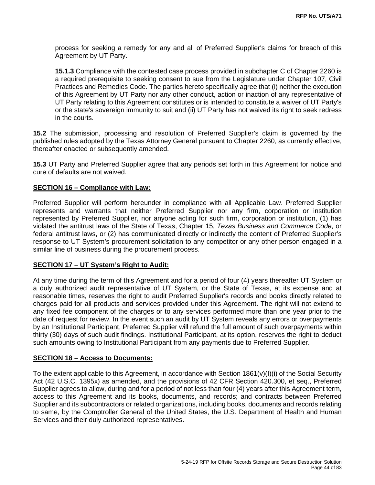process for seeking a remedy for any and all of Preferred Supplier's claims for breach of this Agreement by UT Party.

**15.1.3** Compliance with the contested case process provided in subchapter C of Chapter 2260 is a required prerequisite to seeking consent to sue from the Legislature under Chapter 107, Civil Practices and Remedies Code. The parties hereto specifically agree that (i) neither the execution of this Agreement by UT Party nor any other conduct, action or inaction of any representative of UT Party relating to this Agreement constitutes or is intended to constitute a waiver of UT Party's or the state's sovereign immunity to suit and (ii) UT Party has not waived its right to seek redress in the courts.

**15.2** The submission, processing and resolution of Preferred Supplier's claim is governed by the published rules adopted by the Texas Attorney General pursuant to Chapter 2260, as currently effective, thereafter enacted or subsequently amended.

**15.3** UT Party and Preferred Supplier agree that any periods set forth in this Agreement for notice and cure of defaults are not waived.

#### **SECTION 16 – Compliance with Law:**

Preferred Supplier will perform hereunder in compliance with all Applicable Law. Preferred Supplier represents and warrants that neither Preferred Supplier nor any firm, corporation or institution represented by Preferred Supplier, nor anyone acting for such firm, corporation or institution, (1) has violated the antitrust laws of the State of Texas, Chapter 15, *Texas Business and Commerce Code*, or federal antitrust laws, or (2) has communicated directly or indirectly the content of Preferred Supplier's response to UT System's procurement solicitation to any competitor or any other person engaged in a similar line of business during the procurement process.

#### **SECTION 17 – UT System's Right to Audit:**

At any time during the term of this Agreement and for a period of four (4) years thereafter UT System or a duly authorized audit representative of UT System, or the State of Texas, at its expense and at reasonable times, reserves the right to audit Preferred Supplier's records and books directly related to charges paid for all products and services provided under this Agreement. The right will not extend to any fixed fee component of the charges or to any services performed more than one year prior to the date of request for review. In the event such an audit by UT System reveals any errors or overpayments by an Institutional Participant, Preferred Supplier will refund the full amount of such overpayments within thirty (30) days of such audit findings. Institutional Participant, at its option, reserves the right to deduct such amounts owing to Institutional Participant from any payments due to Preferred Supplier.

#### **SECTION 18 – Access to Documents:**

To the extent applicable to this Agreement, in accordance with Section 1861(v)(I)(i) of the Social Security Act (42 U.S.C. 1395x) as amended, and the provisions of 42 CFR Section 420.300, et seq., Preferred Supplier agrees to allow, during and for a period of not less than four (4) years after this Agreement term, access to this Agreement and its books, documents, and records; and contracts between Preferred Supplier and its subcontractors or related organizations, including books, documents and records relating to same, by the Comptroller General of the United States, the U.S. Department of Health and Human Services and their duly authorized representatives.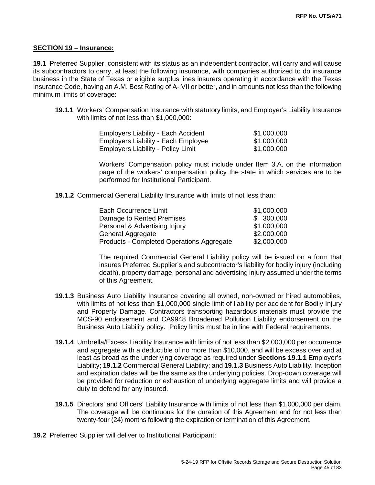#### **SECTION 19 – Insurance:**

**19.1** Preferred Supplier, consistent with its status as an independent contractor, will carry and will cause its subcontractors to carry, at least the following insurance, with companies authorized to do insurance business in the State of Texas or eligible surplus lines insurers operating in accordance with the Texas Insurance Code, having an A.M. Best Rating of A-:VII or better, and in amounts not less than the following minimum limits of coverage:

**19.1.1** Workers' Compensation Insurance with statutory limits, and Employer's Liability Insurance with limits of not less than \$1,000,000:

| <b>Employers Liability - Each Accident</b> | \$1,000,000 |
|--------------------------------------------|-------------|
| <b>Employers Liability - Each Employee</b> | \$1,000,000 |
| <b>Employers Liability - Policy Limit</b>  | \$1,000,000 |

Workers' Compensation policy must include under Item 3.A. on the information page of the workers' compensation policy the state in which services are to be performed for Institutional Participant.

**19.1.2** Commercial General Liability Insurance with limits of not less than:

| Each Occurrence Limit                            | \$1,000,000 |
|--------------------------------------------------|-------------|
| Damage to Rented Premises                        | \$ 300,000  |
| Personal & Advertising Injury                    | \$1,000,000 |
| General Aggregate                                | \$2,000,000 |
| <b>Products - Completed Operations Aggregate</b> | \$2,000,000 |

The required Commercial General Liability policy will be issued on a form that insures Preferred Supplier's and subcontractor's liability for bodily injury (including death), property damage, personal and advertising injury assumed under the terms of this Agreement.

- **19.1.3** Business Auto Liability Insurance covering all owned, non-owned or hired automobiles, with limits of not less than \$1,000,000 single limit of liability per accident for Bodily Injury and Property Damage. Contractors transporting hazardous materials must provide the MCS-90 endorsement and CA9948 Broadened Pollution Liability endorsement on the Business Auto Liability policy. Policy limits must be in line with Federal requirements.
- **19.1.4** Umbrella/Excess Liability Insurance with limits of not less than \$2,000,000 per occurrence and aggregate with a deductible of no more than \$10,000, and will be excess over and at least as broad as the underlying coverage as required under **Sections 19.1.1** Employer's Liability; **19.1.2** Commercial General Liability; and **19.1.3** Business Auto Liability. Inception and expiration dates will be the same as the underlying policies. Drop-down coverage will be provided for reduction or exhaustion of underlying aggregate limits and will provide a duty to defend for any insured.
- **19.1.5** Directors' and Officers' Liability Insurance with limits of not less than \$1,000,000 per claim. The coverage will be continuous for the duration of this Agreement and for not less than twenty-four (24) months following the expiration or termination of this Agreement.
- **19.2** Preferred Supplier will deliver to Institutional Participant: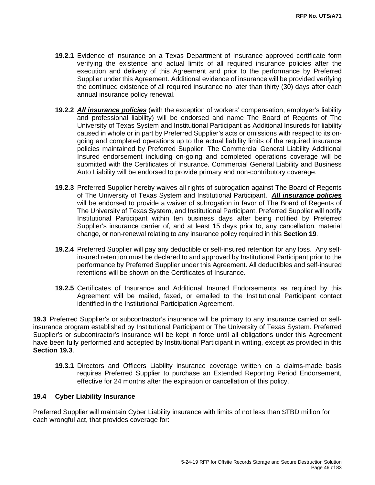- **19.2.1** Evidence of insurance on a Texas Department of Insurance approved certificate form verifying the existence and actual limits of all required insurance policies after the execution and delivery of this Agreement and prior to the performance by Preferred Supplier under this Agreement. Additional evidence of insurance will be provided verifying the continued existence of all required insurance no later than thirty (30) days after each annual insurance policy renewal.
- **19.2.2** *All insurance policies* (with the exception of workers' compensation, employer's liability and professional liability) will be endorsed and name The Board of Regents of The University of Texas System and Institutional Participant as Additional Insureds for liability caused in whole or in part by Preferred Supplier's acts or omissions with respect to its ongoing and completed operations up to the actual liability limits of the required insurance policies maintained by Preferred Supplier. The Commercial General Liability Additional Insured endorsement including on-going and completed operations coverage will be submitted with the Certificates of Insurance. Commercial General Liability and Business Auto Liability will be endorsed to provide primary and non-contributory coverage.
- **19.2.3** Preferred Supplier hereby waives all rights of subrogation against The Board of Regents of The University of Texas System and Institutional Participant. *All insurance policies* will be endorsed to provide a waiver of subrogation in favor of The Board of Regents of The University of Texas System, and Institutional Participant. Preferred Supplier will notify Institutional Participant within ten business days after being notified by Preferred Supplier's insurance carrier of, and at least 15 days prior to, any cancellation, material change, or non-renewal relating to any insurance policy required in this **Section 19**.
- **19.2.4** Preferred Supplier will pay any deductible or self-insured retention for any loss. Any selfinsured retention must be declared to and approved by Institutional Participant prior to the performance by Preferred Supplier under this Agreement. All deductibles and self-insured retentions will be shown on the Certificates of Insurance.
- **19.2.5** Certificates of Insurance and Additional Insured Endorsements as required by this Agreement will be mailed, faxed, or emailed to the Institutional Participant contact identified in the Institutional Participation Agreement.

**19.3** Preferred Supplier's or subcontractor's insurance will be primary to any insurance carried or selfinsurance program established by Institutional Participant or The University of Texas System. Preferred Supplier's or subcontractor's insurance will be kept in force until all obligations under this Agreement have been fully performed and accepted by Institutional Participant in writing, except as provided in this **Section 19.3**.

**19.3.1** Directors and Officers Liability insurance coverage written on a claims-made basis requires Preferred Supplier to purchase an Extended Reporting Period Endorsement, effective for 24 months after the expiration or cancellation of this policy.

## **19.4 Cyber Liability Insurance**

Preferred Supplier will maintain Cyber Liability insurance with limits of not less than \$TBD million for each wrongful act, that provides coverage for: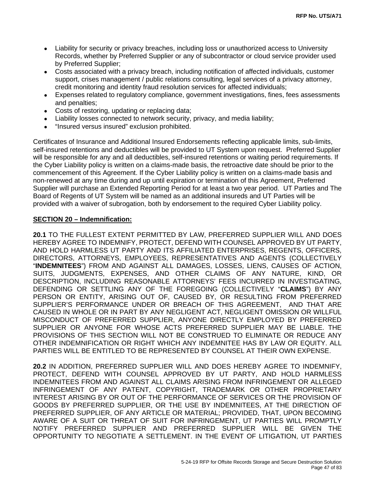- Liability for security or privacy breaches, including loss or unauthorized access to University Records, whether by Preferred Supplier or any of subcontractor or cloud service provider used by Preferred Supplier;
- Costs associated with a privacy breach, including notification of affected individuals, customer support, crises management / public relations consulting, legal services of a privacy attorney, credit monitoring and identity fraud resolution services for affected individuals;
- Expenses related to regulatory compliance, government investigations, fines, fees assessments and penalties;
- Costs of restoring, updating or replacing data;
- Liability losses connected to network security, privacy, and media liability;
- "Insured versus insured" exclusion prohibited.

Certificates of Insurance and Additional Insured Endorsements reflecting applicable limits, sub-limits, self-insured retentions and deductibles will be provided to UT System upon request. Preferred Supplier will be responsible for any and all deductibles, self-insured retentions or waiting period requirements. If the Cyber Liability policy is written on a claims-made basis, the retroactive date should be prior to the commencement of this Agreement. If the Cyber Liability policy is written on a claims-made basis and non-renewed at any time during and up until expiration or termination of this Agreement, Preferred Supplier will purchase an Extended Reporting Period for at least a two year period. UT Parties and The Board of Regents of UT System will be named as an additional insureds and UT Parties will be provided with a waiver of subrogation, both by endorsement to the required Cyber Liability policy.

## **SECTION 20 – Indemnification:**

**20.1** TO THE FULLEST EXTENT PERMITTED BY LAW, PREFERRED SUPPLIER WILL AND DOES HEREBY AGREE TO INDEMNIFY, PROTECT, DEFEND WITH COUNSEL APPROVED BY UT PARTY, AND HOLD HARMLESS UT PARTY AND ITS AFFILIATED ENTERPRISES, REGENTS, OFFICERS, DIRECTORS, ATTORNEYS, EMPLOYEES, REPRESENTATIVES AND AGENTS (COLLECTIVELY "**INDEMNITEES**") FROM AND AGAINST ALL DAMAGES, LOSSES, LIENS, CAUSES OF ACTION, SUITS, JUDGMENTS, EXPENSES, AND OTHER CLAIMS OF ANY NATURE, KIND, OR DESCRIPTION, INCLUDING REASONABLE ATTORNEYS' FEES INCURRED IN INVESTIGATING, DEFENDING OR SETTLING ANY OF THE FOREGOING (COLLECTIVELY "**CLAIMS**") BY ANY PERSON OR ENTITY, ARISING OUT OF, CAUSED BY, OR RESULTING FROM PREFERRED SUPPLIER'S PERFORMANCE UNDER OR BREACH OF THIS AGREEMENT, AND THAT ARE CAUSED IN WHOLE OR IN PART BY ANY NEGLIGENT ACT, NEGLIGENT OMISSION OR WILLFUL MISCONDUCT OF PREFERRED SUPPLIER, ANYONE DIRECTLY EMPLOYED BY PREFERRED SUPPLIER OR ANYONE FOR WHOSE ACTS PREFERRED SUPPLIER MAY BE LIABLE. THE PROVISIONS OF THIS SECTION WILL NOT BE CONSTRUED TO ELIMINATE OR REDUCE ANY OTHER INDEMNIFICATION OR RIGHT WHICH ANY INDEMNITEE HAS BY LAW OR EQUITY. ALL PARTIES WILL BE ENTITLED TO BE REPRESENTED BY COUNSEL AT THEIR OWN EXPENSE.

**20.2** IN ADDITION, PREFERRED SUPPLIER WILL AND DOES HEREBY AGREE TO INDEMNIFY, PROTECT, DEFEND WITH COUNSEL APPROVED BY UT PARTY, AND HOLD HARMLESS INDEMNITEES FROM AND AGAINST ALL CLAIMS ARISING FROM INFRINGEMENT OR ALLEGED INFRINGEMENT OF ANY PATENT, COPYRIGHT, TRADEMARK OR OTHER PROPRIETARY INTEREST ARISING BY OR OUT OF THE PERFORMANCE OF SERVICES OR THE PROVISION OF GOODS BY PREFERRED SUPPLIER, OR THE USE BY INDEMNITEES, AT THE DIRECTION OF PREFERRED SUPPLIER, OF ANY ARTICLE OR MATERIAL; PROVIDED, THAT, UPON BECOMING AWARE OF A SUIT OR THREAT OF SUIT FOR INFRINGEMENT, UT PARTIES WILL PROMPTLY NOTIFY PREFERRED SUPPLIER AND PREFERRED SUPPLIER WILL BE GIVEN THE OPPORTUNITY TO NEGOTIATE A SETTLEMENT. IN THE EVENT OF LITIGATION, UT PARTIES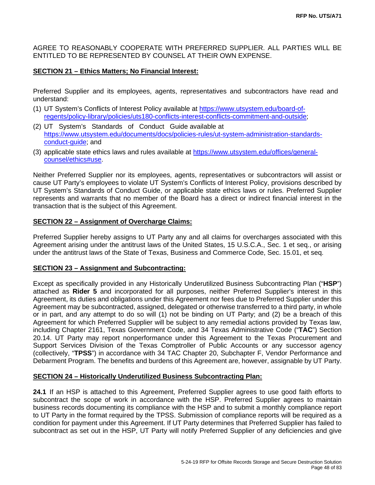AGREE TO REASONABLY COOPERATE WITH PREFERRED SUPPLIER. ALL PARTIES WILL BE ENTITLED TO BE REPRESENTED BY COUNSEL AT THEIR OWN EXPENSE.

## **SECTION 21 – Ethics Matters; No Financial Interest:**

Preferred Supplier and its employees, agents, representatives and subcontractors have read and understand:

- (1) UT System's Conflicts of Interest Policy available at [https://www.utsystem.edu/board-of](https://www.utsystem.edu/board-of-regents/policy-library/policies/uts180-conflicts-interest-conflicts-commitment-and-outside)[regents/policy-library/policies/uts180-conflicts-interest-conflicts-commitment-and-outside;](https://www.utsystem.edu/board-of-regents/policy-library/policies/uts180-conflicts-interest-conflicts-commitment-and-outside)
- (2) UT System's Standards of Conduct Guide available at [https://www.utsystem.edu/documents/docs/policies-rules/ut-system-administration-standards](https://www.utsystem.edu/documents/docs/policies-rules/ut-system-administration-standards-conduct-guide)[conduct-guide;](https://www.utsystem.edu/documents/docs/policies-rules/ut-system-administration-standards-conduct-guide) and
- (3) applicable state ethics laws and rules available at [https://www.utsystem.edu/offices/general](https://www.utsystem.edu/offices/general-counsel/ethics#use)[counsel/ethics#use](https://www.utsystem.edu/offices/general-counsel/ethics#use)[.](http://www.utsystem.edu/ogc/ethics)

Neither Preferred Supplier nor its employees, agents, representatives or subcontractors will assist or cause UT Party's employees to violate UT System's Conflicts of Interest Policy, provisions described by UT System's Standards of Conduct Guide, or applicable state ethics laws or rules. Preferred Supplier represents and warrants that no member of the Board has a direct or indirect financial interest in the transaction that is the subject of this Agreement.

## **SECTION 22 – Assignment of Overcharge Claims:**

Preferred Supplier hereby assigns to UT Party any and all claims for overcharges associated with this Agreement arising under the antitrust laws of the United States, 15 U.S.C.A., Sec. 1 et seq., or arising under the antitrust laws of the State of Texas, Business and Commerce Code, Sec. 15.01, et seq.

## **SECTION 23 – Assignment and Subcontracting:**

Except as specifically provided in any Historically Underutilized Business Subcontracting Plan ("**HSP**") attached as **Rider 5** and incorporated for all purposes, neither Preferred Supplier's interest in this Agreement, its duties and obligations under this Agreement nor fees due to Preferred Supplier under this Agreement may be subcontracted, assigned, delegated or otherwise transferred to a third party, in whole or in part, and any attempt to do so will (1) not be binding on UT Party; and (2) be a breach of this Agreement for which Preferred Supplier will be subject to any remedial actions provided by Texas law, including Chapter 2161, Texas Government Code, and 34 Texas Administrative Code ("**TAC**") Section 20.14. UT Party may report nonperformance under this Agreement to the Texas Procurement and Support Services Division of the Texas Comptroller of Public Accounts or any successor agency (collectively, "**TPSS**") in accordance with 34 TAC Chapter 20, Subchapter F, Vendor Performance and Debarment Program. The benefits and burdens of this Agreement are, however, assignable by UT Party.

## **SECTION 24 – Historically Underutilized Business Subcontracting Plan:**

**24.1** If an HSP is attached to this Agreement, Preferred Supplier agrees to use good faith efforts to subcontract the scope of work in accordance with the HSP. Preferred Supplier agrees to maintain business records documenting its compliance with the HSP and to submit a monthly compliance report to UT Party in the format required by the TPSS. Submission of compliance reports will be required as a condition for payment under this Agreement. If UT Party determines that Preferred Supplier has failed to subcontract as set out in the HSP, UT Party will notify Preferred Supplier of any deficiencies and give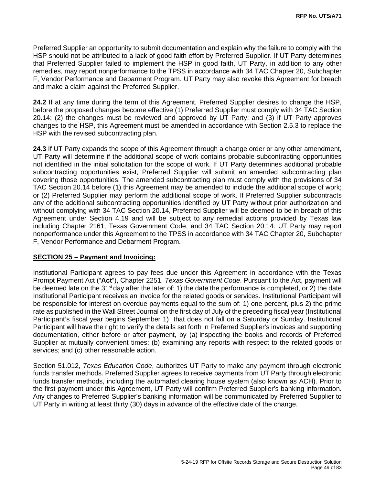Preferred Supplier an opportunity to submit documentation and explain why the failure to comply with the HSP should not be attributed to a lack of good faith effort by Preferred Supplier. If UT Party determines that Preferred Supplier failed to implement the HSP in good faith, UT Party, in addition to any other remedies, may report nonperformance to the TPSS in accordance with 34 TAC Chapter 20, Subchapter F, Vendor Performance and Debarment Program. UT Party may also revoke this Agreement for breach and make a claim against the Preferred Supplier.

**24.2** If at any time during the term of this Agreement, Preferred Supplier desires to change the HSP, before the proposed changes become effective (1) Preferred Supplier must comply with 34 TAC Section 20.14; (2) the changes must be reviewed and approved by UT Party; and (3) if UT Party approves changes to the HSP, this Agreement must be amended in accordance with Section 2.5.3 to replace the HSP with the revised subcontracting plan.

**24.3** If UT Party expands the scope of this Agreement through a change order or any other amendment, UT Party will determine if the additional scope of work contains probable subcontracting opportunities not identified in the initial solicitation for the scope of work. If UT Party determines additional probable subcontracting opportunities exist, Preferred Supplier will submit an amended subcontracting plan covering those opportunities. The amended subcontracting plan must comply with the provisions of 34 TAC Section 20.14 before (1) this Agreement may be amended to include the additional scope of work; or (2) Preferred Supplier may perform the additional scope of work. If Preferred Supplier subcontracts any of the additional subcontracting opportunities identified by UT Party without prior authorization and without complying with 34 TAC Section 20.14, Preferred Supplier will be deemed to be in breach of this Agreement under Section 4.19 and will be subject to any remedial actions provided by Texas law including Chapter 2161, Texas Government Code, and 34 TAC Section 20.14. UT Party may report nonperformance under this Agreement to the TPSS in accordance with 34 TAC Chapter 20, Subchapter F, Vendor Performance and Debarment Program.

## **SECTION 25 – Payment and Invoicing:**

Institutional Participant agrees to pay fees due under this Agreement in accordance with the Texas Prompt Payment Act ("**Act**"), Chapter 2251, *Texas Government Code*. Pursuant to the Act, payment will be deemed late on the 31<sup>st</sup> day after the later of: 1) the date the performance is completed, or 2) the date Institutional Participant receives an invoice for the related goods or services. Institutional Participant will be responsible for interest on overdue payments equal to the sum of: 1) one percent, plus 2) the prime rate as published in the Wall Street Journal on the first day of July of the preceding fiscal year (Institutional Participant's fiscal year begins September 1) that does not fall on a Saturday or Sunday. Institutional Participant will have the right to verify the details set forth in Preferred Supplier's invoices and supporting documentation, either before or after payment, by (a) inspecting the books and records of Preferred Supplier at mutually convenient times; (b) examining any reports with respect to the related goods or services; and (c) other reasonable action.

Section 51.012, *Texas Education Code*, authorizes UT Party to make any payment through electronic funds transfer methods. Preferred Supplier agrees to receive payments from UT Party through electronic funds transfer methods, including the automated clearing house system (also known as ACH). Prior to the first payment under this Agreement, UT Party will confirm Preferred Supplier's banking information. Any changes to Preferred Supplier's banking information will be communicated by Preferred Supplier to UT Party in writing at least thirty (30) days in advance of the effective date of the change.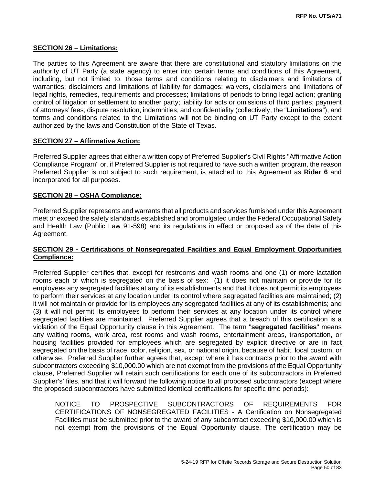## **SECTION 26 – Limitations:**

The parties to this Agreement are aware that there are constitutional and statutory limitations on the authority of UT Party (a state agency) to enter into certain terms and conditions of this Agreement, including, but not limited to, those terms and conditions relating to disclaimers and limitations of warranties; disclaimers and limitations of liability for damages; waivers, disclaimers and limitations of legal rights, remedies, requirements and processes; limitations of periods to bring legal action; granting control of litigation or settlement to another party; liability for acts or omissions of third parties; payment of attorneys' fees; dispute resolution; indemnities; and confidentiality (collectively, the "**Limitations**"), and terms and conditions related to the Limitations will not be binding on UT Party except to the extent authorized by the laws and Constitution of the State of Texas.

## **SECTION 27 – Affirmative Action:**

Preferred Supplier agrees that either a written copy of Preferred Supplier's Civil Rights "Affirmative Action Compliance Program" or, if Preferred Supplier is not required to have such a written program, the reason Preferred Supplier is not subject to such requirement, is attached to this Agreement as **Rider 6** and incorporated for all purposes.

#### **SECTION 28 – OSHA Compliance:**

Preferred Supplier represents and warrants that all products and services furnished under this Agreement meet or exceed the safety standards established and promulgated under the Federal Occupational Safety and Health Law (Public Law 91-598) and its regulations in effect or proposed as of the date of this Agreement.

## **SECTION 29 - Certifications of Nonsegregated Facilities and Equal Employment Opportunities Compliance:**

Preferred Supplier certifies that, except for restrooms and wash rooms and one (1) or more lactation rooms each of which is segregated on the basis of sex: (1) it does not maintain or provide for its employees any segregated facilities at any of its establishments and that it does not permit its employees to perform their services at any location under its control where segregated facilities are maintained; (2) it will not maintain or provide for its employees any segregated facilities at any of its establishments; and (3) it will not permit its employees to perform their services at any location under its control where segregated facilities are maintained. Preferred Supplier agrees that a breach of this certification is a violation of the Equal Opportunity clause in this Agreement. The term "**segregated facilities**" means any waiting rooms, work area, rest rooms and wash rooms, entertainment areas, transportation, or housing facilities provided for employees which are segregated by explicit directive or are in fact segregated on the basis of race, color, religion, sex, or national origin, because of habit, local custom, or otherwise. Preferred Supplier further agrees that, except where it has contracts prior to the award with subcontractors exceeding \$10,000.00 which are not exempt from the provisions of the Equal Opportunity clause, Preferred Supplier will retain such certifications for each one of its subcontractors in Preferred Supplier's' files, and that it will forward the following notice to all proposed subcontractors (except where the proposed subcontractors have submitted identical certifications for specific time periods):

NOTICE TO PROSPECTIVE SUBCONTRACTORS OF REQUIREMENTS FOR CERTIFICATIONS OF NONSEGREGATED FACILITIES - A Certification on Nonsegregated Facilities must be submitted prior to the award of any subcontract exceeding \$10,000.00 which is not exempt from the provisions of the Equal Opportunity clause. The certification may be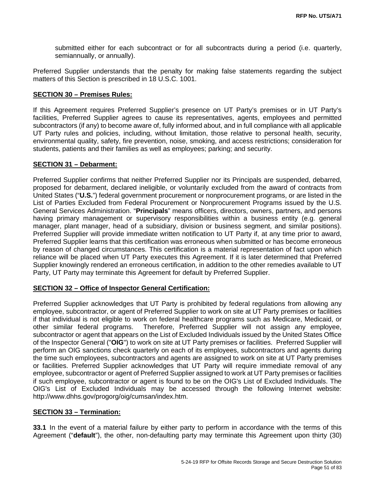submitted either for each subcontract or for all subcontracts during a period (i.e. quarterly, semiannually, or annually).

Preferred Supplier understands that the penalty for making false statements regarding the subject matters of this Section is prescribed in 18 U.S.C. 1001.

#### **SECTION 30 – Premises Rules:**

If this Agreement requires Preferred Supplier's presence on UT Party's premises or in UT Party's facilities, Preferred Supplier agrees to cause its representatives, agents, employees and permitted subcontractors (if any) to become aware of, fully informed about, and in full compliance with all applicable UT Party rules and policies, including, without limitation, those relative to personal health, security, environmental quality, safety, fire prevention, noise, smoking, and access restrictions; consideration for students, patients and their families as well as employees; parking; and security.

## **SECTION 31 – Debarment:**

Preferred Supplier confirms that neither Preferred Supplier nor its Principals are suspended, debarred, proposed for debarment, declared ineligible, or voluntarily excluded from the award of contracts from United States ("**U.S.**") federal government procurement or nonprocurement programs, or are listed in the List of Parties Excluded from Federal Procurement or Nonprocurement Programs issued by the U.S. General Services Administration. "**Principals**" means officers, directors, owners, partners, and persons having primary management or supervisory responsibilities within a business entity (e.g. general manager, plant manager, head of a subsidiary, division or business segment, and similar positions). Preferred Supplier will provide immediate written notification to UT Party if, at any time prior to award, Preferred Supplier learns that this certification was erroneous when submitted or has become erroneous by reason of changed circumstances. This certification is a material representation of fact upon which reliance will be placed when UT Party executes this Agreement. If it is later determined that Preferred Supplier knowingly rendered an erroneous certification, in addition to the other remedies available to UT Party, UT Party may terminate this Agreement for default by Preferred Supplier.

## **SECTION 32 – Office of Inspector General Certification:**

Preferred Supplier acknowledges that UT Party is prohibited by federal regulations from allowing any employee, subcontractor, or agent of Preferred Supplier to work on site at UT Party premises or facilities if that individual is not eligible to work on federal healthcare programs such as Medicare, Medicaid, or other similar federal programs. Therefore, Preferred Supplier will not assign any employee, subcontractor or agent that appears on the List of Excluded Individuals issued by the United States Office of the Inspector General ("**OIG**") to work on site at UT Party premises or facilities. Preferred Supplier will perform an OIG sanctions check quarterly on each of its employees, subcontractors and agents during the time such employees, subcontractors and agents are assigned to work on site at UT Party premises or facilities. Preferred Supplier acknowledges that UT Party will require immediate removal of any employee, subcontractor or agent of Preferred Supplier assigned to work at UT Party premises or facilities if such employee, subcontractor or agent is found to be on the OIG's List of Excluded Individuals. The OIG's List of Excluded Individuals may be accessed through the following Internet website: http://www.dhhs.gov/progorg/oig/cumsan/index.htm.

## **SECTION 33 – Termination:**

**33.1** In the event of a material failure by either party to perform in accordance with the terms of this Agreement ("**default**"), the other, non-defaulting party may terminate this Agreement upon thirty (30)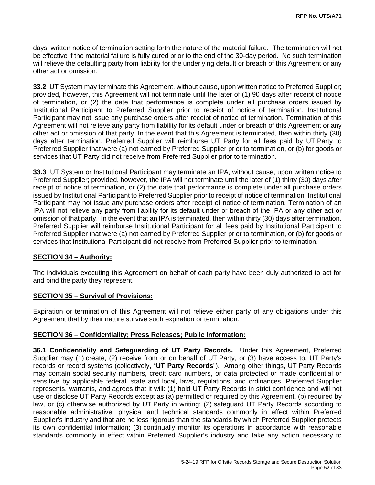days' written notice of termination setting forth the nature of the material failure. The termination will not be effective if the material failure is fully cured prior to the end of the 30-day period. No such termination will relieve the defaulting party from liability for the underlying default or breach of this Agreement or any other act or omission.

**33.2** UT System may terminate this Agreement, without cause, upon written notice to Preferred Supplier; provided, however, this Agreement will not terminate until the later of (1) 90 days after receipt of notice of termination, or (2) the date that performance is complete under all purchase orders issued by Institutional Participant to Preferred Supplier prior to receipt of notice of termination. Institutional Participant may not issue any purchase orders after receipt of notice of termination. Termination of this Agreement will not relieve any party from liability for its default under or breach of this Agreement or any other act or omission of that party. In the event that this Agreement is terminated, then within thirty (30) days after termination, Preferred Supplier will reimburse UT Party for all fees paid by UT Party to Preferred Supplier that were (a) not earned by Preferred Supplier prior to termination, or (b) for goods or services that UT Party did not receive from Preferred Supplier prior to termination.

**33.3** UT System or Institutional Participant may terminate an IPA, without cause, upon written notice to Preferred Supplier; provided, however, the IPA will not terminate until the later of (1) thirty (30) days after receipt of notice of termination, or (2) the date that performance is complete under all purchase orders issued by Institutional Participant to Preferred Supplier prior to receipt of notice of termination. Institutional Participant may not issue any purchase orders after receipt of notice of termination. Termination of an IPA will not relieve any party from liability for its default under or breach of the IPA or any other act or omission of that party. In the event that an IPA is terminated, then within thirty (30) days after termination, Preferred Supplier will reimburse Institutional Participant for all fees paid by Institutional Participant to Preferred Supplier that were (a) not earned by Preferred Supplier prior to termination, or (b) for goods or services that Institutional Participant did not receive from Preferred Supplier prior to termination.

## **SECTION 34 – Authority:**

The individuals executing this Agreement on behalf of each party have been duly authorized to act for and bind the party they represent.

#### **SECTION 35 – Survival of Provisions:**

Expiration or termination of this Agreement will not relieve either party of any obligations under this Agreement that by their nature survive such expiration or termination.

## **SECTION 36 – Confidentiality; Press Releases; Public Information:**

**36.1 Confidentiality and Safeguarding of UT Party Records.** Under this Agreement, Preferred Supplier may (1) create, (2) receive from or on behalf of UT Party, or (3) have access to, UT Party's records or record systems (collectively, "**UT Party Records**"). Among other things, UT Party Records may contain social security numbers, credit card numbers, or data protected or made confidential or sensitive by applicable federal, state and local, laws, regulations, and ordinances. Preferred Supplier represents, warrants, and agrees that it will: (1) hold UT Party Records in strict confidence and will not use or disclose UT Party Records except as (a) permitted or required by this Agreement, (b) required by law, or (c) otherwise authorized by UT Party in writing; (2) safeguard UT Party Records according to reasonable administrative, physical and technical standards commonly in effect within Preferred Supplier's industry and that are no less rigorous than the standards by which Preferred Supplier protects its own confidential information; (3) continually monitor its operations in accordance with reasonable standards commonly in effect within Preferred Supplier's industry and take any action necessary to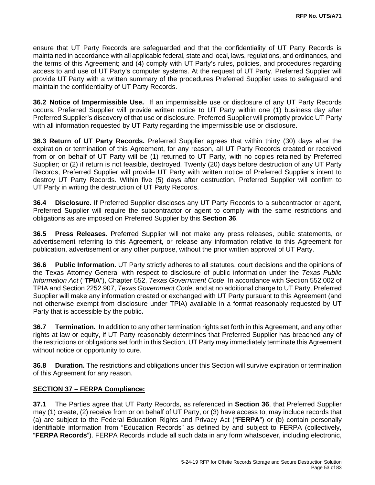ensure that UT Party Records are safeguarded and that the confidentiality of UT Party Records is maintained in accordance with all applicable federal, state and local, laws, regulations, and ordinances, and the terms of this Agreement; and (4) comply with UT Party's rules, policies, and procedures regarding access to and use of UT Party's computer systems. At the request of UT Party, Preferred Supplier will provide UT Party with a written summary of the procedures Preferred Supplier uses to safeguard and maintain the confidentiality of UT Party Records.

**36.2 Notice of Impermissible Use.** If an impermissible use or disclosure of any UT Party Records occurs, Preferred Supplier will provide written notice to UT Party within one (1) business day after Preferred Supplier's discovery of that use or disclosure. Preferred Supplier will promptly provide UT Party with all information requested by UT Party regarding the impermissible use or disclosure.

**36.3 Return of UT Party Records.** Preferred Supplier agrees that within thirty (30) days after the expiration or termination of this Agreement, for any reason, all UT Party Records created or received from or on behalf of UT Party will be (1) returned to UT Party, with no copies retained by Preferred Supplier; or (2) if return is not feasible, destroyed. Twenty (20) days before destruction of any UT Party Records, Preferred Supplier will provide UT Party with written notice of Preferred Supplier's intent to destroy UT Party Records. Within five (5) days after destruction, Preferred Supplier will confirm to UT Party in writing the destruction of UT Party Records.

**36.4 Disclosure.** If Preferred Supplier discloses any UT Party Records to a subcontractor or agent, Preferred Supplier will require the subcontractor or agent to comply with the same restrictions and obligations as are imposed on Preferred Supplier by this **Section 36**.

**36.5 Press Releases.** Preferred Supplier will not make any press releases, public statements, or advertisement referring to this Agreement, or release any information relative to this Agreement for publication, advertisement or any other purpose, without the prior written approval of UT Party.

**36.6 Public Information.** UT Party strictly adheres to all statutes, court decisions and the opinions of the Texas Attorney General with respect to disclosure of public information under the *Texas Public Information Act* ("**TPIA**"), Chapter 552, *Texas Government Code*. In accordance with Section 552.002 of TPIA and Section 2252.907, *Texas Government Code*, and at no additional charge to UT Party, Preferred Supplier will make any information created or exchanged with UT Party pursuant to this Agreement (and not otherwise exempt from disclosure under TPIA) available in a format reasonably requested by UT Party that is accessible by the public**.**

**36.7 Termination.** In addition to any other termination rights set forth in this Agreement, and any other rights at law or equity, if UT Party reasonably determines that Preferred Supplier has breached any of the restrictions or obligations set forth in this Section, UT Party may immediately terminate this Agreement without notice or opportunity to cure.

**36.8 Duration.** The restrictions and obligations under this Section will survive expiration or termination of this Agreement for any reason.

## **SECTION 37 – FERPA Compliance:**

**37.1** The Parties agree that UT Party Records, as referenced in **Section 36**, that Preferred Supplier may (1) create, (2) receive from or on behalf of UT Party, or (3) have access to, may include records that (a) are subject to the Federal Education Rights and Privacy Act ("**FERPA**") or (b) contain personally identifiable information from "Education Records" as defined by and subject to FERPA (collectively, "**FERPA Records**"). FERPA Records include all such data in any form whatsoever, including electronic,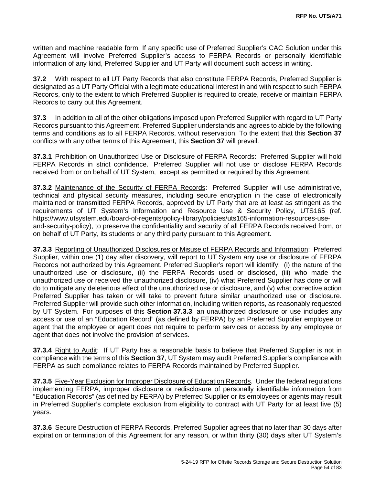written and machine readable form. If any specific use of Preferred Supplier's CAC Solution under this Agreement will involve Preferred Supplier's access to FERPA Records or personally identifiable information of any kind, Preferred Supplier and UT Party will document such access in writing.

**37.2** With respect to all UT Party Records that also constitute FERPA Records, Preferred Supplier is designated as a UT Party Official with a legitimate educational interest in and with respect to such FERPA Records, only to the extent to which Preferred Supplier is required to create, receive or maintain FERPA Records to carry out this Agreement.

**37.3** In addition to all of the other obligations imposed upon Preferred Supplier with regard to UT Party Records pursuant to this Agreement, Preferred Supplier understands and agrees to abide by the following terms and conditions as to all FERPA Records, without reservation. To the extent that this **Section 37** conflicts with any other terms of this Agreement, this **Section 37** will prevail.

**37.3.1** Prohibition on Unauthorized Use or Disclosure of FERPA Records: Preferred Supplier will hold FERPA Records in strict confidence. Preferred Supplier will not use or disclose FERPA Records received from or on behalf of UT System, except as permitted or required by this Agreement.

**37.3.2** Maintenance of the Security of FERPA Records: Preferred Supplier will use administrative, technical and physical security measures, including secure encryption in the case of electronically maintained or transmitted FERPA Records, approved by UT Party that are at least as stringent as the requirements of UT System's Information and Resource Use & Security Policy, UTS165 (ref. https://www.utsystem.edu/board-of-regents/policy-library/policies/uts165-information-resources-useand-security-policy), to preserve the confidentiality and security of all FERPA Records received from, or on behalf of UT Party, its students or any third party pursuant to this Agreement.

**37.3.3** Reporting of Unauthorized Disclosures or Misuse of FERPA Records and Information: Preferred Supplier, within one (1) day after discovery, will report to UT System any use or disclosure of FERPA Records not authorized by this Agreement. Preferred Supplier's report will identify: (i) the nature of the unauthorized use or disclosure, (ii) the FERPA Records used or disclosed, (iii) who made the unauthorized use or received the unauthorized disclosure, (iv) what Preferred Supplier has done or will do to mitigate any deleterious effect of the unauthorized use or disclosure, and (v) what corrective action Preferred Supplier has taken or will take to prevent future similar unauthorized use or disclosure. Preferred Supplier will provide such other information, including written reports, as reasonably requested by UT System. For purposes of this **Section 37.3.3**, an unauthorized disclosure or use includes any access or use of an "Education Record" (as defined by FERPA) by an Preferred Supplier employee or agent that the employee or agent does not require to perform services or access by any employee or agent that does not involve the provision of services.

**37.3.4** Right to Audit:If UT Party has a reasonable basis to believe that Preferred Supplier is not in compliance with the terms of this **Section 37**, UT System may audit Preferred Supplier's compliance with FERPA as such compliance relates to FERPA Records maintained by Preferred Supplier.

**37.3.5** Five-Year Exclusion for Improper Disclosure of Education Records.Under the federal regulations implementing FERPA, improper disclosure or redisclosure of personally identifiable information from "Education Records" (as defined by FERPA) by Preferred Supplier or its employees or agents may result in Preferred Supplier's complete exclusion from eligibility to contract with UT Party for at least five (5) years.

**37.3.6** Secure Destruction of FERPA Records. Preferred Supplier agrees that no later than 30 days after expiration or termination of this Agreement for any reason, or within thirty (30) days after UT System's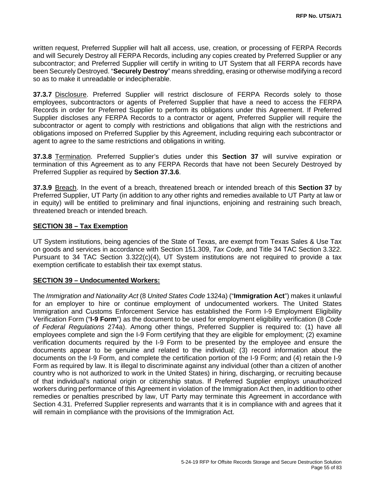written request, Preferred Supplier will halt all access, use, creation, or processing of FERPA Records and will Securely Destroy all FERPA Records, including any copies created by Preferred Supplier or any subcontractor; and Preferred Supplier will certify in writing to UT System that all FERPA records have been Securely Destroyed. "**Securely Destroy**" means shredding, erasing or otherwise modifying a record so as to make it unreadable or indecipherable.

**37.3.7** Disclosure. Preferred Supplier will restrict disclosure of FERPA Records solely to those employees, subcontractors or agents of Preferred Supplier that have a need to access the FERPA Records in order for Preferred Supplier to perform its obligations under this Agreement. If Preferred Supplier discloses any FERPA Records to a contractor or agent, Preferred Supplier will require the subcontractor or agent to comply with restrictions and obligations that align with the restrictions and obligations imposed on Preferred Supplier by this Agreement, including requiring each subcontractor or agent to agree to the same restrictions and obligations in writing.

**37.3.8** Termination. Preferred Supplier's duties under this **Section 37** will survive expiration or termination of this Agreement as to any FERPA Records that have not been Securely Destroyed by Preferred Supplier as required by **Section 37.3.6**.

**37.3.9** Breach. In the event of a breach, threatened breach or intended breach of this **Section 37** by Preferred Supplier, UT Party (in addition to any other rights and remedies available to UT Party at law or in equity) will be entitled to preliminary and final injunctions, enjoining and restraining such breach, threatened breach or intended breach.

#### **SECTION 38 – Tax Exemption**

UT System institutions, being agencies of the State of Texas, are exempt from Texas Sales & Use Tax on goods and services in accordance with [Section 151.309,](http://www.statutes.legis.state.tx.us/Docs/TX/htm/TX.151.htm#151.309) *Tax Code,* and Title 34 TAC [Section 3.322.](http://texreg.sos.state.tx.us/public/readtac$ext.TacPage?sl=R&app=9&p_dir=&p_rloc=&p_tloc=&p_ploc=&pg=1&p_tac=&ti=34&pt=1&ch=3&rl=322) Pursuant to [34 TAC Section 3.322\(c\)\(4\),](http://texreg.sos.state.tx.us/public/readtac$ext.TacPage?sl=R&app=9&p_dir=&p_rloc=&p_tloc=&p_ploc=&pg=1&p_tac=&ti=34&pt=1&ch=3&rl=322) UT System institutions are not required to provide a tax exemption certificate to establish their tax exempt status.

#### **SECTION 39 – Undocumented Workers:**

The *Immigration and Nationality Act* (8 *United States Code* 1324a) ("**Immigration Act**") makes it unlawful for an employer to hire or continue employment of undocumented workers. The United States Immigration and Customs Enforcement Service has established the Form I-9 Employment Eligibility Verification Form ("**I-9 Form**") as the document to be used for employment eligibility verification (8 *Code of Federal Regulations* 274a). Among other things, Preferred Supplier is required to: (1) have all employees complete and sign the I-9 Form certifying that they are eligible for employment; (2) examine verification documents required by the I-9 Form to be presented by the employee and ensure the documents appear to be genuine and related to the individual; (3) record information about the documents on the I-9 Form, and complete the certification portion of the I-9 Form; and (4) retain the I-9 Form as required by law. It is illegal to discriminate against any individual (other than a citizen of another country who is not authorized to work in the United States) in hiring, discharging, or recruiting because of that individual's national origin or citizenship status. If Preferred Supplier employs unauthorized workers during performance of this Agreement in violation of the Immigration Act then, in addition to other remedies or penalties prescribed by law, UT Party may terminate this Agreement in accordance with Section 4.31. Preferred Supplier represents and warrants that it is in compliance with and agrees that it will remain in compliance with the provisions of the Immigration Act.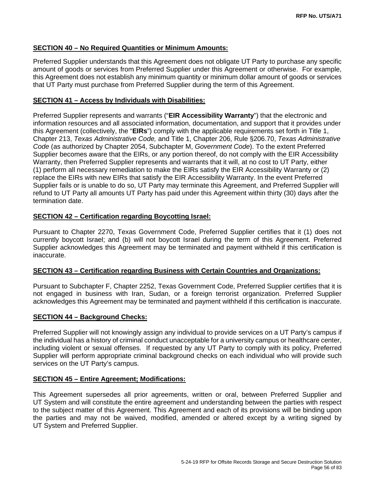## **SECTION 40 – No Required Quantities or Minimum Amounts:**

Preferred Supplier understands that this Agreement does not obligate UT Party to purchase any specific amount of goods or services from Preferred Supplier under this Agreement or otherwise. For example, this Agreement does not establish any minimum quantity or minimum dollar amount of goods or services that UT Party must purchase from Preferred Supplier during the term of this Agreement.

## **SECTION 41 – Access by Individuals with Disabilities:**

Preferred Supplier represents and warrants ("**EIR Accessibility Warranty**") that the electronic and information resources and all associated information, documentation, and support that it provides under this Agreement (collectively, the "**EIRs**") comply with the applicable requirements set forth in Title 1, Chapter 213, *Texas Administrative Code,* and Title 1, Chapter 206, Rule §206.70, *Texas Administrative Code* (as authorized by Chapter 2054, Subchapter M, *Government Code*). To the extent Preferred Supplier becomes aware that the EIRs, or any portion thereof, do not comply with the EIR Accessibility Warranty, then Preferred Supplier represents and warrants that it will, at no cost to UT Party, either (1) perform all necessary remediation to make the EIRs satisfy the EIR Accessibility Warranty or (2) replace the EIRs with new EIRs that satisfy the EIR Accessibility Warranty. In the event Preferred Supplier fails or is unable to do so, UT Party may terminate this Agreement, and Preferred Supplier will refund to UT Party all amounts UT Party has paid under this Agreement within thirty (30) days after the termination date.

## **SECTION 42 – Certification regarding Boycotting Israel:**

Pursuant to Chapter 2270, Texas Government Code, Preferred Supplier certifies that it (1) does not currently boycott Israel; and (b) will not boycott Israel during the term of this Agreement. Preferred Supplier acknowledges this Agreement may be terminated and payment withheld if this certification is inaccurate.

## **SECTION 43 – Certification regarding Business with Certain Countries and Organizations:**

Pursuant to Subchapter F, Chapter 2252, Texas Government Code, Preferred Supplier certifies that it is not engaged in business with Iran, Sudan, or a foreign terrorist organization. Preferred Supplier acknowledges this Agreement may be terminated and payment withheld if this certification is inaccurate.

## **SECTION 44 – Background Checks:**

Preferred Supplier will not knowingly assign any individual to provide services on a UT Party's campus if the individual has a history of criminal conduct unacceptable for a university campus or healthcare center, including violent or sexual offenses. If requested by any UT Party to comply with its policy, Preferred Supplier will perform appropriate criminal background checks on each individual who will provide such services on the UT Party's campus.

## **SECTION 45 – Entire Agreement; Modifications:**

This Agreement supersedes all prior agreements, written or oral, between Preferred Supplier and UT System and will constitute the entire agreement and understanding between the parties with respect to the subject matter of this Agreement. This Agreement and each of its provisions will be binding upon the parties and may not be waived, modified, amended or altered except by a writing signed by UT System and Preferred Supplier.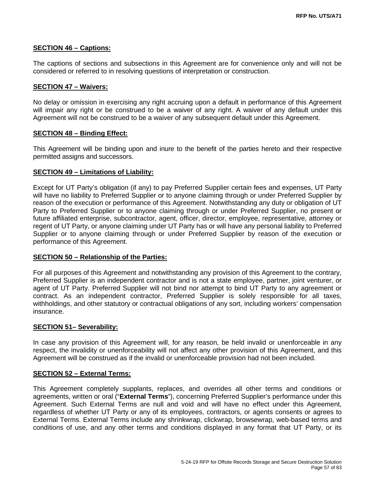## **SECTION 46 – Captions:**

The captions of sections and subsections in this Agreement are for convenience only and will not be considered or referred to in resolving questions of interpretation or construction.

## **SECTION 47 – Waivers:**

No delay or omission in exercising any right accruing upon a default in performance of this Agreement will impair any right or be construed to be a waiver of any right. A waiver of any default under this Agreement will not be construed to be a waiver of any subsequent default under this Agreement.

## **SECTION 48 – Binding Effect:**

This Agreement will be binding upon and inure to the benefit of the parties hereto and their respective permitted assigns and successors.

## **SECTION 49 – Limitations of Liability:**

Except for UT Party's obligation (if any) to pay Preferred Supplier certain fees and expenses, UT Party will have no liability to Preferred Supplier or to anyone claiming through or under Preferred Supplier by reason of the execution or performance of this Agreement. Notwithstanding any duty or obligation of UT Party to Preferred Supplier or to anyone claiming through or under Preferred Supplier, no present or future affiliated enterprise, subcontractor, agent, officer, director, employee, representative, attorney or regent of UT Party, or anyone claiming under UT Party has or will have any personal liability to Preferred Supplier or to anyone claiming through or under Preferred Supplier by reason of the execution or performance of this Agreement.

## **SECTION 50 – Relationship of the Parties:**

For all purposes of this Agreement and notwithstanding any provision of this Agreement to the contrary, Preferred Supplier is an independent contractor and is not a state employee, partner, joint venturer, or agent of UT Party. Preferred Supplier will not bind nor attempt to bind UT Party to any agreement or contract. As an independent contractor, Preferred Supplier is solely responsible for all taxes, withholdings, and other statutory or contractual obligations of any sort, including workers' compensation insurance.

## **SECTION 51– Severability:**

In case any provision of this Agreement will, for any reason, be held invalid or unenforceable in any respect, the invalidity or unenforceability will not affect any other provision of this Agreement, and this Agreement will be construed as if the invalid or unenforceable provision had not been included.

## **SECTION 52 – External Terms:**

This Agreement completely supplants, replaces, and overrides all other terms and conditions or agreements, written or oral ("**External Terms**"), concerning Preferred Supplier's performance under this Agreement. Such External Terms are null and void and will have no effect under this Agreement, regardless of whether UT Party or any of its employees, contractors, or agents consents or agrees to External Terms. External Terms include any shrinkwrap, clickwrap, browsewrap, web-based terms and conditions of use, and any other terms and conditions displayed in any format that UT Party, or its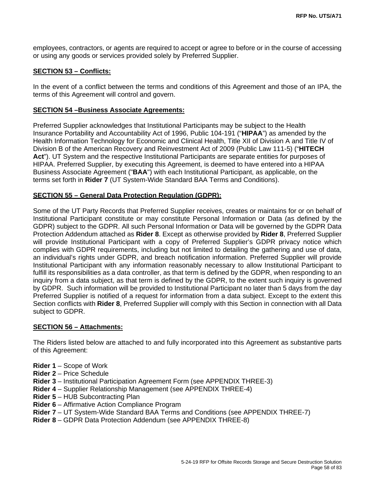employees, contractors, or agents are required to accept or agree to before or in the course of accessing or using any goods or services provided solely by Preferred Supplier.

#### **SECTION 53 – Conflicts:**

In the event of a conflict between the terms and conditions of this Agreement and those of an IPA, the terms of this Agreement will control and govern.

#### **SECTION 54 –Business Associate Agreements:**

Preferred Supplier acknowledges that Institutional Participants may be subject to the Health Insurance Portability and Accountability Act of 1996, Public 104-191 ("**HIPAA**") as amended by the Health Information Technology for Economic and Clinical Health, Title XII of Division A and Title IV of Division B of the American Recovery and Reinvestment Act of 2009 (Public Law 111-5) ("**HITECH Act**"). UT System and the respective Institutional Participants are separate entities for purposes of HIPAA. Preferred Supplier, by executing this Agreement, is deemed to have entered into a HIPAA Business Associate Agreement ("**BAA**") with each Institutional Participant, as applicable, on the terms set forth in **Rider 7** (UT System-Wide Standard BAA Terms and Conditions).

#### **SECTION 55 – General Data Protection Regulation (GDPR):**

Some of the UT Party Records that Preferred Supplier receives, creates or maintains for or on behalf of Institutional Participant constitute or may constitute Personal Information or Data (as defined by the GDPR) subject to the GDPR. All such Personal Information or Data will be governed by the GDPR Data Protection Addendum attached as **Rider 8**. Except as otherwise provided by **Rider 8**, Preferred Supplier will provide Institutional Participant with a copy of Preferred Supplier's GDPR privacy notice which complies with GDPR requirements, including but not limited to detailing the gathering and use of data, an individual's rights under GDPR, and breach notification information. Preferred Supplier will provide Institutional Participant with any information reasonably necessary to allow Institutional Participant to fulfill its responsibilities as a data controller, as that term is defined by the GDPR, when responding to an inquiry from a data subject, as that term is defined by the GDPR, to the extent such inquiry is governed by GDPR. Such information will be provided to Institutional Participant no later than 5 days from the day Preferred Supplier is notified of a request for information from a data subject. Except to the extent this Section conflicts with **Rider 8**, Preferred Supplier will comply with this Section in connection with all Data subject to GDPR.

#### **SECTION 56 – Attachments:**

The Riders listed below are attached to and fully incorporated into this Agreement as substantive parts of this Agreement:

- **Rider 1** Scope of Work
- **Rider 2** Price Schedule
- **Rider 3** Institutional Participation Agreement Form (see APPENDIX THREE-3)
- **Rider 4** Supplier Relationship Management (see APPENDIX THREE-4)
- **Rider 5** HUB Subcontracting Plan
- **Rider 6** Affirmative Action Compliance Program
- **Rider 7** UT System-Wide Standard BAA Terms and Conditions (see APPENDIX THREE-7)
- **Rider 8** GDPR Data Protection Addendum (see APPENDIX THREE-8)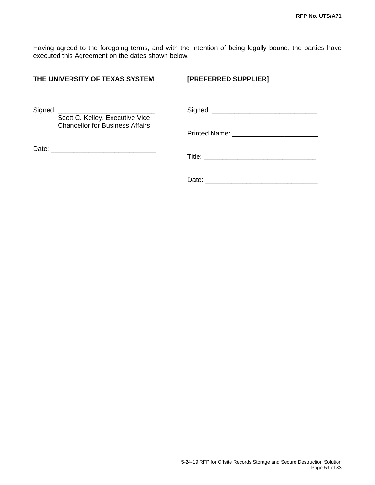Having agreed to the foregoing terms, and with the intention of being legally bound, the parties have executed this Agreement on the dates shown below.

| THE UNIVERSITY OF TEXAS SYSTEM                           | [PREFERRED SUPPLIER] |
|----------------------------------------------------------|----------------------|
| Signed: $\frac{1}{1}$<br>Scott C. Kelley, Executive Vice |                      |
| <b>Chancellor for Business Affairs</b>                   |                      |
| Date: <u>_______________________________</u>             |                      |
|                                                          |                      |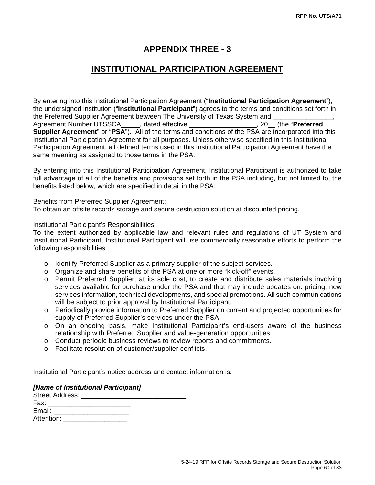## **APPENDIX THREE - 3**

# **INSTITUTIONAL PARTICIPATION AGREEMENT**

By entering into this Institutional Participation Agreement ("**Institutional Participation Agreement**"), the undersigned institution ("**Institutional Participant**") agrees to the terms and conditions set forth in the Preferred Supplier Agreement between The University of Texas System and Agreement Number UTSSCA\_\_\_\_\_, dated effective \_\_\_\_\_\_\_\_\_\_\_\_\_\_\_\_\_\_, 20\_\_ (the "**Preferred Supplier Agreement**" or "**PSA**"). All of the terms and conditions of the PSA are incorporated into this Institutional Participation Agreement for all purposes. Unless otherwise specified in this Institutional Participation Agreement, all defined terms used in this Institutional Participation Agreement have the same meaning as assigned to those terms in the PSA.

By entering into this Institutional Participation Agreement, Institutional Participant is authorized to take full advantage of all of the benefits and provisions set forth in the PSA including, but not limited to, the benefits listed below, which are specified in detail in the PSA:

## Benefits from Preferred Supplier Agreement:

To obtain an offsite records storage and secure destruction solution at discounted pricing.

#### Institutional Participant's Responsibilities

To the extent authorized by applicable law and relevant rules and regulations of UT System and Institutional Participant, Institutional Participant will use commercially reasonable efforts to perform the following responsibilities:

- o Identify Preferred Supplier as a primary supplier of the subject services.
- o Organize and share benefits of the PSA at one or more "kick-off" events.
- o Permit Preferred Supplier, at its sole cost, to create and distribute sales materials involving services available for purchase under the PSA and that may include updates on: pricing, new services information, technical developments, and special promotions. All such communications will be subject to prior approval by Institutional Participant.
- o Periodically provide information to Preferred Supplier on current and projected opportunities for supply of Preferred Supplier's services under the PSA.
- $\circ$  On an ongoing basis, make Institutional Participant's end-users aware of the business relationship with Preferred Supplier and value-generation opportunities.
- o Conduct periodic business reviews to review reports and commitments.
- o Facilitate resolution of customer/supplier conflicts.

Institutional Participant's notice address and contact information is:

#### *[Name of Institutional Participant]*

| Street Address: __________ |  |  |
|----------------------------|--|--|
| Fax:                       |  |  |
| Email:                     |  |  |
| Attention:                 |  |  |
|                            |  |  |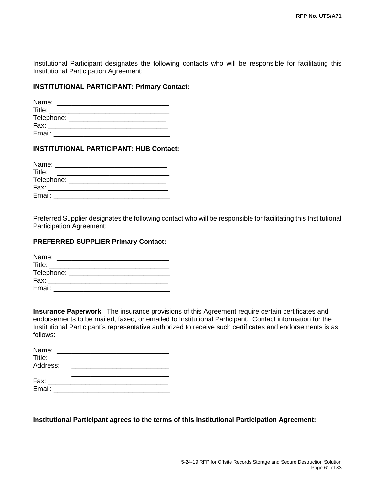Institutional Participant designates the following contacts who will be responsible for facilitating this Institutional Participation Agreement:

## **INSTITUTIONAL PARTICIPANT: Primary Contact:**

| Name:              |  |  |  |
|--------------------|--|--|--|
| Title:             |  |  |  |
| Telephone: _______ |  |  |  |
| Fax:               |  |  |  |
| Email:             |  |  |  |

## **INSTITUTIONAL PARTICIPANT: HUB Contact:**

| Name:      |  |
|------------|--|
| Title:     |  |
| Telephone: |  |
| Fax:       |  |
| Email:     |  |

Preferred Supplier designates the following contact who will be responsible for facilitating this Institutional Participation Agreement:

#### **PREFERRED SUPPLIER Primary Contact:**

| Name:                                                                                                                                                                                                                          |  |  |  |
|--------------------------------------------------------------------------------------------------------------------------------------------------------------------------------------------------------------------------------|--|--|--|
| <b>Title:</b> Title:                                                                                                                                                                                                           |  |  |  |
| Telephone: __________________                                                                                                                                                                                                  |  |  |  |
| Fax: and the state of the state of the state of the state of the state of the state of the state of the state of the state of the state of the state of the state of the state of the state of the state of the state of the s |  |  |  |
| Email:                                                                                                                                                                                                                         |  |  |  |

**Insurance Paperwork**. The insurance provisions of this Agreement require certain certificates and endorsements to be mailed, faxed, or emailed to Institutional Participant. Contact information for the Institutional Participant's representative authorized to receive such certificates and endorsements is as follows:

| Name:    |  |  |
|----------|--|--|
| Title:   |  |  |
| Address: |  |  |
|          |  |  |
| Fax:     |  |  |
| Email:   |  |  |

**Institutional Participant agrees to the terms of this Institutional Participation Agreement:**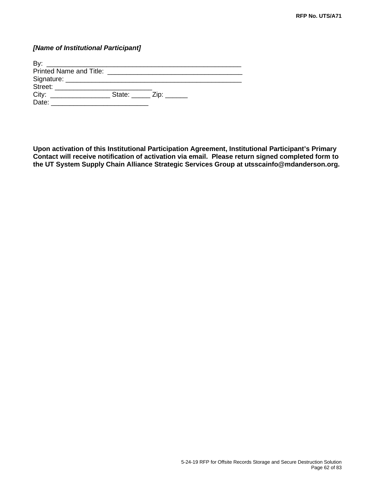## *[Name of Institutional Participant]*

| By<br><u> 1980 - Johann Johann Stone, deutscher Stone († 1980)</u> |                                                       |
|--------------------------------------------------------------------|-------------------------------------------------------|
|                                                                    |                                                       |
|                                                                    |                                                       |
| Street: <b>Street:</b>                                             |                                                       |
|                                                                    | State: $\frac{1}{\sqrt{2}}$ Zip: $\frac{1}{\sqrt{2}}$ |
| Date:                                                              |                                                       |

**Upon activation of this Institutional Participation Agreement, Institutional Participant's Primary Contact will receive notification of activation via email. Please return signed completed form to the UT System Supply Chain Alliance Strategic Services Group at utsscainfo@mdanderson.org.**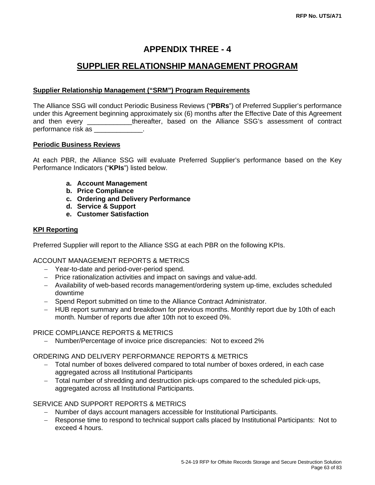## **APPENDIX THREE - 4**

# **SUPPLIER RELATIONSHIP MANAGEMENT PROGRAM**

## **Supplier Relationship Management ("SRM") Program Requirements**

The Alliance SSG will conduct Periodic Business Reviews ("**PBRs**") of Preferred Supplier's performance under this Agreement beginning approximately six (6) months after the Effective Date of this Agreement and then every \_\_\_\_\_\_\_\_\_\_\_\_thereafter, based on the Alliance SSG's assessment of contract performance risk as

## **Periodic Business Reviews**

At each PBR, the Alliance SSG will evaluate Preferred Supplier's performance based on the Key Performance Indicators ("**KPIs**") listed below.

- **a. Account Management**
- **b. Price Compliance**
- **c. Ordering and Delivery Performance**
- **d. Service & Support**
- **e. Customer Satisfaction**

## **KPI Reporting**

Preferred Supplier will report to the Alliance SSG at each PBR on the following KPIs.

## ACCOUNT MANAGEMENT REPORTS & METRICS

- − Year-to-date and period-over-period spend.
- − Price rationalization activities and impact on savings and value-add.
- − Availability of web-based records management/ordering system up-time, excludes scheduled downtime
- − Spend Report submitted on time to the Alliance Contract Administrator.
- − HUB report summary and breakdown for previous months. Monthly report due by 10th of each month. Number of reports due after 10th not to exceed 0%.

## PRICE COMPLIANCE REPORTS & METRICS

− Number/Percentage of invoice price discrepancies: Not to exceed 2%

## ORDERING AND DELIVERY PERFORMANCE REPORTS & METRICS

- − Total number of boxes delivered compared to total number of boxes ordered, in each case aggregated across all Institutional Participants
- − Total number of shredding and destruction pick-ups compared to the scheduled pick-ups, aggregated across all Institutional Participants.

## SERVICE AND SUPPORT REPORTS & METRICS

- − Number of days account managers accessible for Institutional Participants.
- − Response time to respond to technical support calls placed by Institutional Participants: Not to exceed 4 hours.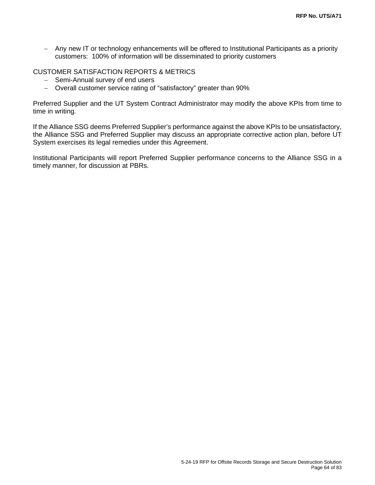− Any new IT or technology enhancements will be offered to Institutional Participants as a priority customers: 100% of information will be disseminated to priority customers

#### CUSTOMER SATISFACTION REPORTS & METRICS

- − Semi-Annual survey of end users
- − Overall customer service rating of "satisfactory" greater than 90%

Preferred Supplier and the UT System Contract Administrator may modify the above KPIs from time to time in writing.

If the Alliance SSG deems Preferred Supplier's performance against the above KPIs to be unsatisfactory, the Alliance SSG and Preferred Supplier may discuss an appropriate corrective action plan, before UT System exercises its legal remedies under this Agreement.

Institutional Participants will report Preferred Supplier performance concerns to the Alliance SSG in a timely manner, for discussion at PBRs.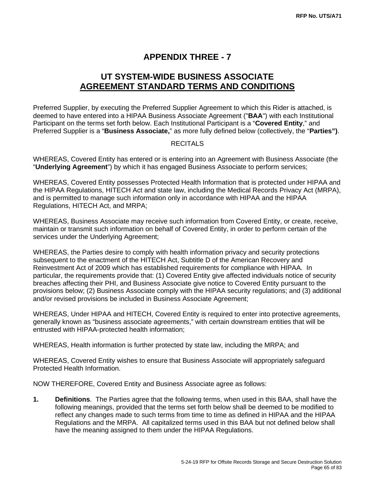# **APPENDIX THREE - 7**

# **UT SYSTEM-WIDE BUSINESS ASSOCIATE AGREEMENT STANDARD TERMS AND CONDITIONS**

Preferred Supplier, by executing the Preferred Supplier Agreement to which this Rider is attached, is deemed to have entered into a HIPAA Business Associate Agreement ("**BAA**") with each Institutional Participant on the terms set forth below. Each Institutional Participant is a "**Covered Entity**," and Preferred Supplier is a "**Business Associate,**" as more fully defined below (collectively, the "**Parties")**.

## **RECITALS**

WHEREAS, Covered Entity has entered or is entering into an Agreement with Business Associate (the "**Underlying Agreement**") by which it has engaged Business Associate to perform services;

WHEREAS, Covered Entity possesses Protected Health Information that is protected under HIPAA and the HIPAA Regulations, HITECH Act and state law, including the Medical Records Privacy Act (MRPA), and is permitted to manage such information only in accordance with HIPAA and the HIPAA Regulations, HITECH Act, and MRPA;

WHEREAS, Business Associate may receive such information from Covered Entity, or create, receive, maintain or transmit such information on behalf of Covered Entity, in order to perform certain of the services under the Underlying Agreement;

WHEREAS, the Parties desire to comply with health information privacy and security protections subsequent to the enactment of the HITECH Act, Subtitle D of the American Recovery and Reinvestment Act of 2009 which has established requirements for compliance with HIPAA. In particular, the requirements provide that: (1) Covered Entity give affected individuals notice of security breaches affecting their PHI, and Business Associate give notice to Covered Entity pursuant to the provisions below; (2) Business Associate comply with the HIPAA security regulations; and (3) additional and/or revised provisions be included in Business Associate Agreement;

WHEREAS, Under HIPAA and HITECH, Covered Entity is required to enter into protective agreements, generally known as "business associate agreements," with certain downstream entities that will be entrusted with HIPAA-protected health information;

WHEREAS, Health information is further protected by state law, including the MRPA; and

WHEREAS, Covered Entity wishes to ensure that Business Associate will appropriately safeguard Protected Health Information.

NOW THEREFORE, Covered Entity and Business Associate agree as follows:

**1. Definitions**. The Parties agree that the following terms, when used in this BAA, shall have the following meanings, provided that the terms set forth below shall be deemed to be modified to reflect any changes made to such terms from time to time as defined in HIPAA and the HIPAA Regulations and the MRPA. All capitalized terms used in this BAA but not defined below shall have the meaning assigned to them under the HIPAA Regulations.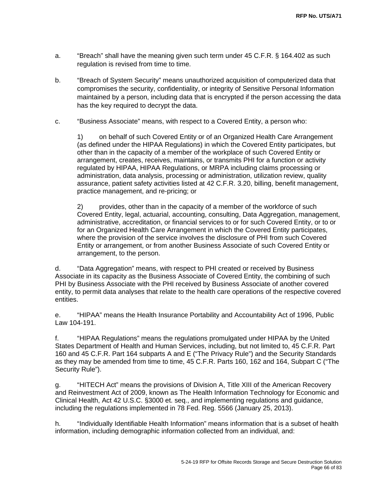- a. "Breach" shall have the meaning given such term under 45 C.F.R. § 164.402 as such regulation is revised from time to time.
- b. "Breach of System Security" means unauthorized acquisition of computerized data that compromises the security, confidentiality, or integrity of Sensitive Personal Information maintained by a person, including data that is encrypted if the person accessing the data has the key required to decrypt the data.
- c. "Business Associate" means, with respect to a Covered Entity, a person who:

1) on behalf of such Covered Entity or of an Organized Health Care Arrangement (as defined under the HIPAA Regulations) in which the Covered Entity participates, but other than in the capacity of a member of the workplace of such Covered Entity or arrangement, creates, receives, maintains, or transmits PHI for a function or activity regulated by HIPAA, HIPAA Regulations, or MRPA including claims processing or administration, data analysis, processing or administration, utilization review, quality assurance, patient safety activities listed at 42 C.F.R. 3.20, billing, benefit management, practice management, and re-pricing; or

2) provides, other than in the capacity of a member of the workforce of such Covered Entity, legal, actuarial, accounting, consulting, Data Aggregation, management, administrative, accreditation, or financial services to or for such Covered Entity, or to or for an Organized Health Care Arrangement in which the Covered Entity participates, where the provision of the service involves the disclosure of PHI from such Covered Entity or arrangement, or from another Business Associate of such Covered Entity or arrangement, to the person.

d. "Data Aggregation" means, with respect to PHI created or received by Business Associate in its capacity as the Business Associate of Covered Entity, the combining of such PHI by Business Associate with the PHI received by Business Associate of another covered entity, to permit data analyses that relate to the health care operations of the respective covered entities.

e. "HIPAA" means the Health Insurance Portability and Accountability Act of 1996, Public Law 104-191.

f. "HIPAA Regulations" means the regulations promulgated under HIPAA by the United States Department of Health and Human Services, including, but not limited to, 45 C.F.R. Part 160 and 45 C.F.R. Part 164 subparts A and E ("The Privacy Rule") and the Security Standards as they may be amended from time to time, 45 C.F.R. Parts 160, 162 and 164, Subpart C ("The Security Rule").

g. "HITECH Act" means the provisions of Division A, Title XIII of the American Recovery and Reinvestment Act of 2009, known as The Health Information Technology for Economic and Clinical Health, Act 42 U.S.C. §3000 et. seq., and implementing regulations and guidance, including the regulations implemented in 78 Fed. Reg. 5566 (January 25, 2013).

h. "Individually Identifiable Health Information" means information that is a subset of health information, including demographic information collected from an individual, and: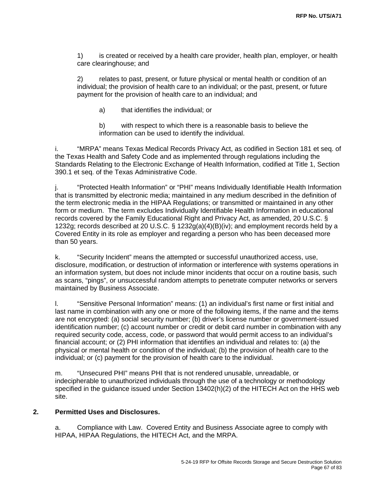1) is created or received by a health care provider, health plan, employer, or health care clearinghouse; and

2) relates to past, present, or future physical or mental health or condition of an individual; the provision of health care to an individual; or the past, present, or future payment for the provision of health care to an individual; and

a) that identifies the individual; or

b) with respect to which there is a reasonable basis to believe the information can be used to identify the individual.

i. "MRPA" means Texas Medical Records Privacy Act, as codified in Section 181 et seq. of the Texas Health and Safety Code and as implemented through regulations including the Standards Relating to the Electronic Exchange of Health Information, codified at Title 1, Section 390.1 et seq. of the Texas Administrative Code.

j. "Protected Health Information" or "PHI" means Individually Identifiable Health Information that is transmitted by electronic media; maintained in any medium described in the definition of the term electronic media in the HIPAA Regulations; or transmitted or maintained in any other form or medium. The term excludes Individually Identifiable Health Information in educational records covered by the Family Educational Right and Privacy Act, as amended, 20 U.S.C. § 1232g; records described at 20 U.S.C. § 1232g(a)(4)(B)(iv); and employment records held by a Covered Entity in its role as employer and regarding a person who has been deceased more than 50 years.

k. "Security Incident" means the attempted or successful unauthorized access, use, disclosure, modification, or destruction of information or interference with systems operations in an information system, but does not include minor incidents that occur on a routine basis, such as scans, "pings", or unsuccessful random attempts to penetrate computer networks or servers maintained by Business Associate.

l. "Sensitive Personal Information" means: (1) an individual's first name or first initial and last name in combination with any one or more of the following items, if the name and the items are not encrypted: (a) social security number; (b) driver's license number or government-issued identification number; (c) account number or credit or debit card number in combination with any required security code, access, code, or password that would permit access to an individual's financial account; or (2) PHI information that identifies an individual and relates to: (a) the physical or mental health or condition of the individual; (b) the provision of health care to the individual; or (c) payment for the provision of health care to the individual.

m. "Unsecured PHI" means PHI that is not rendered unusable, unreadable, or indecipherable to unauthorized individuals through the use of a technology or methodology specified in the guidance issued under Section 13402(h)(2) of the HITECH Act on the HHS web site.

## **2. Permitted Uses and Disclosures.**

a. Compliance with Law. Covered Entity and Business Associate agree to comply with HIPAA, HIPAA Regulations, the HITECH Act, and the MRPA.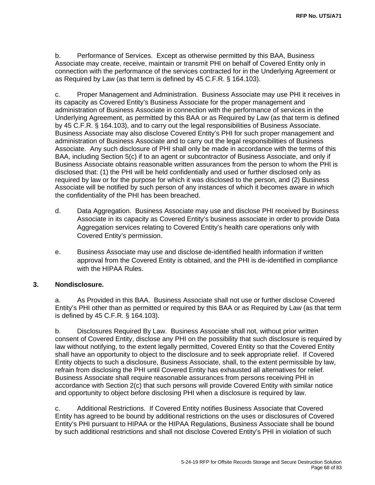b. Performance of Services. Except as otherwise permitted by this BAA, Business Associate may create, receive, maintain or transmit PHI on behalf of Covered Entity only in connection with the performance of the services contracted for in the Underlying Agreement or as Required by Law (as that term is defined by 45 C.F.R. § 164.103).

c. Proper Management and Administration. Business Associate may use PHI it receives in its capacity as Covered Entity's Business Associate for the proper management and administration of Business Associate in connection with the performance of services in the Underlying Agreement, as permitted by this BAA or as Required by Law (as that term is defined by 45 C.F.R. § 164.103), and to carry out the legal responsibilities of Business Associate. Business Associate may also disclose Covered Entity's PHI for such proper management and administration of Business Associate and to carry out the legal responsibilities of Business Associate. Any such disclosure of PHI shall only be made in accordance with the terms of this BAA, including Section 5(c) if to an agent or subcontractor of Business Associate, and only if Business Associate obtains reasonable written assurances from the person to whom the PHI is disclosed that: (1) the PHI will be held confidentially and used or further disclosed only as required by law or for the purpose for which it was disclosed to the person, and (2) Business Associate will be notified by such person of any instances of which it becomes aware in which the confidentiality of the PHI has been breached.

- d. Data Aggregation. Business Associate may use and disclose PHI received by Business Associate in its capacity as Covered Entity's business associate in order to provide Data Aggregation services relating to Covered Entity's health care operations only with Covered Entity's permission.
- e. Business Associate may use and disclose de-identified health information if written approval from the Covered Entity is obtained, and the PHI is de-identified in compliance with the HIPAA Rules.

## **3. Nondisclosure.**

a. As Provided in this BAA. Business Associate shall not use or further disclose Covered Entity's PHI other than as permitted or required by this BAA or as Required by Law (as that term is defined by 45 C.F.R. § 164.103).

b. Disclosures Required By Law. Business Associate shall not, without prior written consent of Covered Entity, disclose any PHI on the possibility that such disclosure is required by law without notifying, to the extent legally permitted, Covered Entity so that the Covered Entity shall have an opportunity to object to the disclosure and to seek appropriate relief. If Covered Entity objects to such a disclosure, Business Associate, shall, to the extent permissible by law, refrain from disclosing the PHI until Covered Entity has exhausted all alternatives for relief. Business Associate shall require reasonable assurances from persons receiving PHI in accordance with Section 2(c) that such persons will provide Covered Entity with similar notice and opportunity to object before disclosing PHI when a disclosure is required by law.

c. Additional Restrictions. If Covered Entity notifies Business Associate that Covered Entity has agreed to be bound by additional restrictions on the uses or disclosures of Covered Entity's PHI pursuant to HIPAA or the HIPAA Regulations, Business Associate shall be bound by such additional restrictions and shall not disclose Covered Entity's PHI in violation of such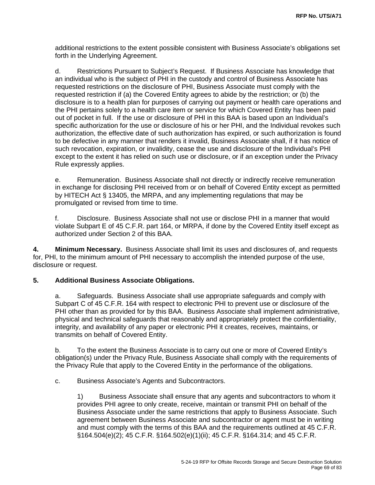additional restrictions to the extent possible consistent with Business Associate's obligations set forth in the Underlying Agreement.

d. Restrictions Pursuant to Subject's Request. If Business Associate has knowledge that an individual who is the subject of PHI in the custody and control of Business Associate has requested restrictions on the disclosure of PHI, Business Associate must comply with the requested restriction if (a) the Covered Entity agrees to abide by the restriction; or (b) the disclosure is to a health plan for purposes of carrying out payment or health care operations and the PHI pertains solely to a health care item or service for which Covered Entity has been paid out of pocket in full. If the use or disclosure of PHI in this BAA is based upon an Individual's specific authorization for the use or disclosure of his or her PHI, and the Individual revokes such authorization, the effective date of such authorization has expired, or such authorization is found to be defective in any manner that renders it invalid, Business Associate shall, if it has notice of such revocation, expiration, or invalidity, cease the use and disclosure of the Individual's PHI except to the extent it has relied on such use or disclosure, or if an exception under the Privacy Rule expressly applies.

e. Remuneration. Business Associate shall not directly or indirectly receive remuneration in exchange for disclosing PHI received from or on behalf of Covered Entity except as permitted by HITECH Act § 13405, the MRPA, and any implementing regulations that may be promulgated or revised from time to time.

f. Disclosure. Business Associate shall not use or disclose PHI in a manner that would violate Subpart E of 45 C.F.R. part 164, or MRPA, if done by the Covered Entity itself except as authorized under Section 2 of this BAA.

**4. Minimum Necessary.** Business Associate shall limit its uses and disclosures of, and requests for, PHI, to the minimum amount of PHI necessary to accomplish the intended purpose of the use, disclosure or request.

## **5. Additional Business Associate Obligations.**

a. Safeguards. Business Associate shall use appropriate safeguards and comply with Subpart C of 45 C.F.R. 164 with respect to electronic PHI to prevent use or disclosure of the PHI other than as provided for by this BAA. Business Associate shall implement administrative, physical and technical safeguards that reasonably and appropriately protect the confidentiality, integrity, and availability of any paper or electronic PHI it creates, receives, maintains, or transmits on behalf of Covered Entity.

b. To the extent the Business Associate is to carry out one or more of Covered Entity's obligation(s) under the Privacy Rule, Business Associate shall comply with the requirements of the Privacy Rule that apply to the Covered Entity in the performance of the obligations.

c. Business Associate's Agents and Subcontractors.

1) Business Associate shall ensure that any agents and subcontractors to whom it provides PHI agree to only create, receive, maintain or transmit PHI on behalf of the Business Associate under the same restrictions that apply to Business Associate. Such agreement between Business Associate and subcontractor or agent must be in writing and must comply with the terms of this BAA and the requirements outlined at 45 C.F.R. §164.504(e)(2); 45 C.F.R. §164.502(e)(1)(ii); 45 C.F.R. §164.314; and 45 C.F.R.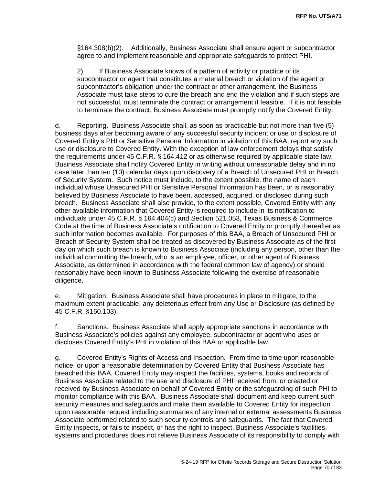§164.308(b)(2). Additionally, Business Associate shall ensure agent or subcontractor agree to and implement reasonable and appropriate safeguards to protect PHI.

2) If Business Associate knows of a pattern of activity or practice of its subcontractor or agent that constitutes a material breach or violation of the agent or subcontractor's obligation under the contract or other arrangement, the Business Associate must take steps to cure the breach and end the violation and if such steps are not successful, must terminate the contract or arrangement if feasible. If it is not feasible to terminate the contract, Business Associate must promptly notify the Covered Entity.

d. Reporting. Business Associate shall, as soon as practicable but not more than five (5) business days after becoming aware of any successful security incident or use or disclosure of Covered Entity's PHI or Sensitive Personal Information in violation of this BAA, report any such use or disclosure to Covered Entity. With the exception of law enforcement delays that satisfy the requirements under 45 C.F.R. § 164.412 or as otherwise required by applicable state law, Business Associate shall notify Covered Entity in writing without unreasonable delay and in no case later than ten (10) calendar days upon discovery of a Breach of Unsecured PHI or Breach of Security System. Such notice must include, to the extent possible, the name of each individual whose Unsecured PHI or Sensitive Personal Information has been, or is reasonably believed by Business Associate to have been, accessed, acquired, or disclosed during such breach. Business Associate shall also provide, to the extent possible, Covered Entity with any other available information that Covered Entity is required to include in its notification to individuals under 45 C.F.R. § 164.404(c) and Section 521.053, Texas Business & Commerce Code at the time of Business Associate's notification to Covered Entity or promptly thereafter as such information becomes available. For purposes of this BAA, a Breach of Unsecured PHI or Breach of Security System shall be treated as discovered by Business Associate as of the first day on which such breach is known to Business Associate (including any person, other than the individual committing the breach, who is an employee, officer, or other agent of Business Associate, as determined in accordance with the federal common law of agency) or should reasonably have been known to Business Associate following the exercise of reasonable diligence.

e. Mitigation. Business Associate shall have procedures in place to mitigate, to the maximum extent practicable, any deleterious effect from any Use or Disclosure (as defined by 45 C.F.R. §160.103).

f. Sanctions. Business Associate shall apply appropriate sanctions in accordance with Business Associate's policies against any employee, subcontractor or agent who uses or discloses Covered Entity's PHI in violation of this BAA or applicable law.

g. Covered Entity's Rights of Access and Inspection. From time to time upon reasonable notice, or upon a reasonable determination by Covered Entity that Business Associate has breached this BAA, Covered Entity may inspect the facilities, systems, books and records of Business Associate related to the use and disclosure of PHI received from, or created or received by Business Associate on behalf of Covered Entity or the safeguarding of such PHI to monitor compliance with this BAA. Business Associate shall document and keep current such security measures and safeguards and make them available to Covered Entity for inspection upon reasonable request including summaries of any internal or external assessments Business Associate performed related to such security controls and safeguards. The fact that Covered Entity inspects, or fails to inspect, or has the right to inspect, Business Associate's facilities, systems and procedures does not relieve Business Associate of its responsibility to comply with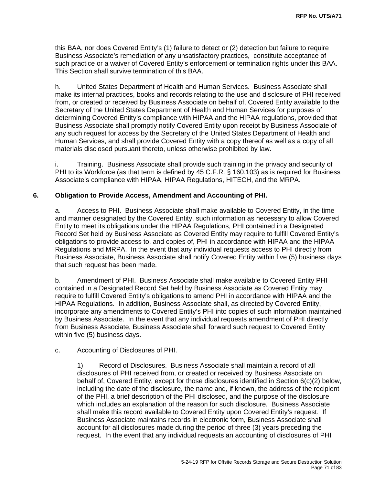this BAA, nor does Covered Entity's (1) failure to detect or (2) detection but failure to require Business Associate's remediation of any unsatisfactory practices, constitute acceptance of such practice or a waiver of Covered Entity's enforcement or termination rights under this BAA. This Section shall survive termination of this BAA.

h. United States Department of Health and Human Services. Business Associate shall make its internal practices, books and records relating to the use and disclosure of PHI received from, or created or received by Business Associate on behalf of, Covered Entity available to the Secretary of the United States Department of Health and Human Services for purposes of determining Covered Entity's compliance with HIPAA and the HIPAA regulations, provided that Business Associate shall promptly notify Covered Entity upon receipt by Business Associate of any such request for access by the Secretary of the United States Department of Health and Human Services, and shall provide Covered Entity with a copy thereof as well as a copy of all materials disclosed pursuant thereto, unless otherwise prohibited by law.

i. Training. Business Associate shall provide such training in the privacy and security of PHI to its Workforce (as that term is defined by 45 C.F.R. § 160.103) as is required for Business Associate's compliance with HIPAA, HIPAA Regulations, HITECH, and the MRPA.

#### **6. Obligation to Provide Access, Amendment and Accounting of PHI.**

a. Access to PHI. Business Associate shall make available to Covered Entity, in the time and manner designated by the Covered Entity, such information as necessary to allow Covered Entity to meet its obligations under the HIPAA Regulations, PHI contained in a Designated Record Set held by Business Associate as Covered Entity may require to fulfill Covered Entity's obligations to provide access to, and copies of, PHI in accordance with HIPAA and the HIPAA Regulations and MRPA. In the event that any individual requests access to PHI directly from Business Associate, Business Associate shall notify Covered Entity within five (5) business days that such request has been made.

b. Amendment of PHI. Business Associate shall make available to Covered Entity PHI contained in a Designated Record Set held by Business Associate as Covered Entity may require to fulfill Covered Entity's obligations to amend PHI in accordance with HIPAA and the HIPAA Regulations. In addition, Business Associate shall, as directed by Covered Entity, incorporate any amendments to Covered Entity's PHI into copies of such information maintained by Business Associate. In the event that any individual requests amendment of PHI directly from Business Associate, Business Associate shall forward such request to Covered Entity within five (5) business days.

## c. Accounting of Disclosures of PHI.

1) Record of Disclosures. Business Associate shall maintain a record of all disclosures of PHI received from, or created or received by Business Associate on behalf of, Covered Entity, except for those disclosures identified in Section 6(c)(2) below, including the date of the disclosure, the name and, if known, the address of the recipient of the PHI, a brief description of the PHI disclosed, and the purpose of the disclosure which includes an explanation of the reason for such disclosure. Business Associate shall make this record available to Covered Entity upon Covered Entity's request. If Business Associate maintains records in electronic form, Business Associate shall account for all disclosures made during the period of three (3) years preceding the request. In the event that any individual requests an accounting of disclosures of PHI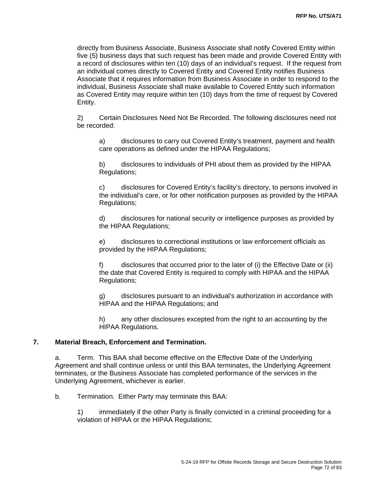directly from Business Associate, Business Associate shall notify Covered Entity within five (5) business days that such request has been made and provide Covered Entity with a record of disclosures within ten (10) days of an individual's request. If the request from an individual comes directly to Covered Entity and Covered Entity notifies Business Associate that it requires information from Business Associate in order to respond to the individual, Business Associate shall make available to Covered Entity such information as Covered Entity may require within ten (10) days from the time of request by Covered Entity.

2) Certain Disclosures Need Not Be Recorded. The following disclosures need not be recorded:

a) disclosures to carry out Covered Entity's treatment, payment and health care operations as defined under the HIPAA Regulations;

b) disclosures to individuals of PHI about them as provided by the HIPAA Regulations;

c) disclosures for Covered Entity's facility's directory, to persons involved in the individual's care, or for other notification purposes as provided by the HIPAA Regulations;

d) disclosures for national security or intelligence purposes as provided by the HIPAA Regulations;

e) disclosures to correctional institutions or law enforcement officials as provided by the HIPAA Regulations;

f) disclosures that occurred prior to the later of (i) the Effective Date or (ii) the date that Covered Entity is required to comply with HIPAA and the HIPAA Regulations;

g) disclosures pursuant to an individual's authorization in accordance with HIPAA and the HIPAA Regulations; and

h) any other disclosures excepted from the right to an accounting by the HIPAA Regulations.

#### **7. Material Breach, Enforcement and Termination.**

a. Term. This BAA shall become effective on the Effective Date of the Underlying Agreement and shall continue unless or until this BAA terminates, the Underlying Agreement terminates, or the Business Associate has completed performance of the services in the Underlying Agreement, whichever is earlier.

b. Termination. Either Party may terminate this BAA:

1) immediately if the other Party is finally convicted in a criminal proceeding for a violation of HIPAA or the HIPAA Regulations;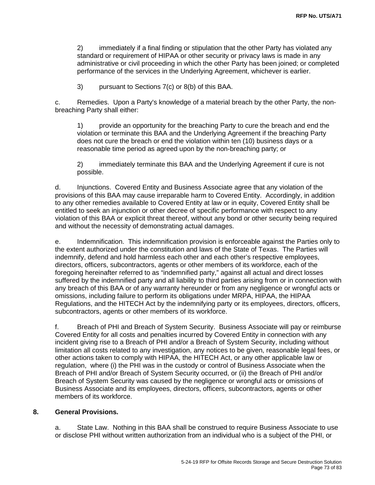2) immediately if a final finding or stipulation that the other Party has violated any standard or requirement of HIPAA or other security or privacy laws is made in any administrative or civil proceeding in which the other Party has been joined; or completed performance of the services in the Underlying Agreement, whichever is earlier.

3) pursuant to Sections 7(c) or 8(b) of this BAA.

c. Remedies. Upon a Party's knowledge of a material breach by the other Party, the nonbreaching Party shall either:

1) provide an opportunity for the breaching Party to cure the breach and end the violation or terminate this BAA and the Underlying Agreement if the breaching Party does not cure the breach or end the violation within ten (10) business days or a reasonable time period as agreed upon by the non-breaching party; or

2) immediately terminate this BAA and the Underlying Agreement if cure is not possible.

d. Injunctions. Covered Entity and Business Associate agree that any violation of the provisions of this BAA may cause irreparable harm to Covered Entity. Accordingly, in addition to any other remedies available to Covered Entity at law or in equity, Covered Entity shall be entitled to seek an injunction or other decree of specific performance with respect to any violation of this BAA or explicit threat thereof, without any bond or other security being required and without the necessity of demonstrating actual damages.

e. Indemnification. This indemnification provision is enforceable against the Parties only to the extent authorized under the constitution and laws of the State of Texas. The Parties will indemnify, defend and hold harmless each other and each other's respective employees, directors, officers, subcontractors, agents or other members of its workforce, each of the foregoing hereinafter referred to as "indemnified party," against all actual and direct losses suffered by the indemnified party and all liability to third parties arising from or in connection with any breach of this BAA or of any warranty hereunder or from any negligence or wrongful acts or omissions, including failure to perform its obligations under MRPA, HIPAA, the HIPAA Regulations, and the HITECH Act by the indemnifying party or its employees, directors, officers, subcontractors, agents or other members of its workforce.

f. Breach of PHI and Breach of System Security. Business Associate will pay or reimburse Covered Entity for all costs and penalties incurred by Covered Entity in connection with any incident giving rise to a Breach of PHI and/or a Breach of System Security, including without limitation all costs related to any investigation, any notices to be given, reasonable legal fees, or other actions taken to comply with HIPAA, the HITECH Act, or any other applicable law or regulation, where (i) the PHI was in the custody or control of Business Associate when the Breach of PHI and/or Breach of System Security occurred, or (ii) the Breach of PHI and/or Breach of System Security was caused by the negligence or wrongful acts or omissions of Business Associate and its employees, directors, officers, subcontractors, agents or other members of its workforce.

#### **8. General Provisions.**

a. State Law. Nothing in this BAA shall be construed to require Business Associate to use or disclose PHI without written authorization from an individual who is a subject of the PHI, or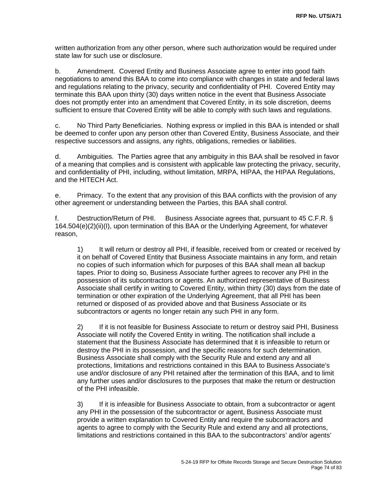written authorization from any other person, where such authorization would be required under state law for such use or disclosure.

b. Amendment. Covered Entity and Business Associate agree to enter into good faith negotiations to amend this BAA to come into compliance with changes in state and federal laws and regulations relating to the privacy, security and confidentiality of PHI. Covered Entity may terminate this BAA upon thirty (30) days written notice in the event that Business Associate does not promptly enter into an amendment that Covered Entity, in its sole discretion, deems sufficient to ensure that Covered Entity will be able to comply with such laws and regulations.

c. No Third Party Beneficiaries. Nothing express or implied in this BAA is intended or shall be deemed to confer upon any person other than Covered Entity, Business Associate, and their respective successors and assigns, any rights, obligations, remedies or liabilities.

d. Ambiguities. The Parties agree that any ambiguity in this BAA shall be resolved in favor of a meaning that complies and is consistent with applicable law protecting the privacy, security, and confidentiality of PHI, including, without limitation, MRPA, HIPAA, the HIPAA Regulations, and the HITECH Act.

e. Primacy. To the extent that any provision of this BAA conflicts with the provision of any other agreement or understanding between the Parties, this BAA shall control.

f. Destruction/Return of PHI. Business Associate agrees that, pursuant to 45 C.F.R. § 164.504(e)(2)(ii)(I), upon termination of this BAA or the Underlying Agreement, for whatever reason,

1) It will return or destroy all PHI, if feasible, received from or created or received by it on behalf of Covered Entity that Business Associate maintains in any form, and retain no copies of such information which for purposes of this BAA shall mean all backup tapes. Prior to doing so, Business Associate further agrees to recover any PHI in the possession of its subcontractors or agents. An authorized representative of Business Associate shall certify in writing to Covered Entity, within thirty (30) days from the date of termination or other expiration of the Underlying Agreement, that all PHI has been returned or disposed of as provided above and that Business Associate or its subcontractors or agents no longer retain any such PHI in any form.

2) If it is not feasible for Business Associate to return or destroy said PHI, Business Associate will notify the Covered Entity in writing. The notification shall include a statement that the Business Associate has determined that it is infeasible to return or destroy the PHI in its possession, and the specific reasons for such determination. Business Associate shall comply with the Security Rule and extend any and all protections, limitations and restrictions contained in this BAA to Business Associate's use and/or disclosure of any PHI retained after the termination of this BAA, and to limit any further uses and/or disclosures to the purposes that make the return or destruction of the PHI infeasible.

3) If it is infeasible for Business Associate to obtain, from a subcontractor or agent any PHI in the possession of the subcontractor or agent, Business Associate must provide a written explanation to Covered Entity and require the subcontractors and agents to agree to comply with the Security Rule and extend any and all protections, limitations and restrictions contained in this BAA to the subcontractors' and/or agents'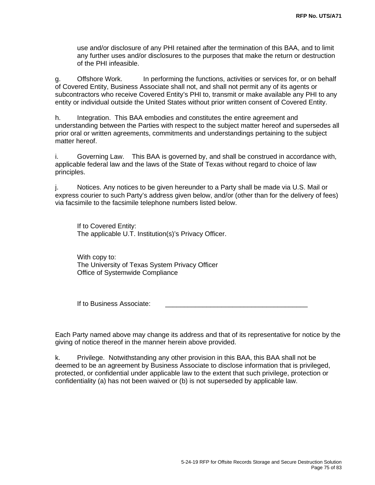use and/or disclosure of any PHI retained after the termination of this BAA, and to limit any further uses and/or disclosures to the purposes that make the return or destruction of the PHI infeasible.

g. Offshore Work. In performing the functions, activities or services for, or on behalf of Covered Entity, Business Associate shall not, and shall not permit any of its agents or subcontractors who receive Covered Entity's PHI to, transmit or make available any PHI to any entity or individual outside the United States without prior written consent of Covered Entity.

h. Integration. This BAA embodies and constitutes the entire agreement and understanding between the Parties with respect to the subject matter hereof and supersedes all prior oral or written agreements, commitments and understandings pertaining to the subject matter hereof.

i. Governing Law. This BAA is governed by, and shall be construed in accordance with, applicable federal law and the laws of the State of Texas without regard to choice of law principles.

j. Notices. Any notices to be given hereunder to a Party shall be made via U.S. Mail or express courier to such Party's address given below, and/or (other than for the delivery of fees) via facsimile to the facsimile telephone numbers listed below.

If to Covered Entity: The applicable U.T. Institution(s)'s Privacy Officer.

With copy to: The University of Texas System Privacy Officer Office of Systemwide Compliance

If to Business Associate:

Each Party named above may change its address and that of its representative for notice by the giving of notice thereof in the manner herein above provided.

k. Privilege. Notwithstanding any other provision in this BAA, this BAA shall not be deemed to be an agreement by Business Associate to disclose information that is privileged, protected, or confidential under applicable law to the extent that such privilege, protection or confidentiality (a) has not been waived or (b) is not superseded by applicable law.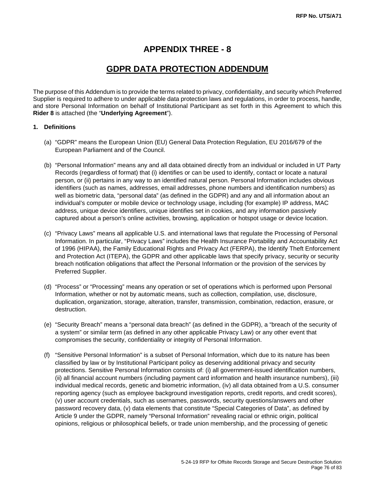### **APPENDIX THREE - 8**

### **GDPR DATA PROTECTION ADDENDUM**

The purpose of this Addendum is to provide the terms related to privacy, confidentiality, and security which Preferred Supplier is required to adhere to under applicable data protection laws and regulations, in order to process, handle, and store Personal Information on behalf of Institutional Participant as set forth in this Agreement to which this **Rider 8** is attached (the "**Underlying Agreement**").

#### **1. Definitions**

- (a) "GDPR" means the European Union (EU) General Data Protection Regulation, EU 2016/679 of the European Parliament and of the Council.
- (b) "Personal Information" means any and all data obtained directly from an individual or included in UT Party Records (regardless of format) that (i) identifies or can be used to identify, contact or locate a natural person, or (ii) pertains in any way to an identified natural person. Personal Information includes obvious identifiers (such as names, addresses, email addresses, phone numbers and identification numbers) as well as biometric data, "personal data" (as defined in the GDPR) and any and all information about an individual's computer or mobile device or technology usage, including (for example) IP address, MAC address, unique device identifiers, unique identifies set in cookies, and any information passively captured about a person's online activities, browsing, application or hotspot usage or device location.
- (c) "Privacy Laws" means all applicable U.S. and international laws that regulate the Processing of Personal Information. In particular, "Privacy Laws" includes the Health Insurance Portability and Accountability Act of 1996 (HIPAA), the Family Educational Rights and Privacy Act (FERPA), the Identify Theft Enforcement and Protection Act (ITEPA), the GDPR and other applicable laws that specify privacy, security or security breach notification obligations that affect the Personal Information or the provision of the services by Preferred Supplier.
- (d) "Process" or "Processing" means any operation or set of operations which is performed upon Personal Information, whether or not by automatic means, such as collection, compilation, use, disclosure, duplication, organization, storage, alteration, transfer, transmission, combination, redaction, erasure, or destruction.
- (e) "Security Breach" means a "personal data breach" (as defined in the GDPR), a "breach of the security of a system" or similar term (as defined in any other applicable Privacy Law) or any other event that compromises the security, confidentiality or integrity of Personal Information.
- (f) "Sensitive Personal Information" is a subset of Personal Information, which due to its nature has been classified by law or by Institutional Participant policy as deserving additional privacy and security protections. Sensitive Personal Information consists of: (i) all government-issued identification numbers, (ii) all financial account numbers (including payment card information and health insurance numbers), (iii) individual medical records, genetic and biometric information, (iv) all data obtained from a U.S. consumer reporting agency (such as employee background investigation reports, credit reports, and credit scores), (v) user account credentials, such as usernames, passwords, security questions/answers and other password recovery data, (v) data elements that constitute "Special Categories of Data", as defined by Article 9 under the GDPR, namely "Personal Information" revealing racial or ethnic origin, political opinions, religious or philosophical beliefs, or trade union membership, and the processing of genetic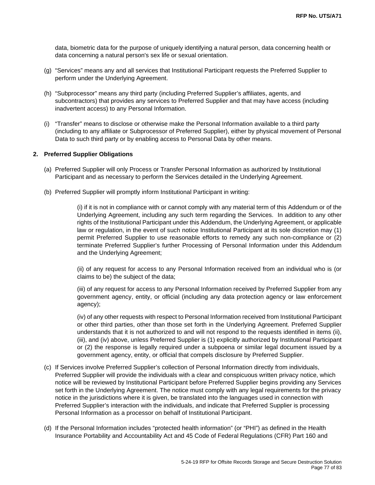data, biometric data for the purpose of uniquely identifying a natural person, data concerning health or data concerning a natural person's sex life or sexual orientation.

- (g) "Services" means any and all services that Institutional Participant requests the Preferred Supplier to perform under the Underlying Agreement.
- (h) "Subprocessor" means any third party (including Preferred Supplier's affiliates, agents, and subcontractors) that provides any services to Preferred Supplier and that may have access (including inadvertent access) to any Personal Information.
- (i) "Transfer" means to disclose or otherwise make the Personal Information available to a third party (including to any affiliate or Subprocessor of Preferred Supplier), either by physical movement of Personal Data to such third party or by enabling access to Personal Data by other means.

#### **2. Preferred Supplier Obligations**

- (a) Preferred Supplier will only Process or Transfer Personal Information as authorized by Institutional Participant and as necessary to perform the Services detailed in the Underlying Agreement.
- (b) Preferred Supplier will promptly inform Institutional Participant in writing:

(i) if it is not in compliance with or cannot comply with any material term of this Addendum or of the Underlying Agreement, including any such term regarding the Services. In addition to any other rights of the Institutional Participant under this Addendum, the Underlying Agreement, or applicable law or regulation, in the event of such notice Institutional Participant at its sole discretion may (1) permit Preferred Supplier to use reasonable efforts to remedy any such non-compliance or (2) terminate Preferred Supplier's further Processing of Personal Information under this Addendum and the Underlying Agreement;

(ii) of any request for access to any Personal Information received from an individual who is (or claims to be) the subject of the data;

(iii) of any request for access to any Personal Information received by Preferred Supplier from any government agency, entity, or official (including any data protection agency or law enforcement agency);

(iv) of any other requests with respect to Personal Information received from Institutional Participant or other third parties, other than those set forth in the Underlying Agreement. Preferred Supplier understands that it is not authorized to and will not respond to the requests identified in items (ii), (iii), and (iv) above, unless Preferred Supplier is (1) explicitly authorized by Institutional Participant or (2) the response is legally required under a subpoena or similar legal document issued by a government agency, entity, or official that compels disclosure by Preferred Supplier.

- (c) If Services involve Preferred Supplier's collection of Personal Information directly from individuals, Preferred Supplier will provide the individuals with a clear and conspicuous written privacy notice, which notice will be reviewed by Institutional Participant before Preferred Supplier begins providing any Services set forth in the Underlying Agreement. The notice must comply with any legal requirements for the privacy notice in the jurisdictions where it is given, be translated into the languages used in connection with Preferred Supplier's interaction with the individuals, and indicate that Preferred Supplier is processing Personal Information as a processor on behalf of Institutional Participant.
- (d) If the Personal Information includes "protected health information" (or "PHI") as defined in the Health Insurance Portability and Accountability Act and 45 Code of Federal Regulations (CFR) Part 160 and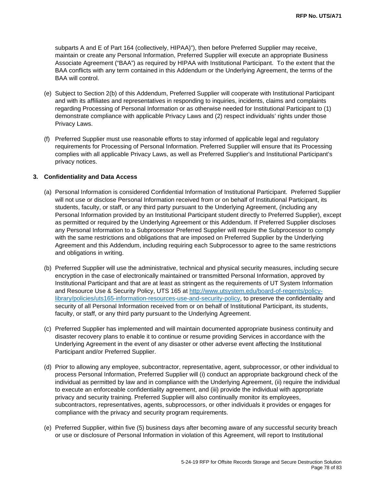subparts A and E of Part 164 (collectively, HIPAA)"), then before Preferred Supplier may receive, maintain or create any Personal Information, Preferred Supplier will execute an appropriate Business Associate Agreement ("BAA") as required by HIPAA with Institutional Participant. To the extent that the BAA conflicts with any term contained in this Addendum or the Underlying Agreement, the terms of the BAA will control.

- (e) Subject to Section 2(b) of this Addendum, Preferred Supplier will cooperate with Institutional Participant and with its affiliates and representatives in responding to inquiries, incidents, claims and complaints regarding Processing of Personal Information or as otherwise needed for Institutional Participant to (1) demonstrate compliance with applicable Privacy Laws and (2) respect individuals' rights under those Privacy Laws.
- (f) Preferred Supplier must use reasonable efforts to stay informed of applicable legal and regulatory requirements for Processing of Personal Information. Preferred Supplier will ensure that its Processing complies with all applicable Privacy Laws, as well as Preferred Supplier's and Institutional Participant's privacy notices.

#### **3. Confidentiality and Data Access**

- (a) Personal Information is considered Confidential Information of Institutional Participant. Preferred Supplier will not use or disclose Personal Information received from or on behalf of Institutional Participant, its students, faculty, or staff, or any third party pursuant to the Underlying Agreement, (including any Personal Information provided by an Institutional Participant student directly to Preferred Supplier), except as permitted or required by the Underlying Agreement or this Addendum. If Preferred Supplier discloses any Personal Information to a Subprocessor Preferred Supplier will require the Subprocessor to comply with the same restrictions and obligations that are imposed on Preferred Supplier by the Underlying Agreement and this Addendum, including requiring each Subprocessor to agree to the same restrictions and obligations in writing.
- (b) Preferred Supplier will use the administrative, technical and physical security measures, including secure encryption in the case of electronically maintained or transmitted Personal Information, approved by Institutional Participant and that are at least as stringent as the requirements of UT System Information and Resource Use & Security Policy, UTS 165 at [http://www.utsystem.edu/board-of-regents/policy](http://www.utsystem.edu/board-of-regents/policy-library/policies/uts165-information-resources-use-and-security-policy)[library/policies/uts165-information-resources-use-and-security-policy,](http://www.utsystem.edu/board-of-regents/policy-library/policies/uts165-information-resources-use-and-security-policy) to preserve the confidentiality and security of all Personal Information received from or on behalf of Institutional Participant, its students, faculty, or staff, or any third party pursuant to the Underlying Agreement.
- (c) Preferred Supplier has implemented and will maintain documented appropriate business continuity and disaster recovery plans to enable it to continue or resume providing Services in accordance with the Underlying Agreement in the event of any disaster or other adverse event affecting the Institutional Participant and/or Preferred Supplier.
- (d) Prior to allowing any employee, subcontractor, representative, agent, subprocessor, or other individual to process Personal Information, Preferred Supplier will (i) conduct an appropriate background check of the individual as permitted by law and in compliance with the Underlying Agreement, (ii) require the individual to execute an enforceable confidentiality agreement, and (iii) provide the individual with appropriate privacy and security training. Preferred Supplier will also continually monitor its employees, subcontractors, representatives, agents, subprocessors, or other individuals it provides or engages for compliance with the privacy and security program requirements.
- (e) Preferred Supplier, within five (5) business days after becoming aware of any successful security breach or use or disclosure of Personal Information in violation of this Agreement, will report to Institutional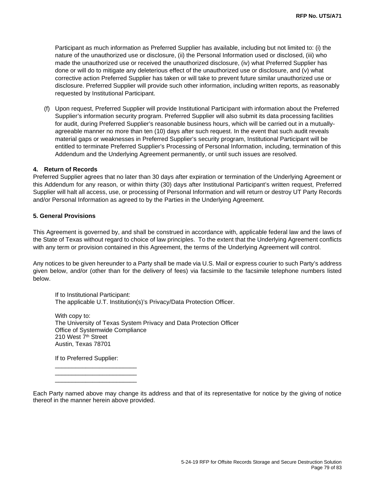Participant as much information as Preferred Supplier has available, including but not limited to: (i) the nature of the unauthorized use or disclosure, (ii) the Personal Information used or disclosed, (iii) who made the unauthorized use or received the unauthorized disclosure, (iv) what Preferred Supplier has done or will do to mitigate any deleterious effect of the unauthorized use or disclosure, and (v) what corrective action Preferred Supplier has taken or will take to prevent future similar unauthorized use or disclosure. Preferred Supplier will provide such other information, including written reports, as reasonably requested by Institutional Participant.

(f) Upon request, Preferred Supplier will provide Institutional Participant with information about the Preferred Supplier's information security program. Preferred Supplier will also submit its data processing facilities for audit, during Preferred Supplier's reasonable business hours, which will be carried out in a mutuallyagreeable manner no more than ten (10) days after such request. In the event that such audit reveals material gaps or weaknesses in Preferred Supplier's security program, Institutional Participant will be entitled to terminate Preferred Supplier's Processing of Personal Information, including, termination of this Addendum and the Underlying Agreement permanently, or until such issues are resolved.

#### **4. Return of Records**

Preferred Supplier agrees that no later than 30 days after expiration or termination of the Underlying Agreement or this Addendum for any reason, or within thirty (30) days after Institutional Participant's written request, Preferred Supplier will halt all access, use, or processing of Personal Information and will return or destroy UT Party Records and/or Personal Information as agreed to by the Parties in the Underlying Agreement.

#### **5. General Provisions**

This Agreement is governed by, and shall be construed in accordance with, applicable federal law and the laws of the State of Texas without regard to choice of law principles. To the extent that the Underlying Agreement conflicts with any term or provision contained in this Agreement, the terms of the Underlying Agreement will control.

Any notices to be given hereunder to a Party shall be made via U.S. Mail or express courier to such Party's address given below, and/or (other than for the delivery of fees) via facsimile to the facsimile telephone numbers listed below.

If to Institutional Participant: The applicable U.T. Institution(s)'s Privacy/Data Protection Officer.

With copy to: The University of Texas System Privacy and Data Protection Officer Office of Systemwide Compliance 210 West 7<sup>th</sup> Street Austin, Texas 78701

If to Preferred Supplier:

\_\_\_\_\_\_\_\_\_\_\_\_\_\_\_\_\_\_\_\_\_\_\_\_

\_\_\_\_\_\_\_\_\_\_\_\_\_\_\_\_\_\_\_\_\_\_\_\_ \_\_\_\_\_\_\_\_\_\_\_\_\_\_\_\_\_\_\_\_\_\_\_\_

Each Party named above may change its address and that of its representative for notice by the giving of notice thereof in the manner herein above provided.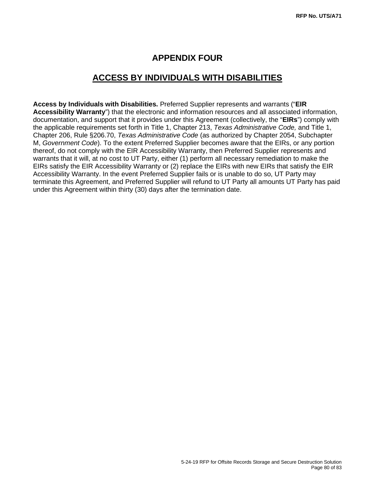# **APPENDIX FOUR**

## **ACCESS BY INDIVIDUALS WITH DISABILITIES**

**Access by Individuals with Disabilities.** Preferred Supplier represents and warrants ("**EIR Accessibility Warranty**") that the electronic and information resources and all associated information, documentation, and support that it provides under this Agreement (collectively, the "**EIRs**") comply with the applicable requirements set forth in Title 1, Chapter 213, *Texas Administrative Code,* and Title 1, Chapter 206, Rule §206.70, *Texas Administrative Code* (as authorized by Chapter 2054, Subchapter M, *Government Code*). To the extent Preferred Supplier becomes aware that the EIRs, or any portion thereof, do not comply with the EIR Accessibility Warranty, then Preferred Supplier represents and warrants that it will, at no cost to UT Party, either (1) perform all necessary remediation to make the EIRs satisfy the EIR Accessibility Warranty or (2) replace the EIRs with new EIRs that satisfy the EIR Accessibility Warranty. In the event Preferred Supplier fails or is unable to do so, UT Party may terminate this Agreement, and Preferred Supplier will refund to UT Party all amounts UT Party has paid under this Agreement within thirty (30) days after the termination date.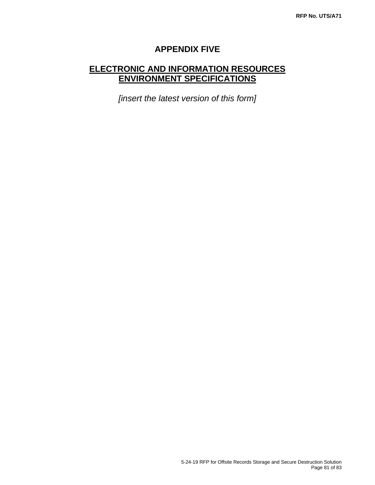# **APPENDIX FIVE**

# **ELECTRONIC AND INFORMATION RESOURCES ENVIRONMENT SPECIFICATIONS**

*[insert the latest version of this form]*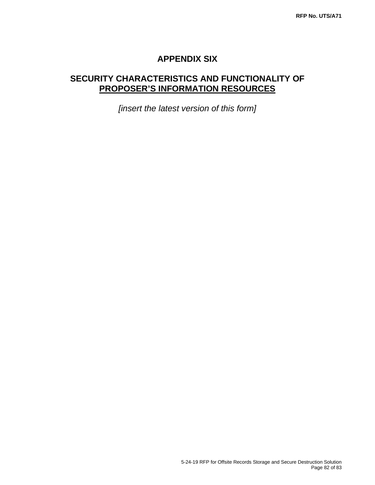### **APPENDIX SIX**

# **SECURITY CHARACTERISTICS AND FUNCTIONALITY OF PROPOSER'S INFORMATION RESOURCES**

*[insert the latest version of this form]*